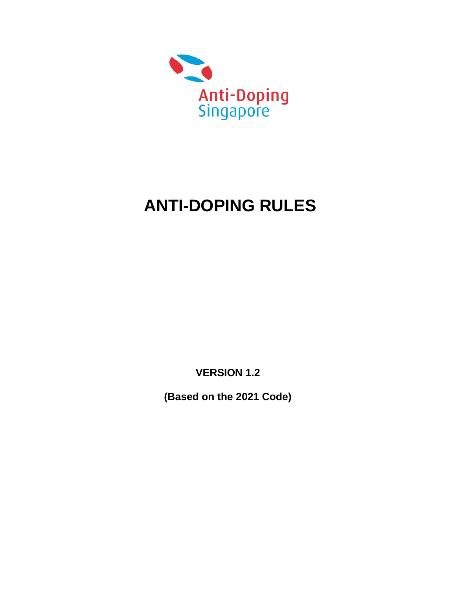

# **ANTI-DOPING RULES**

**VERSION 1.2**

**(Based on the 2021 Code)**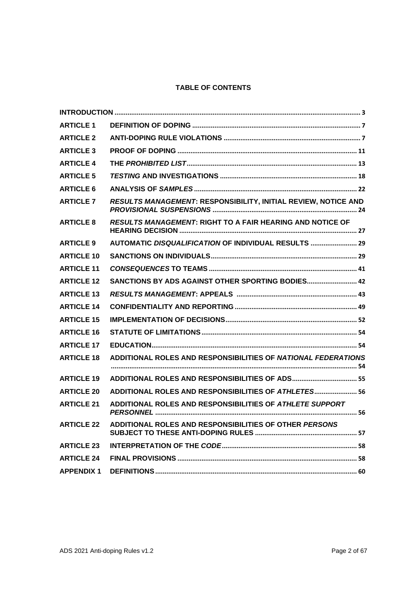# **TABLE OF CONTENTS**

| <b>ARTICLE 1</b>  |                                                                  |
|-------------------|------------------------------------------------------------------|
| <b>ARTICLE 2</b>  |                                                                  |
| <b>ARTICLE 3</b>  |                                                                  |
| <b>ARTICLE 4</b>  |                                                                  |
| <b>ARTICLE 5</b>  |                                                                  |
| <b>ARTICLE 6</b>  |                                                                  |
| <b>ARTICLE 7</b>  | RESULTS MANAGEMENT: RESPONSIBILITY, INITIAL REVIEW, NOTICE AND   |
| <b>ARTICLE 8</b>  | <b>RESULTS MANAGEMENT: RIGHT TO A FAIR HEARING AND NOTICE OF</b> |
| <b>ARTICLE 9</b>  | AUTOMATIC DISQUALIFICATION OF INDIVIDUAL RESULTS  29             |
| <b>ARTICLE 10</b> |                                                                  |
| <b>ARTICLE 11</b> |                                                                  |
| <b>ARTICLE 12</b> | SANCTIONS BY ADS AGAINST OTHER SPORTING BODIES 42                |
| <b>ARTICLE 13</b> |                                                                  |
| <b>ARTICLE 14</b> |                                                                  |
| <b>ARTICLE 15</b> |                                                                  |
| <b>ARTICLE 16</b> |                                                                  |
| <b>ARTICLE 17</b> |                                                                  |
| <b>ARTICLE 18</b> | ADDITIONAL ROLES AND RESPONSIBILITIES OF NATIONAL FEDERATIONS    |
| <b>ARTICLE 19</b> |                                                                  |
| <b>ARTICLE 20</b> | ADDITIONAL ROLES AND RESPONSIBILITIES OF ATHLETES 56             |
| <b>ARTICLE 21</b> | ADDITIONAL ROLES AND RESPONSIBILITIES OF ATHLETE SUPPORT         |
| <b>ARTICLE 22</b> | ADDITIONAL ROLES AND RESPONSIBILITIES OF OTHER PERSONS           |
| <b>ARTICLE 23</b> |                                                                  |
| <b>ARTICLE 24</b> |                                                                  |
| <b>APPENDIX 1</b> |                                                                  |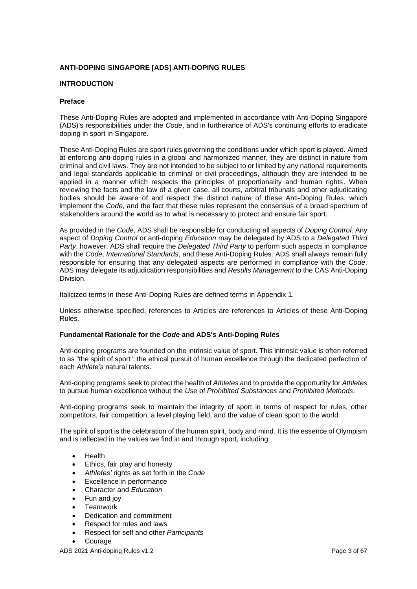# **ANTI-DOPING SINGAPORE [ADS] ANTI-DOPING RULES**

## <span id="page-2-0"></span>**INTRODUCTION**

#### **Preface**

These Anti-Doping Rules are adopted and implemented in accordance with Anti-Doping Singapore (ADS)'s responsibilities under the *Code*, and in furtherance of ADS's continuing efforts to eradicate doping in sport in Singapore.

These Anti-Doping Rules are sport rules governing the conditions under which sport is played. Aimed at enforcing anti-doping rules in a global and harmonized manner, they are distinct in nature from criminal and civil laws. They are not intended to be subject to or limited by any national requirements and legal standards applicable to criminal or civil proceedings, although they are intended to be applied in a manner which respects the principles of proportionality and human rights. When reviewing the facts and the law of a given case, all courts, arbitral tribunals and other adjudicating bodies should be aware of and respect the distinct nature of these Anti-Doping Rules, which implement the *Code*, and the fact that these rules represent the consensus of a broad spectrum of stakeholders around the world as to what is necessary to protect and ensure fair sport.

As provided in the *Code*, ADS shall be responsible for conducting all aspects of *Doping Control*. Any aspect of *Doping Control* or anti-doping *Education* may be delegated by ADS to a *Delegated Third Party*, however, ADS shall require the *Delegated Third Party* to perform such aspects in compliance with the *Code*, *International Standards*, and these Anti-Doping Rules. ADS shall always remain fully responsible for ensuring that any delegated aspects are performed in compliance with the *Code*. ADS may delegate its adjudication responsibilities and *Results Management* to the CAS Anti-Doping Division.

Italicized terms in these Anti-Doping Rules are defined terms in Appendix 1.

Unless otherwise specified, references to Articles are references to Articles of these Anti-Doping Rules.

# **Fundamental Rationale for the** *Code* **and ADS's Anti-Doping Rules**

Anti-doping programs are founded on the intrinsic value of sport. This intrinsic value is often referred to as "the spirit of sport": the ethical pursuit of human excellence through the dedicated perfection of each *Athlete's* natural talents.

Anti-doping programs seek to protect the health of *Athletes* and to provide the opportunity for *Athletes* to pursue human excellence without the *Use* of *Prohibited Substances* and *Prohibited Methods*.

Anti-doping programs seek to maintain the integrity of sport in terms of respect for rules, other competitors, fair competition, a level playing field, and the value of clean sport to the world.

The spirit of sport is the celebration of the human spirit, body and mind. It is the essence of Olympism and is reflected in the values we find in and through sport, including:

- Health
- Ethics, fair play and honesty
- *Athletes'* rights as set forth in the *Code*
- Excellence in performance
- Character and *Education*
- Fun and joy
- Teamwork
- Dedication and commitment
- Respect for rules and laws
- Respect for self and other *Participants*
- **Courage**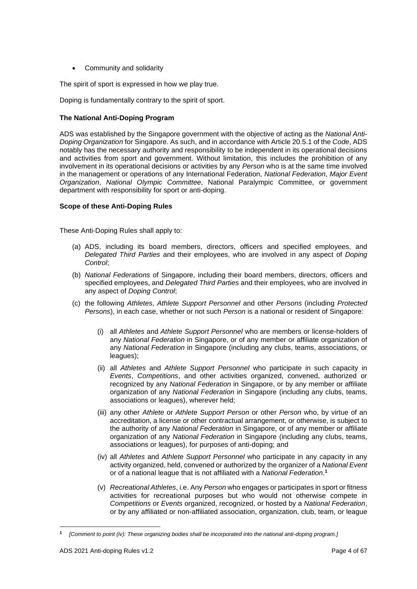• Community and solidarity

The spirit of sport is expressed in how we play true.

Doping is fundamentally contrary to the spirit of sport.

## **The National Anti-Doping Program**

ADS was established by the Singapore government with the objective of acting as the *National Anti-Doping Organization* for Singapore. As such, and in accordance with Article 20.5.1 of the *Code*, ADS notably has the necessary authority and responsibility to be independent in its operational decisions and activities from sport and government. Without limitation, this includes the prohibition of any involvement in its operational decisions or activities by any *Person* who is at the same time involved in the management or operations of any International Federation, *National Federation*, *Major Event Organization*, *National Olympic Committee*, National Paralympic Committee, or government department with responsibility for sport or anti-doping.

## **Scope of these Anti-Doping Rules**

These Anti-Doping Rules shall apply to:

- (a) ADS, including its board members, directors, officers and specified employees, and *Delegated Third Parties* and their employees, who are involved in any aspect of *Doping Control*;
- (b) *National Federations* of Singapore, including their board members, directors, officers and specified employees, and *Delegated Third Parties* and their employees, who are involved in any aspect of *Doping Control*;
- (c) the following *Athletes*, *Athlete Support Personnel* and other *Persons* (including *Protected Persons*), in each case, whether or not such *Person* is a national or resident of Singapore:
	- (i) all *Athletes* and *Athlete Support Personnel* who are members or license-holders of any *National Federation* in Singapore, or of any member or affiliate organization of any *National Federation* in Singapore (including any clubs, teams, associations, or leagues);
	- (ii) all *Athletes* and *Athlete Support Personnel* who participate in such capacity in *Events*, *Competitions*, and other activities organized, convened, authorized or recognized by any *National Federation* in Singapore, or by any member or affiliate organization of any *National Federation* in Singapore (including any clubs, teams, associations or leagues), wherever held;
	- (iii) any other *Athlete* or *Athlete Support Person* or other *Person* who, by virtue of an accreditation, a license or other contractual arrangement, or otherwise, is subject to the authority of any *National Federation* in Singapore, or of any member or affiliate organization of any *National Federation* in Singapore (including any clubs, teams, associations or leagues), for purposes of anti-doping; and
	- (iv) all *Athletes* and *Athlete Support Personnel* who participate in any capacity in any activity organized, held, convened or authorized by the organizer of a *National Event* or of a national league that is not affiliated with a *National Federation*. **1**
	- (v) *Recreational Athletes*, i.e. Any *Person* who engages or participates in sport or fitness activities for recreational purposes but who would not otherwise compete in *Competitions* or *Events* organized, recognized, or hosted by a *National Federation*, or by any affiliated or non-affiliated association, organization, club, team, or league

**<sup>1</sup>** *[Comment to point (iv): These organizing bodies shall be incorporated into the national anti-doping program.]*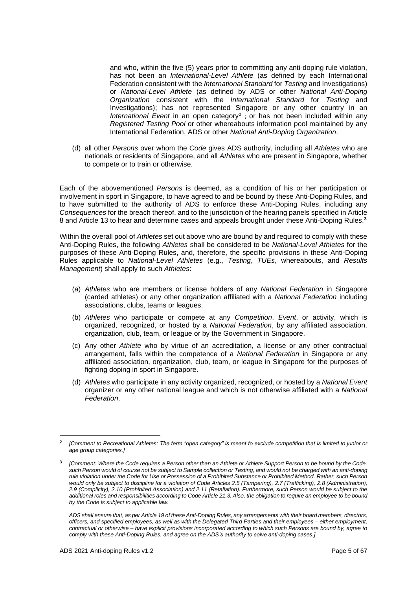and who, within the five (5) years prior to committing any anti-doping rule violation, has not been an *International-Level Athlete* (as defined by each International Federation consistent with the *International Standard* for *Testing* and Investigations) or *National-Level Athlete* (as defined by ADS or other *National Anti-Doping Organization* consistent with the *International Standard* for *Testing* and Investigations); has not represented Singapore or any other country in an International Event in an open category<sup>2</sup>; or has not been included within any *Registered Testing Pool* or other whereabouts information pool maintained by any International Federation, ADS or other *National Anti-Doping Organization*.

(d) all other *Persons* over whom the *Code* gives ADS authority, including all *Athletes* who are nationals or residents of Singapore, and all *Athletes* who are present in Singapore, whether to compete or to train or otherwise.

Each of the abovementioned *Persons* is deemed, as a condition of his or her participation or involvement in sport in Singapore, to have agreed to and be bound by these Anti-Doping Rules, and to have submitted to the authority of ADS to enforce these Anti-Doping Rules, including any *Consequences* for the breach thereof, and to the jurisdiction of the hearing panels specified in Article 8 and Article 13 to hear and determine cases and appeals brought under these Anti-Doping Rules. **3**

Within the overall pool of *Athletes* set out above who are bound by and required to comply with these Anti-Doping Rules, the following *Athletes* shall be considered to be *National-Level Athletes* for the purposes of these Anti-Doping Rules, and, therefore, the specific provisions in these Anti-Doping Rules applicable to *National-Level Athletes* (e.g., *Testing*, *TUEs*, whereabouts, and *Results Management*) shall apply to such *Athletes*:

- (a) *Athletes* who are members or license holders of any *National Federation* in Singapore (carded athletes) or any other organization affiliated with a *National Federation* including associations, clubs, teams or leagues.
- (b) *Athletes* who participate or compete at any *Competition*, *Event*, or activity, which is organized, recognized, or hosted by a *National Federation*, by any affiliated association, organization, club, team, or league or by the Government in Singapore.
- (c) Any other *Athlete* who by virtue of an accreditation, a license or any other contractual arrangement, falls within the competence of a *National Federation* in Singapore or any affiliated association, organization, club, team, or league in Singapore for the purposes of fighting doping in sport in Singapore.
- (d) *Athletes* who participate in any activity organized, recognized, or hosted by a *National Event* organizer or any other national league and which is not otherwise affiliated with a *National Federation*.

**<sup>2</sup>** *[Comment to Recreational Athletes: The term "open category" is meant to exclude competition that is limited to junior or age group categories.]*

**<sup>3</sup>** *[Comment: Where the Code requires a Person other than an Athlete or Athlete Support Person to be bound by the Code, such Person would of course not be subject to Sample collection or Testing, and would not be charged with an anti-doping rule violation under the Code for Use or Possession of a Prohibited Substance or Prohibited Method. Rather, such Person would only be subject to discipline for a violation of Code Articles 2.5 (Tampering), 2.7 (Trafficking), 2.8 (Administration), 2.9 (Complicity), 2.10 (Prohibited Association) and 2.11 (Retaliation). Furthermore, such Person would be subject to the additional roles and responsibilities according to Code Article 21.3. Also, the obligation to require an employee to be bound by the Code is subject to applicable law.*

*ADS shall ensure that, as per Article 19 of these Anti-Doping Rules, any arrangements with their board members, directors, officers, and specified employees, as well as with the Delegated Third Parties and their employees – either employment, contractual or otherwise – have explicit provisions incorporated according to which such Persons are bound by, agree to comply with these Anti-Doping Rules, and agree on the ADS's authority to solve anti-doping cases.]*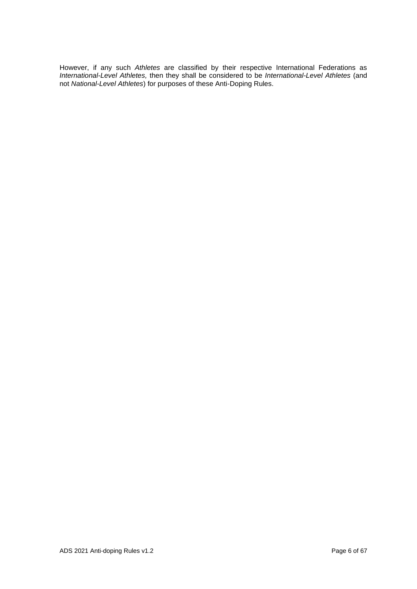However, if any such *Athletes* are classified by their respective International Federations as *International-Level Athletes,* then they shall be considered to be *International-Level Athletes* (and not *National-Level Athletes*) for purposes of these Anti-Doping Rules.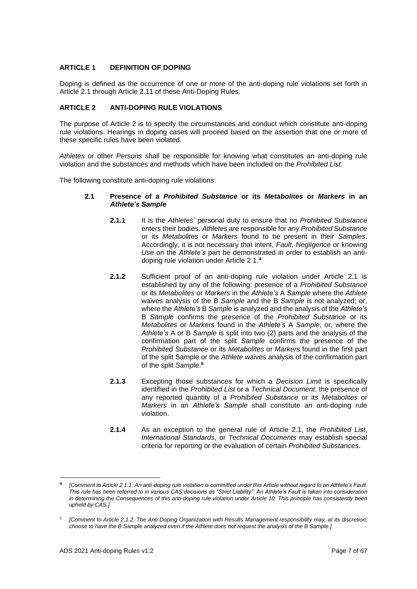# <span id="page-6-0"></span>**ARTICLE 1 DEFINITION OF DOPING**

Doping is defined as the occurrence of one or more of the anti-doping rule violations set forth in Article 2.1 through Article 2.11 of these Anti-Doping Rules.

## <span id="page-6-1"></span>**ARTICLE 2 ANTI-DOPING RULE VIOLATIONS**

The purpose of Article 2 is to specify the circumstances and conduct which constitute anti-doping rule violations. Hearings in doping cases will proceed based on the assertion that one or more of these specific rules have been violated.

*Athletes* or other *Persons* shall be responsible for knowing what constitutes an anti-doping rule violation and the substances and methods which have been included on the *Prohibited List*.

The following constitute anti-doping rule violations:

## **2.1 Presence of a** *Prohibited Substance* **or its** *Metabolites* **or** *Markers* **in an**  *Athlete's Sample*

- **2.1.1** It is the *Athletes'* personal duty to ensure that no *Prohibited Substance* enters their bodies. *Athletes* are responsible for any *Prohibited Substance* or its *Metabolites* or *Markers* found to be present in their *Samples*. Accordingly, it is not necessary that intent, *Fault*, *Negligence* or knowing *Use* on the *Athlete's* part be demonstrated in order to establish an antidoping rule violation under Article 2.1.**<sup>4</sup>**
- **2.1.2** Sufficient proof of an anti-doping rule violation under Article 2.1 is established by any of the following: presence of a *Prohibited Substance* or its *Metabolites* or *Markers* in the *Athlete's* A *Sample* where the *Athlete* waives analysis of the B *Sample* and the B *Sample* is not analyzed; or, where the *Athlete's* B *Sample* is analyzed and the analysis of the *Athlete's* B *Sample* confirms the presence of the *Prohibited Substance* or its *Metabolites* or *Markers* found in the *Athlete's* A *Sample*; or, where the *Athlete's* A or B *Sample* is split into two (2) parts and the analysis of the confirmation part of the split *Sample* confirms the presence of the *Prohibited Substance* or its *Metabolites* or *Markers* found in the first part of the split Sample or the *Athlete* waives analysis of the confirmation part of the split *Sample*. **5**
- **2.1.3** Excepting those substances for which a *Decision Limit* is specifically identified in the *Prohibited List* or a *Technical Document*, the presence of any reported quantity of a *Prohibited Substance* or its *Metabolites* or *Markers* in an *Athlete's Sample* shall constitute an anti-doping rule violation.
- **2.1.4** As an exception to the general rule of Article 2.1, the *Prohibited List*, *International Standards*, or *Technical Documents* may establish special criteria for reporting or the evaluation of certain *Prohibited Substances*.

**<sup>4</sup>** *[Comment to Article 2.1.1: An anti-doping rule violation is committed under this Article without regard to an Athlete's Fault. This rule has been referred to in various CAS decisions as "Strict Liability". An Athlete's Fault is taken into consideration in determining the Consequences of this anti-doping rule violation under Article 10. This principle has consistently been upheld by CAS.]*

<sup>5</sup> *[Comment to Article 2.1.2: The Anti-Doping Organization with Results Management responsibility may, at its discretion, choose to have the B Sample analyzed even if the Athlete does not request the analysis of the B Sample.]*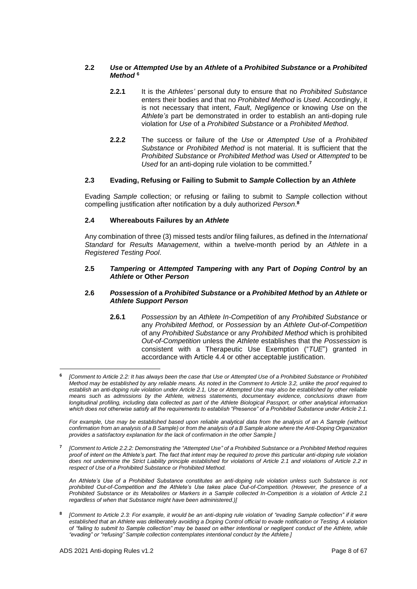## **2.2** *Use* **or** *Attempted Use* **by an** *Athlete* **of a** *Prohibited Substance* **or a** *Prohibited Method* **<sup>6</sup>**

- **2.2.1** It is the *Athletes'* personal duty to ensure that no *Prohibited Substance* enters their bodies and that no *Prohibited Method* is *Used*. Accordingly, it is not necessary that intent, *Fault*, *Negligence* or knowing *Use* on the *Athlete's* part be demonstrated in order to establish an anti-doping rule violation for *Use* of a *Prohibited Substance* or a *Prohibited Method*.
- **2.2.2** The success or failure of the *Use* or *Attempted Use* of a *Prohibited Substance* or *Prohibited Method* is not material. It is sufficient that the *Prohibited Substance* or *Prohibited Method* was *Used* or *Attempted* to be *Used* for an anti-doping rule violation to be committed.**<sup>7</sup>**

# **2.3 Evading, Refusing or Failing to Submit to** *Sample* **Collection by an** *Athlete*

Evading *Sample* collection; or refusing or failing to submit to *Sample* collection without compelling justification after notification by a duly authorized *Person*. **8**

## **2.4 Whereabouts Failures by an** *Athlete*

Any combination of three (3) missed tests and/or filing failures, as defined in the *International Standard* for *Results Management*, within a twelve-month period by an *Athlete* in a *Registered Testing Pool*.

#### **2.5** *Tampering* **or** *Attempted Tampering* **with any Part of** *Doping Control* **by an**  *Athlete* **or Other** *Person*

#### **2.6** *Possession* **of a** *Prohibited Substance* **or a** *Prohibited Method* **by an** *Athlete* **or**  *Athlete Support Person*

**2.6.1** *Possession* by an *Athlete In-Competition* of any *Prohibited Substance* or any *Prohibited Method,* or *Possession* by an *Athlete Out-of-Competition* of any *Prohibited Substance* or any *Prohibited Method* which is prohibited *Out-of-Competition* unless the *Athlete* establishes that the *Possession* is consistent with a Therapeutic Use Exemption ("*TUE*") granted in accordance with Article 4.4 or other acceptable justification.

For example, Use may be established based upon reliable analytical data from the analysis of an A Sample (without *confirmation from an analysis of a B Sample) or from the analysis of a B Sample alone where the Anti-Doping Organization provides a satisfactory explanation for the lack of confirmation in the other Sample.]*

**7** *[Comment to Article 2.2.2: Demonstrating the "Attempted Use" of a Prohibited Substance or a Prohibited Method requires proof of intent on the Athlete's part. The fact that intent may be required to prove this particular anti-doping rule violation does not undermine the Strict Liability principle established for violations of Article 2.1 and violations of Article 2.2 in respect of Use of a Prohibited Substance or Prohibited Method.*

*An Athlete's Use of a Prohibited Substance constitutes an anti-doping rule violation unless such Substance is not prohibited Out-of-Competition and the Athlete's Use takes place Out-of-Competition. (However, the presence of a Prohibited Substance or its Metabolites or Markers in a Sample collected In-Competition is a violation of Article 2.1 regardless of when that Substance might have been administered.)]*

**8** *[Comment to Article 2.3: For example, it would be an anti-doping rule violation of "evading Sample collection" if it were established that an Athlete was deliberately avoiding a Doping Control official to evade notification or Testing. A violation of "failing to submit to Sample collection" may be based on either intentional or negligent conduct of the Athlete, while "evading" or "refusing" Sample collection contemplates intentional conduct by the Athlete.]*

**<sup>6</sup>** *[Comment to Article 2.2: It has always been the case that Use or Attempted Use of a Prohibited Substance or Prohibited Method may be established by any reliable means. As noted in the Comment to Article 3.2, unlike the proof required to establish an anti-doping rule violation under Article 2.1, Use or Attempted Use may also be established by other reliable means such as admissions by the Athlete, witness statements, documentary evidence, conclusions drawn from longitudinal profiling, including data collected as part of the Athlete Biological Passport, or other analytical information which does not otherwise satisfy all the requirements to establish "Presence" of a Prohibited Substance under Article 2.1.*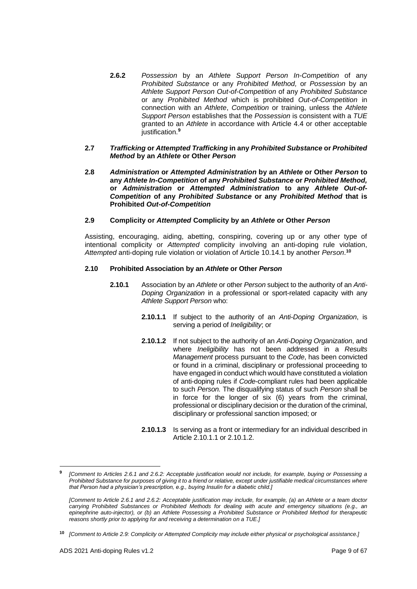**2.6.2** *Possession* by an *Athlete Support Person In-Competition* of any *Prohibited Substance* or any *Prohibited Method,* or *Possession* by an *Athlete Support Person Out-of-Competition* of any *Prohibited Substance*  or any *Prohibited Method* which is prohibited *Out-of-Competition* in connection with an *Athlete*, *Competition* or training, unless the *Athlete Support Person* establishes that the *Possession* is consistent with a *TUE* granted to an *Athlete* in accordance with Article 4.4 or other acceptable justification.**<sup>9</sup>**

#### **2.7** *Trafficking* **or** *Attempted Trafficking* **in any** *Prohibited Substance* **or** *Prohibited Method* **by an** *Athlete* **or Other** *Person*

**2.8** *Administration* **or** *Attempted Administration* **by an** *Athlete* **or Other** *Person* **to any** *Athlete In-Competition* **of any** *Prohibited Substance* **or** *Prohibited Method,*  **or** *Administration* **or** *Attempted Administration* **to any** *Athlete Out-of-Competition* **of any** *Prohibited Substance* **or any** *Prohibited Method* **that is Prohibited** *Out-of-Competition*

## **2.9 Complicity or** *Attempted* **Complicity by an** *Athlete* **or Other** *Person*

Assisting, encouraging, aiding, abetting, conspiring, covering up or any other type of intentional complicity or *Attempted* complicity involving an anti-doping rule violation, *Attempted* anti-doping rule violation or violation of Article 10.14.1 by another *Person*. **10**

## **2.10 Prohibited Association by an** *Athlete* **or Other** *Person*

- **2.10.1** Association by an *Athlete* or other *Person* subject to the authority of an *Anti-Doping Organization* in a professional or sport-related capacity with any *Athlete Support Person* who:
	- **2.10.1.1** If subject to the authority of an *Anti-Doping Organization*, is serving a period of *Ineligibility*; or
	- **2.10.1.2** If not subject to the authority of an *Anti-Doping Organization*, and where *Ineligibility* has not been addressed in a *Results Management* process pursuant to the *Code*, has been convicted or found in a criminal, disciplinary or professional proceeding to have engaged in conduct which would have constituted a violation of anti-doping rules if *Code*-compliant rules had been applicable to such *Person.* The disqualifying status of such *Person* shall be in force for the longer of six (6) years from the criminal, professional or disciplinary decision or the duration of the criminal, disciplinary or professional sanction imposed; or
	- **2.10.1.3** Is serving as a front or intermediary for an individual described in Article 2.10.1.1 or 2.10.1.2.

**<sup>9</sup>** *[Comment to Articles 2.6.1 and 2.6.2: Acceptable justification would not include, for example, buying or Possessing a Prohibited Substance for purposes of giving it to a friend or relative, except under justifiable medical circumstances where that Person had a physician's prescription, e.g., buying Insulin for a diabetic child.]*

*<sup>[</sup>Comment to Article 2.6.1 and 2.6.2: Acceptable justification may include, for example, (a) an Athlete or a team doctor carrying Prohibited Substances or Prohibited Methods for dealing with acute and emergency situations (e.g., an epinephrine auto-injector), or (b) an Athlete Possessing a Prohibited Substance or Prohibited Method for therapeutic reasons shortly prior to applying for and receiving a determination on a TUE.]*

**<sup>10</sup>** *[Comment to Article 2.9: Complicity or Attempted Complicity may include either physical or psychological assistance.]*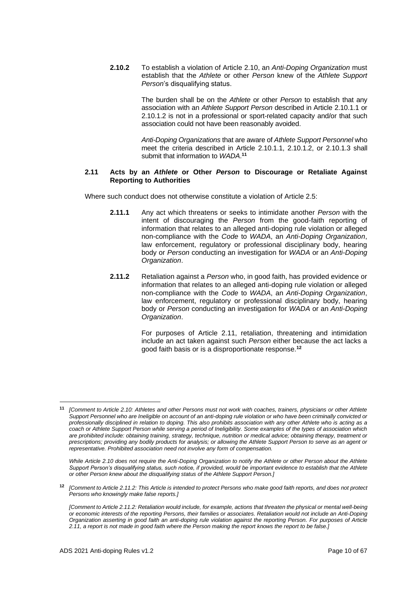**2.10.2** To establish a violation of Article 2.10, an *Anti-Doping Organization* must establish that the *Athlete* or other *Person* knew of the *Athlete Support Person*'s disqualifying status.

> The burden shall be on the *Athlete* or other *Person* to establish that any association with an *Athlete Support Person* described in Article 2.10.1.1 or 2.10.1.2 is not in a professional or sport-related capacity and/or that such association could not have been reasonably avoided.

> *Anti-Doping Organizations* that are aware of *Athlete Support Personnel* who meet the criteria described in Article 2.10.1.1, 2.10.1.2, or 2.10.1.3 shall submit that information to *WADA*. **11**

## **2.11 Acts by an** *Athlete* **or Other** *Person* **to Discourage or Retaliate Against Reporting to Authorities**

Where such conduct does not otherwise constitute a violation of Article 2.5:

- **2.11.1** Any act which threatens or seeks to intimidate another *Person* with the intent of discouraging the *Person* from the good-faith reporting of information that relates to an alleged anti-doping rule violation or alleged non-compliance with the *Code* to *WADA*, an *Anti-Doping Organization*, law enforcement, regulatory or professional disciplinary body, hearing body or *Person* conducting an investigation for *WADA* or an *Anti-Doping Organization*.
- **2.11.2** Retaliation against a *Person* who, in good faith, has provided evidence or information that relates to an alleged anti-doping rule violation or alleged non-compliance with the *Code* to *WADA*, an *Anti-Doping Organization*, law enforcement, regulatory or professional disciplinary body, hearing body or *Person* conducting an investigation for *WADA* or an *Anti-Doping Organization*.

For purposes of Article 2.11, retaliation, threatening and intimidation include an act taken against such *Person* either because the act lacks a good faith basis or is a disproportionate response.**<sup>12</sup>**

**<sup>11</sup>** *[Comment to Article 2.10: Athletes and other Persons must not work with coaches, trainers, physicians or other Athlete Support Personnel who are Ineligible on account of an anti-doping rule violation or who have been criminally convicted or professionally disciplined in relation to doping. This also prohibits association with any other Athlete who is acting as a coach or Athlete Support Person while serving a period of Ineligibility. Some examples of the types of association which are prohibited include: obtaining training, strategy, technique, nutrition or medical advice; obtaining therapy, treatment or prescriptions; providing any bodily products for analysis; or allowing the Athlete Support Person to serve as an agent or representative. Prohibited association need not involve any form of compensation.*

*While Article 2.10 does not require the Anti-Doping Organization to notify the Athlete or other Person about the Athlete Support Person's disqualifying status, such notice, if provided, would be important evidence to establish that the Athlete or other Person knew about the disqualifying status of the Athlete Support Person.]*

**<sup>12</sup>** *[Comment to Article 2.11.2: This Article is intended to protect Persons who make good faith reports, and does not protect Persons who knowingly make false reports.]*

*<sup>[</sup>Comment to Article 2.11.2: Retaliation would include, for example, actions that threaten the physical or mental well-being or economic interests of the reporting Persons, their families or associates. Retaliation would not include an Anti-Doping Organization asserting in good faith an anti-doping rule violation against the reporting Person. For purposes of Article 2.11, a report is not made in good faith where the Person making the report knows the report to be false.]*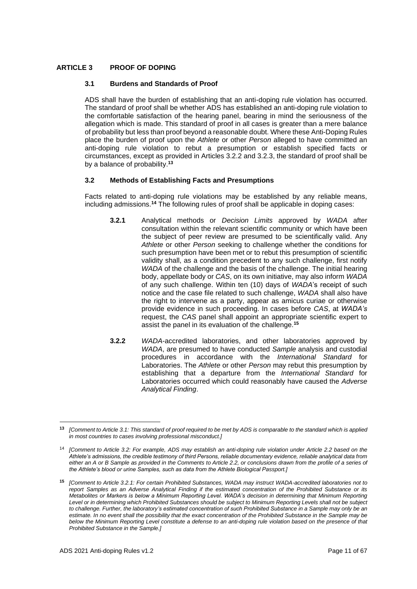# <span id="page-10-0"></span>**ARTICLE 3 PROOF OF DOPING**

# **3.1 Burdens and Standards of Proof**

ADS shall have the burden of establishing that an anti-doping rule violation has occurred. The standard of proof shall be whether ADS has established an anti-doping rule violation to the comfortable satisfaction of the hearing panel, bearing in mind the seriousness of the allegation which is made. This standard of proof in all cases is greater than a mere balance of probability but less than proof beyond a reasonable doubt. Where these Anti-Doping Rules place the burden of proof upon the *Athlete* or other *Person* alleged to have committed an anti-doping rule violation to rebut a presumption or establish specified facts or circumstances, except as provided in Articles 3.2.2 and 3.2.3, the standard of proof shall be by a balance of probability.**<sup>13</sup>**

# **3.2 Methods of Establishing Facts and Presumptions**

Facts related to anti-doping rule violations may be established by any reliable means, including admissions.**<sup>14</sup>** The following rules of proof shall be applicable in doping cases:

- **3.2.1** Analytical methods or *Decision Limits* approved by *WADA* after consultation within the relevant scientific community or which have been the subject of peer review are presumed to be scientifically valid. Any *Athlete* or other *Person* seeking to challenge whether the conditions for such presumption have been met or to rebut this presumption of scientific validity shall, as a condition precedent to any such challenge, first notify *WADA* of the challenge and the basis of the challenge. The initial hearing body, appellate body or *CAS*, on its own initiative, may also inform *WADA* of any such challenge. Within ten (10) days of *WADA*'s receipt of such notice and the case file related to such challenge, *WADA* shall also have the right to intervene as a party, appear as amicus curiae or otherwise provide evidence in such proceeding. In cases before *CAS*, at *WADA's* request, the *CAS* panel shall appoint an appropriate scientific expert to assist the panel in its evaluation of the challenge.**<sup>15</sup>**
- **3.2.2** *WADA*-accredited laboratories, and other laboratories approved by *WADA*, are presumed to have conducted *Sample* analysis and custodial procedures in accordance with the *International Standard* for Laboratories. The *Athlete* or other *Person* may rebut this presumption by establishing that a departure from the *International Standard* for Laboratories occurred which could reasonably have caused the *Adverse Analytical Finding*.

**<sup>13</sup>** *[Comment to Article 3.1: This standard of proof required to be met by ADS is comparable to the standard which is applied in most countries to cases involving professional misconduct.]*

<sup>14</sup> *[Comment to Article 3.2: For example, ADS may establish an anti-doping rule violation under Article 2.2 based on the Athlete's admissions, the credible testimony of third Persons, reliable documentary evidence, reliable analytical data from either an A or B Sample as provided in the Comments to Article 2.2, or conclusions drawn from the profile of a series of the Athlete's blood or urine Samples, such as data from the Athlete Biological Passport.]*

**<sup>15</sup>** *[Comment to Article 3.2.1: For certain Prohibited Substances, WADA may instruct WADA-accredited laboratories not to report Samples as an Adverse Analytical Finding if the estimated concentration of the Prohibited Substance or its Metabolites or Markers is below a Minimum Reporting Level. WADA's decision in determining that Minimum Reporting*  Level or in determining which Prohibited Substances should be subject to Minimum Reporting Levels shall not be subject to challenge. Further, the laboratory's estimated concentration of such Prohibited Substance in a Sample may only be an *estimate. In no event shall the possibility that the exact concentration of the Prohibited Substance in the Sample may be below the Minimum Reporting Level constitute a defense to an anti-doping rule violation based on the presence of that Prohibited Substance in the Sample.]*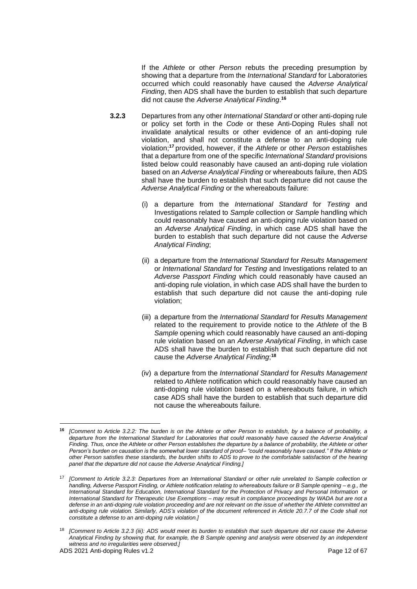If the *Athlete* or other *Person* rebuts the preceding presumption by showing that a departure from the *International Standard* for Laboratories occurred which could reasonably have caused the *Adverse Analytical Finding*, then ADS shall have the burden to establish that such departure did not cause the *Adverse Analytical Finding*. **16**

- **3.2.3** Departures from any other *International Standard* or other anti-doping rule or policy set forth in the *Code* or these Anti-Doping Rules shall not invalidate analytical results or other evidence of an anti-doping rule violation, and shall not constitute a defense to an anti-doping rule violation;**<sup>17</sup>** provided, however, if the *Athlete* or other *Person* establishes that a departure from one of the specific *International Standard* provisions listed below could reasonably have caused an anti-doping rule violation based on an *Adverse Analytical Finding* or whereabouts failure, then ADS shall have the burden to establish that such departure did not cause the *Adverse Analytical Finding* or the whereabouts failure:
	- (i) a departure from the *International Standard* for *Testing* and Investigations related to *Sample* collection or *Sample* handling which could reasonably have caused an anti-doping rule violation based on an *Adverse Analytical Finding*, in which case ADS shall have the burden to establish that such departure did not cause the *Adverse Analytical Finding*;
	- (ii) a departure from the *International Standard* for *Results Management* or *International Standard* for *Testing* and Investigations related to an *Adverse Passport Finding* which could reasonably have caused an anti-doping rule violation, in which case ADS shall have the burden to establish that such departure did not cause the anti-doping rule violation;
	- (iii) a departure from the *International Standard* for *Results Management* related to the requirement to provide notice to the *Athlete* of the B *Sample* opening which could reasonably have caused an anti-doping rule violation based on an *Adverse Analytical Finding*, in which case ADS shall have the burden to establish that such departure did not cause the *Adverse Analytical Finding*; **18**
	- (iv) a departure from the *International Standard* for *Results Management* related to *Athlete* notification which could reasonably have caused an anti-doping rule violation based on a whereabouts failure, in which case ADS shall have the burden to establish that such departure did not cause the whereabouts failure.

**<sup>16</sup>** *[Comment to Article 3.2.2: The burden is on the Athlete or other Person to establish, by a balance of probability, a departure from the International Standard for Laboratories that could reasonably have caused the Adverse Analytical Finding. Thus, once the Athlete or other Person establishes the departure by a balance of probability, the Athlete or other Person's burden on causation is the somewhat lower standard of proof– "could reasonably have caused." If the Athlete or other Person satisfies these standards, the burden shifts to ADS to prove to the comfortable satisfaction of the hearing panel that the departure did not cause the Adverse Analytical Finding.]*

<sup>17</sup> *[Comment to Article 3.2.3: Departures from an International Standard or other rule unrelated to Sample collection or handling, Adverse Passport Finding, or Athlete notification relating to whereabouts failure or B Sample opening – e.g., the International Standard for Education, International Standard for the Protection of Privacy and Personal Information or International Standard for Therapeutic Use Exemptions – may result in compliance proceedings by WADA but are not a defense in an anti-doping rule violation proceeding and are not relevant on the issue of whether the Athlete committed an anti-doping rule violation. Similarly, ADS's violation of the document referenced in Article 20.7.7 of the Code shall not constitute a defense to an anti-doping rule violation.]*

<sup>18</sup> *[Comment to Article 3.2.3 (iii): ADS would meet its burden to establish that such departure did not cause the Adverse Analytical Finding by showing that, for example, the B Sample opening and analysis were observed by an independent witness and no irregularities were observed.]*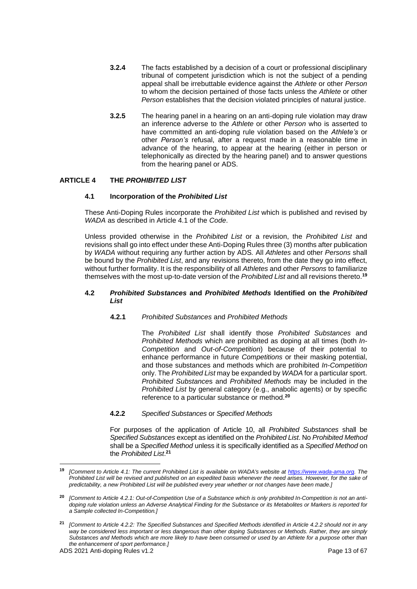- **3.2.4** The facts established by a decision of a court or professional disciplinary tribunal of competent jurisdiction which is not the subject of a pending appeal shall be irrebuttable evidence against the *Athlete* or other *Person* to whom the decision pertained of those facts unless the *Athlete* or other *Person* establishes that the decision violated principles of natural justice.
- **3.2.5** The hearing panel in a hearing on an anti-doping rule violation may draw an inference adverse to the *Athlete* or other *Person* who is asserted to have committed an anti-doping rule violation based on the *Athlete's* or other *Person's* refusal, after a request made in a reasonable time in advance of the hearing, to appear at the hearing (either in person or telephonically as directed by the hearing panel) and to answer questions from the hearing panel or ADS.

# <span id="page-12-0"></span>**ARTICLE 4 THE** *PROHIBITED LIST*

## **4.1 Incorporation of the** *Prohibited List*

These Anti-Doping Rules incorporate the *Prohibited List* which is published and revised by *WADA* as described in Article 4.1 of the *Code*.

Unless provided otherwise in the *Prohibited List* or a revision, the *Prohibited List* and revisions shall go into effect under these Anti-Doping Rules three (3) months after publication by *WADA* without requiring any further action by ADS*.* All *Athletes* and other *Persons* shall be bound by the *Prohibited List*, and any revisions thereto, from the date they go into effect, without further formality. It is the responsibility of all *Athletes* and other *Persons* to familiarize themselves with the most up-to-date version of the *Prohibited List* and all revisions thereto.**<sup>19</sup>**

#### **4.2** *Prohibited Substances* **and** *Prohibited Methods* **Identified on the** *Prohibited List*

**4.2.1** *Prohibited Substances* and *Prohibited Methods*

The *Prohibited List* shall identify those *Prohibited Substances* and *Prohibited Methods* which are prohibited as doping at all times (both *In-Competition* and *Out-of-Competition*) because of their potential to enhance performance in future *Competitions* or their masking potential, and those substances and methods which are prohibited *In-Competition*  only. The *Prohibited List* may be expanded by *WADA* for a particular sport. *Prohibited Substance*s and *Prohibited Methods* may be included in the *Prohibited List* by general category (e.g., anabolic agents) or by specific reference to a particular substance or method.**<sup>20</sup>**

**4.2.2** *Specified Substances* or *Specified Methods*

For purposes of the application of Article 10, all *Prohibited Substances* shall be *Specified Substances* except as identified on the *Prohibited List*. No *Prohibited Method* shall be a *Specified Method* unless it is specifically identified as a *Specified Method* on the *Prohibited List*. **21**

**<sup>19</sup>** *[Comment to Article 4.1: The current Prohibited List is available on WADA's website at [https://www.wada-ama.org.](https://www.wada-ama.org/) The Prohibited List will be revised and published on an expedited basis whenever the need arises. However, for the sake of predictability, a new Prohibited List will be published every year whether or not changes have been made.]*

**<sup>20</sup>** *[Comment to Article 4.2.1: Out-of-Competition Use of a Substance which is only prohibited In-Competition is not an antidoping rule violation unless an Adverse Analytical Finding for the Substance or its Metabolites or Markers is reported for a Sample collected In-Competition.]*

**<sup>21</sup>** *[Comment to Article 4.2.2: The Specified Substances and Specified Methods identified in Article 4.2.2 should not in any way be considered less important or less dangerous than other doping Substances or Methods. Rather, they are simply Substances and Methods which are more likely to have been consumed or used by an Athlete for a purpose other than the enhancement of sport performance.]*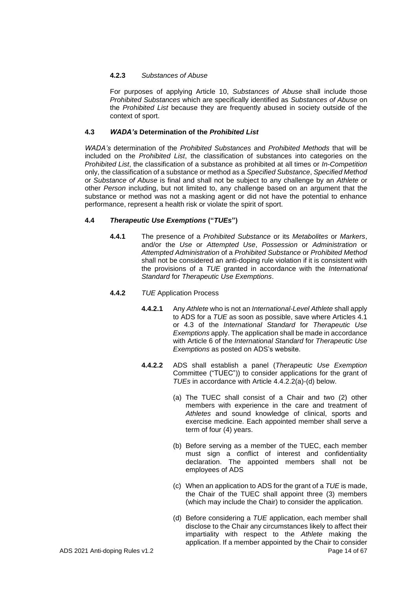# **4.2.3** *Substances of Abuse*

For purposes of applying Article 10, *Substances of Abuse* shall include those *Prohibited Substances* which are specifically identified as *Substances of Abuse* on the *Prohibited List* because they are frequently abused in society outside of the context of sport.

# **4.3** *WADA's* **Determination of the** *Prohibited List*

*WADA's* determination of the *Prohibited Substances* and *Prohibited Methods* that will be included on the *Prohibited List*, the classification of substances into categories on the *Prohibited List*, the classification of a substance as prohibited at all times or *In-Competition* only, the classification of a substance or method as a *Specified Substance*, *Specified Method* or *Substance of Abuse* is final and shall not be subject to any challenge by an *Athlete* or other *Person* including, but not limited to, any challenge based on an argument that the substance or method was not a masking agent or did not have the potential to enhance performance, represent a health risk or violate the spirit of sport.

# **4.4** *Therapeutic Use Exemptions* **("***TUEs***")**

- **4.4.1** The presence of a *Prohibited Substance* or its *Metabolites* or *Markers*, and/or the *Use* or *Attempted Use*, *Possession* or *Administration* or *Attempted Administration* of a *Prohibited Substance* or *Prohibited Method* shall not be considered an anti-doping rule violation if it is consistent with the provisions of a *TUE* granted in accordance with the *International Standard* for *Therapeutic Use Exemptions*.
- **4.4.2** *TUE* Application Process
	- **4.4.2.1** Any *Athlete* who is not an *International-Level Athlete* shall apply to ADS for a *TUE* as soon as possible, save where Articles 4.1 or 4.3 of the *International Standard* for *Therapeutic Use Exemptions* apply. The application shall be made in accordance with Article 6 of the *International Standard* for *Therapeutic Use Exemptions* as posted on ADS's website.
	- **4.4.2.2** ADS shall establish a panel (*Therapeutic Use Exemption* Committee ("TUEC")) to consider applications for the grant of *TUEs* in accordance with Article 4.4.2.2(a)-(d) below.
		- (a) The TUEC shall consist of a Chair and two (2) other members with experience in the care and treatment of *Athletes* and sound knowledge of clinical, sports and exercise medicine. Each appointed member shall serve a term of four (4) years.
		- (b) Before serving as a member of the TUEC, each member must sign a conflict of interest and confidentiality declaration. The appointed members shall not be employees of ADS
		- (c) When an application to ADS for the grant of a *TUE* is made, the Chair of the TUEC shall appoint three (3) members (which may include the Chair) to consider the application.
- ADS 2021 Anti-doping Rules v1.2 **Page 14 of 67** Page 14 of 67 (d) Before considering a *TUE* application, each member shall disclose to the Chair any circumstances likely to affect their impartiality with respect to the *Athlete* making the application. If a member appointed by the Chair to consider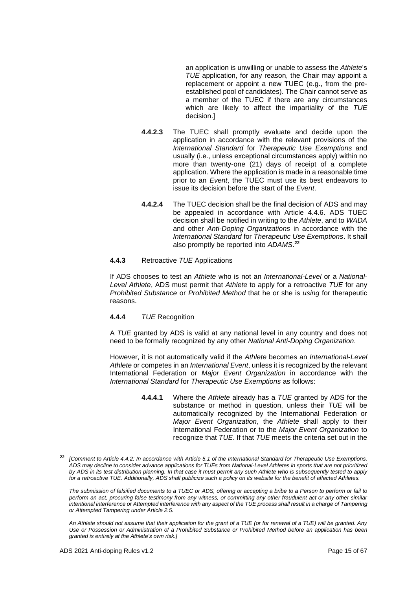an application is unwilling or unable to assess the *Athlete*'s *TUE* application, for any reason, the Chair may appoint a replacement or appoint a new TUEC (e.g., from the preestablished pool of candidates). The Chair cannot serve as a member of the TUEC if there are any circumstances which are likely to affect the impartiality of the *TUE* decision.]

- **4.4.2.3** The TUEC shall promptly evaluate and decide upon the application in accordance with the relevant provisions of the *International Standard* for *Therapeutic Use Exemptions* and usually (i.e., unless exceptional circumstances apply) within no more than twenty-one (21) days of receipt of a complete application. Where the application is made in a reasonable time prior to an *Event*, the TUEC must use its best endeavors to issue its decision before the start of the *Event*.
- **4.4.2.4** The TUEC decision shall be the final decision of ADS and may be appealed in accordance with Article 4.4.6. ADS TUEC decision shall be notified in writing to the *Athlete*, and to *WADA* and other *Anti-Doping Organizations* in accordance with the *International Standard* for *Therapeutic Use Exemptions*. It shall also promptly be reported into *ADAMS*. **22**

## **4.4.3** Retroactive *TUE* Applications

If ADS chooses to test an *Athlete* who is not an *International-Level* or a *National-Level Athlete*, ADS must permit that *Athlete* to apply for a retroactive *TUE* for any *Prohibited Substance* or *Prohibited Method* that he or she is *using* for therapeutic reasons.

# **4.4.4** *TUE* Recognition

A *TUE* granted by ADS is valid at any national level in any country and does not need to be formally recognized by any other *National Anti-Doping Organization*.

However, it is not automatically valid if the *Athlete* becomes an *International-Level Athlete* or competes in an *International Event*, unless it is recognized by the relevant International Federation or *Major Event Organization* in accordance with the *International Standard* for *Therapeutic Use Exemptions* as follows:

> **4.4.4.1** Where the *Athlete* already has a *TUE* granted by ADS for the substance or method in question, unless their *TUE* will be automatically recognized by the International Federation or *Major Event Organization*, the *Athlete* shall apply to their International Federation or to the *Major Event Organization* to recognize that *TUE*. If that *TUE* meets the criteria set out in the

**<sup>22</sup>** *[Comment to Article 4.4.2: In accordance with Article 5.1 of the International Standard for Therapeutic Use Exemptions, ADS may decline to consider advance applications for TUEs from National-Level Athletes in sports that are not prioritized by ADS in its test distribution planning. In that case it must permit any such Athlete who is subsequently tested to apply for a retroactive TUE. Additionally, ADS shall publicize such a policy on its website for the benefit of affected Athletes.*

*The submission of falsified documents to a TUEC or ADS, offering or accepting a bribe to a Person to perform or fail to perform an act, procuring false testimony from any witness, or committing any other fraudulent act or any other similar intentional interference or Attempted interference with any aspect of the TUE process shall result in a charge of Tampering or Attempted Tampering under Article 2.5.*

*An Athlete should not assume that their application for the grant of a TUE (or for renewal of a TUE) will be granted. Any Use or Possession or Administration of a Prohibited Substance or Prohibited Method before an application has been granted is entirely at the Athlete's own risk.]*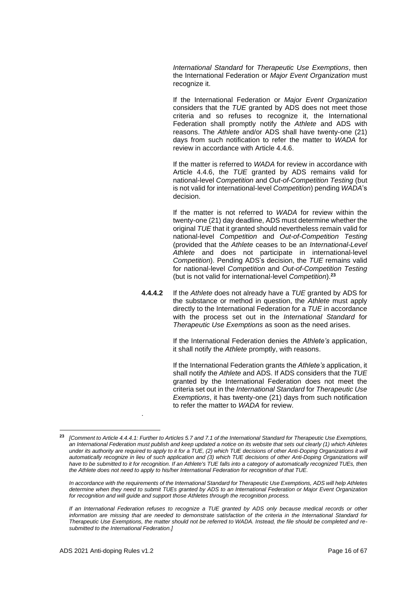*International Standard* for *Therapeutic Use Exemptions*, then the International Federation or *Major Event Organization* must recognize it.

If the International Federation or *Major Event Organization* considers that the *TUE* granted by ADS does not meet those criteria and so refuses to recognize it, the International Federation shall promptly notify the *Athlete* and ADS with reasons. The *Athlete* and/or ADS shall have twenty-one (21) days from such notification to refer the matter to *WADA* for review in accordance with Article 4.4.6.

If the matter is referred to *WADA* for review in accordance with Article 4.4.6, the *TUE* granted by ADS remains valid for national-level *Competition* and *Out-of-Competition Testing* (but is not valid for international-level *Competition*) pending *WADA*'s decision.

If the matter is not referred to *WADA* for review within the twenty-one (21) day deadline, ADS must determine whether the original *TUE* that it granted should nevertheless remain valid for national-level *Competition* and *Out-of-Competition Testing* (provided that the *Athlete* ceases to be an *International-Level Athlete* and does not participate in international-level *Competition*). Pending ADS's decision, the *TUE* remains valid for national-level *Competition* and *Out-of-Competition Testing* (but is not valid for international-level *Competition*).**<sup>23</sup>**

**4.4.4.2** If the *Athlete* does not already have a *TUE* granted by ADS for the substance or method in question, the *Athlete* must apply directly to the International Federation for a *TUE* in accordance with the process set out in the *International Standard* for *Therapeutic Use Exemptions* as soon as the need arises.

> If the International Federation denies the *Athlete's* application, it shall notify the *Athlete* promptly, with reasons.

> If the International Federation grants the *Athlete's* application, it shall notify the *Athlete* and ADS. If ADS considers that the *TUE* granted by the International Federation does not meet the criteria set out in the *International Standard* for *Therapeutic Use Exemptions*, it has twenty-one (21) days from such notification to refer the matter to *WADA* for review.

*In accordance with the requirements of the International Standard for Therapeutic Use Exemptions, ADS will help Athletes determine when they need to submit TUEs granted by ADS to an International Federation or Major Event Organization for recognition and will guide and support those Athletes through the recognition process.*

.

**<sup>23</sup>** *[Comment to Article 4.4.4.1: Further to Articles 5.7 and 7.1 of the International Standard for Therapeutic Use Exemptions, an International Federation must publish and keep updated a notice on its website that sets out clearly (1) which Athletes under its authority are required to apply to it for a TUE, (2) which TUE decisions of other Anti-Doping Organizations it will*  automatically recognize in lieu of such application and (3) which TUE decisions of other Anti-Doping Organizations will have to be submitted to it for recognition. If an Athlete's TUE falls into a category of automatically recognized TUEs, then *the Athlete does not need to apply to his/her International Federation for recognition of that TUE.*

*If an International Federation refuses to recognize a TUE granted by ADS only because medical records or other information are missing that are needed to demonstrate satisfaction of the criteria in the International Standard for Therapeutic Use Exemptions, the matter should not be referred to WADA. Instead, the file should be completed and resubmitted to the International Federation.]*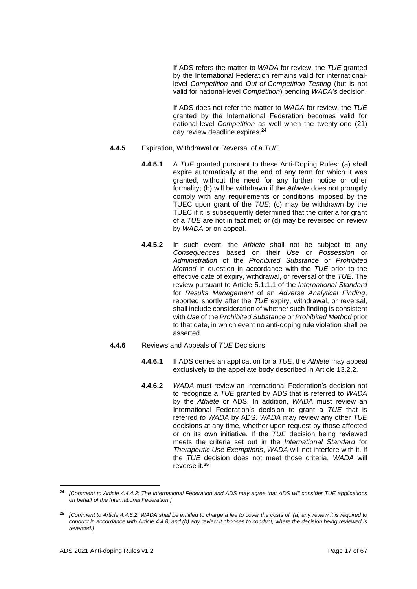If ADS refers the matter to *WADA* for review, the *TUE* granted by the International Federation remains valid for internationallevel *Competition* and *Out-of-Competition Testing* (but is not valid for national-level *Competition*) pending *WADA's* decision.

If ADS does not refer the matter to *WADA* for review, the *TUE* granted by the International Federation becomes valid for national-level *Competition* as well when the twenty-one (21) day review deadline expires.**<sup>24</sup>**

- **4.4.5** Expiration, Withdrawal or Reversal of a *TUE*
	- **4.4.5.1** A *TUE* granted pursuant to these Anti-Doping Rules: (a) shall expire automatically at the end of any term for which it was granted, without the need for any further notice or other formality; (b) will be withdrawn if the *Athlete* does not promptly comply with any requirements or conditions imposed by the TUEC upon grant of the *TUE*; (c) may be withdrawn by the TUEC if it is subsequently determined that the criteria for grant of a *TUE* are not in fact met; or (d) may be reversed on review by *WADA* or on appeal.
	- **4.4.5.2** In such event, the *Athlete* shall not be subject to any *Consequences* based on their *Use* or *Possession* or *Administration* of the *Prohibited Substance* or *Prohibited Method* in question in accordance with the *TUE* prior to the effective date of expiry, withdrawal, or reversal of the *TUE*. The review pursuant to Article 5.1.1.1 of the *International Standard* for *Results Management* of an *Adverse Analytical Finding*, reported shortly after the *TUE* expiry, withdrawal, or reversal, shall include consideration of whether such finding is consistent with *Use* of the *Prohibited Substance* or *Prohibited Method* prior to that date, in which event no anti-doping rule violation shall be asserted.
- **4.4.6** Reviews and Appeals of *TUE* Decisions
	- **4.4.6.1** If ADS denies an application for a *TUE*, the *Athlete* may appeal exclusively to the appellate body described in Article 13.2.2.
	- **4.4.6.2** *WADA* must review an International Federation's decision not to recognize a *TUE* granted by ADS that is referred to *WADA* by the *Athlete* or ADS. In addition, *WADA* must review an International Federation's decision to grant a *TUE* that is referred *to WADA* by ADS. *WADA* may review any other *TUE* decisions at any time, whether upon request by those affected or on its own initiative. If the *TUE* decision being reviewed meets the criteria set out in the *International Standard* for *Therapeutic Use Exemptions*, *WADA* will not interfere with it. If the *TUE* decision does not meet those criteria, *WADA* will reverse it.**<sup>25</sup>**

**<sup>24</sup>** *[Comment to Article 4.4.4.2: The International Federation and ADS may agree that ADS will consider TUE applications on behalf of the International Federation.]*

**<sup>25</sup>** *[Comment to Article 4.4.6.2: WADA shall be entitled to charge a fee to cover the costs of: (a) any review it is required to conduct in accordance with Article 4.4.8; and (b) any review it chooses to conduct, where the decision being reviewed is reversed.]*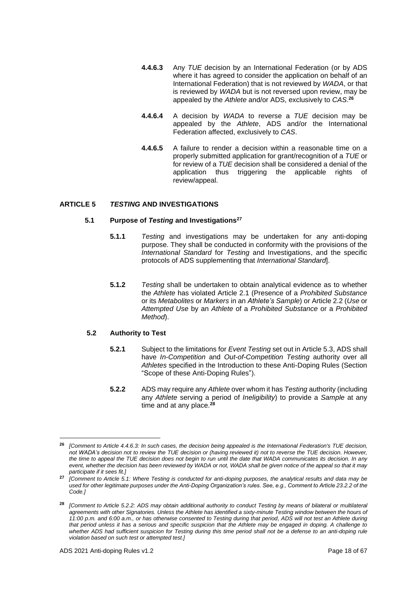- **4.4.6.3** Any *TUE* decision by an International Federation (or by ADS where it has agreed to consider the application on behalf of an International Federation) that is not reviewed by *WADA*, or that is reviewed by *WADA* but is not reversed upon review, may be appealed by the *Athlete* and/or ADS, exclusively to *CAS*. **26**
- **4.4.6.4** A decision by *WADA* to reverse a *TUE* decision may be appealed by the *Athlete*, ADS and/or the International Federation affected, exclusively to *CAS*.
- **4.4.6.5** A failure to render a decision within a reasonable time on a properly submitted application for grant/recognition of a *TUE* or for review of a *TUE* decision shall be considered a denial of the application thus triggering the applicable rights of review/appeal.

# <span id="page-17-0"></span>**ARTICLE 5** *TESTING* **AND INVESTIGATIONS**

## **5.1 Purpose of** *Testing* **and Investigations<sup>27</sup>**

- **5.1.1** *Testing* and investigations may be undertaken for any anti-doping purpose. They shall be conducted in conformity with the provisions of the *International Standard* for *Testing* and Investigations, and the specific protocols of ADS supplementing that *International Standard*].
- **5.1.2** *Testing* shall be undertaken to obtain analytical evidence as to whether the *Athlete* has violated Article 2.1 (Presence of a *Prohibited Substance* or its *Metabolites* or *Markers* in an *Athlete's Sample*) or Article 2.2 (*Use* or *Attempted Use* by an *Athlete* of a *Prohibited Substance* or a *Prohibited Method*).

# **5.2 Authority to Test**

- **5.2.1** Subject to the limitations for *Event Testing* set out in Article 5.3, ADS shall have *In-Competition* and *Out-of-Competition Testing* authority over all *Athletes* specified in the Introduction to these Anti-Doping Rules (Section "Scope of these Anti-Doping Rules").
- **5.2.2** ADS may require any *Athlete* over whom it has *Testing* authority (including any *Athlete* serving a period of *Ineligibility*) to provide a *Sample* at any time and at any place.**<sup>28</sup>**

**<sup>26</sup>** *[Comment to Article 4.4.6.3: In such cases, the decision being appealed is the International Federation's TUE decision, not WADA's decision not to review the TUE decision or (having reviewed it) not to reverse the TUE decision. However, the time to appeal the TUE decision does not begin to run until the date that WADA communicates its decision. In any event, whether the decision has been reviewed by WADA or not, WADA shall be given notice of the appeal so that it may participate if it sees fit.]*

**<sup>27</sup>** *[Comment to Article 5.1: Where Testing is conducted for anti-doping purposes, the analytical results and data may be used for other legitimate purposes under the Anti-Doping Organization's rules. See, e.g., Comment to Article 23.2.2 of the Code.]*

**<sup>28</sup>** *[Comment to Article 5.2.2: ADS may obtain additional authority to conduct Testing by means of bilateral or multilateral agreements with other Signatories. Unless the Athlete has identified a sixty-minute Testing window between the hours of 11:00 p.m. and 6:00 a.m., or has otherwise consented to Testing during that period, ADS will not test an Athlete during that period unless it has a serious and specific suspicion that the Athlete may be engaged in doping. A challenge to whether ADS had sufficient suspicion for Testing during this time period shall not be a defense to an anti-doping rule violation based on such test or attempted test.]*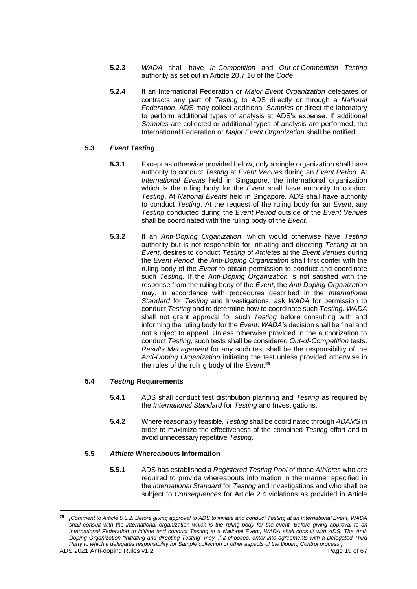- **5.2.3** *WADA* shall have *In-Competition* and *Out-of-Competition Testing* authority as set out in Article 20.7.10 of the *Code*.
- **5.2.4** If an International Federation or *Major Event Organization* delegates or contracts any part of *Testing* to ADS directly or through a *National Federation*, ADS may collect additional *Samples* or direct the laboratory to perform additional types of analysis at ADS's expense. If additional *Samples* are collected or additional types of analysis are performed, the International Federation or *Major Event Organization* shall be notified.

# **5.3** *Event Testing*

- **5.3.1** Except as otherwise provided below, only a single organization shall have authority to conduct *Testing* at *Event Venues* during an *Event Period*. At *International Events* held in Singapore, the international organization which is the ruling body for the *Event* shall have authority to conduct *Testing*. At *National Events* held in Singapore*,* ADS shall have authority to conduct *Testing*. At the request of the ruling body for an *Event*, any *Testing* conducted during the *Event Period* outside of the *Event Venues* shall be coordinated with the ruling body of the *Event*.
- **5.3.2** If an *Anti-Doping Organization*, which would otherwise have *Testing* authority but is not responsible for initiating and directing *Testing* at an *Event*, desires to conduct *Testing* of *Athletes* at the *Event Venues* during the *Event Period*, the *Anti-Doping Organization* shall first confer with the ruling body of the *Event* to obtain permission to conduct and coordinate such *Testing*. If the *Anti-Doping Organization* is not satisfied with the response from the ruling body of the *Event*, the *Anti-Doping Organization* may, in accordance with procedures described in the *International Standard* for *Testing* and Investigations, ask *WADA* for permission to conduct *Testing* and to determine how to coordinate such *Testing*. *WADA* shall not grant approval for such *Testing* before consulting with and informing the ruling body for the *Event*. *WADA's* decision shall be final and not subject to appeal. Unless otherwise provided in the authorization to conduct *Testing*, such tests shall be considered *Out-of-Competition* tests. *Results Management* for any such test shall be the responsibility of the *Anti-Doping Organization* initiating the test unless provided otherwise in the rules of the ruling body of the *Event*. **29**

# **5.4** *Testing* **Requirements**

- **5.4.1** ADS shall conduct test distribution planning and *Testing* as required by the *International Standard* for *Testing* and Investigations.
- **5.4.2** Where reasonably feasible, *Testing* shall be coordinated through *ADAMS* in order to maximize the effectiveness of the combined *Testing* effort and to avoid unnecessary repetitive *Testing*.

# **5.5** *Athlete* **Whereabouts Information**

**5.5.1** ADS has established a *Registered Testing Pool* of those *Athletes* who are required to provide whereabouts information in the manner specified in the *International Standard* for *Testing* and Investigations and who shall be subject to *Consequences* for Article 2.4 violations as provided in Article

ADS 2021 Anti-doping Rules v1.2 **Page 19 of 67** Page 19 of 67 **<sup>29</sup>** *[Comment to Article 5.3.2: Before giving approval to ADS to initiate and conduct Testing at an International Event, WADA shall consult with the international organization which is the ruling body for the event. Before giving approval to an International Federation to initiate and conduct Testing at a National Event, WADA shall consult with ADS. The Anti-Doping Organization "initiating and directing Testing" may, if it chooses, enter into agreements with a Delegated Third Party to which it delegates responsibility for Sample collection or other aspects of the Doping Control process.]*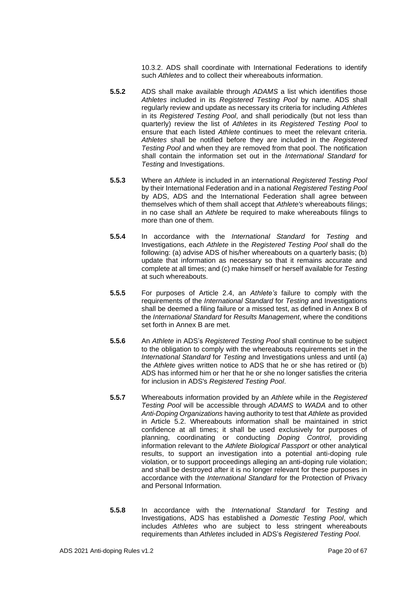10.3.2. ADS shall coordinate with International Federations to identify such *Athletes* and to collect their whereabouts information.

- **5.5.2** ADS shall make available through *ADAMS* a list which identifies those *Athletes* included in its *Registered Testing Pool* by name. ADS shall regularly review and update as necessary its criteria for including *Athletes* in its *Registered Testing Pool*, and shall periodically (but not less than quarterly) review the list of *Athletes* in its *Registered Testing Pool* to ensure that each listed *Athlete* continues to meet the relevant criteria. *Athletes* shall be notified before they are included in the *Registered Testing Pool* and when they are removed from that pool. The notification shall contain the information set out in the *International Standard* for *Testing* and Investigations.
- **5.5.3** Where an *Athlete* is included in an international *Registered Testing Pool*  by their International Federation and in a national *Registered Testing Pool*  by ADS, ADS and the International Federation shall agree between themselves which of them shall accept that *Athlete's* whereabouts filings; in no case shall an *Athlete* be required to make whereabouts filings to more than one of them.
- **5.5.4** In accordance with the *International Standard* for *Testing* and Investigations, each *Athlete* in the *Registered Testing Pool* shall do the following: (a) advise ADS of his/her whereabouts on a quarterly basis; (b) update that information as necessary so that it remains accurate and complete at all times; and (c) make himself or herself available for *Testing* at such whereabouts.
- **5.5.5** For purposes of Article 2.4, an *Athlete's* failure to comply with the requirements of the *International Standard* for *Testing* and Investigations shall be deemed a filing failure or a missed test, as defined in Annex B of the *International Standard* for *Results Management*, where the conditions set forth in Annex B are met.
- **5.5.6** An *Athlete* in ADS's *Registered Testing Pool* shall continue to be subject to the obligation to comply with the whereabouts requirements set in the *International Standard* for *Testing* and Investigations unless and until (a) the *Athlete* gives written notice to ADS that he or she has retired or (b) ADS has informed him or her that he or she no longer satisfies the criteria for inclusion in ADS's *Registered Testing Pool*.
- **5.5.7** Whereabouts information provided by an *Athlete* while in the *Registered Testing Pool* will be accessible through *ADAMS* to *WADA* and to other *Anti-Doping Organizations* having authority to test that *Athlete* as provided in Article 5.2. Whereabouts information shall be maintained in strict confidence at all times; it shall be used exclusively for purposes of planning, coordinating or conducting *Doping Control*, providing information relevant to the *Athlete Biological Passport* or other analytical results, to support an investigation into a potential anti-doping rule violation, or to support proceedings alleging an anti-doping rule violation; and shall be destroyed after it is no longer relevant for these purposes in accordance with the *International Standard* for the Protection of Privacy and Personal Information.
- **5.5.8** In accordance with the *International Standard* for *Testing* and Investigations, ADS has established a *Domestic Testing Pool*, which includes *Athletes* who are subject to less stringent whereabouts requirements than *Athletes* included in ADS's *Registered Testing Pool*.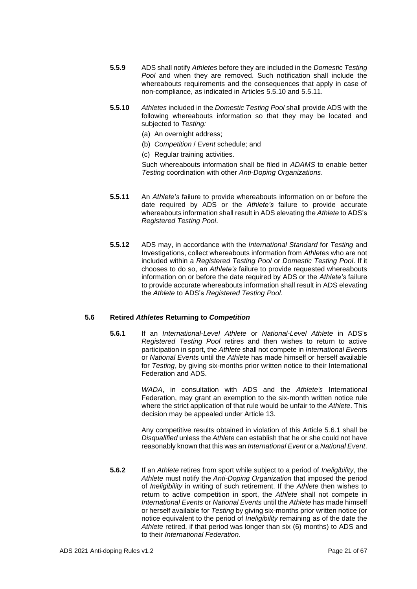- **5.5.9** ADS shall notify *Athletes* before they are included in the *Domestic Testing Pool* and when they are removed. Such notification shall include the whereabouts requirements and the consequences that apply in case of non-compliance, as indicated in Articles 5.5.10 and 5.5.11.
- **5.5.10** *Athletes* included in the *Domestic Testing Pool* shall provide ADS with the following whereabouts information so that they may be located and subjected to *Testing:* 
	- (a) An overnight address;
	- (b) *Competition* / *Event* schedule; and
	- (c) Regular training activities.

Such whereabouts information shall be filed in *ADAMS* to enable better *Testing* coordination with other *Anti-Doping Organizations*.

- **5.5.11** An *Athlete's* failure to provide whereabouts information on or before the date required by ADS or the *Athlete's* failure to provide accurate whereabouts information shall result in ADS elevating the *Athlete* to ADS's *Registered Testing Pool*.
- **5.5.12** ADS may, in accordance with the *International Standard* for *Testing* and Investigations, collect whereabouts information from *Athletes* who are not included within a *Registered Testing Pool* or *Domestic Testing Pool*. If it chooses to do so, an *Athlete's* failure to provide requested whereabouts information on or before the date required by ADS or the *Athlete's* failure to provide accurate whereabouts information shall result in ADS elevating the *Athlete* to ADS's *Registered Testing Pool*.

# **5.6 Retired** *Athletes* **Returning to** *Competition*

**5.6.1** If an *International-Level Athlete* or *National-Level Athlete* in ADS's *Registered Testing Pool* retires and then wishes to return to active participation in sport, the *Athlete* shall not compete in *International Event*s or *National Event*s until the *Athlete* has made himself or herself available for *Testing*, by giving six-months prior written notice to their International Federation and ADS.

> *WADA*, in consultation with ADS and the *Athlete's* International Federation, may grant an exemption to the six-month written notice rule where the strict application of that rule would be unfair to the *Athlete*. This decision may be appealed under Article 13.

> Any competitive results obtained in violation of this Article 5.6.1 shall be *Disqualified* unless the *Athlete* can establish that he or she could not have reasonably known that this was an *International Event* or a *National Event*.

**5.6.2** If an *Athlete* retires from sport while subject to a period of *Ineligibility*, the *Athlete* must notify the *Anti-Doping Organization* that imposed the period of *Ineligibility* in writing of such retirement. If the *Athlete* then wishes to return to active competition in sport, the *Athlete* shall not compete in *International Events* or *National Events* until the *Athlete* has made himself or herself available for *Testing* by giving six-months prior written notice (or notice equivalent to the period of *Ineligibility* remaining as of the date the *Athlete* retired, if that period was longer than six (6) months) to ADS and to their *International Federation*.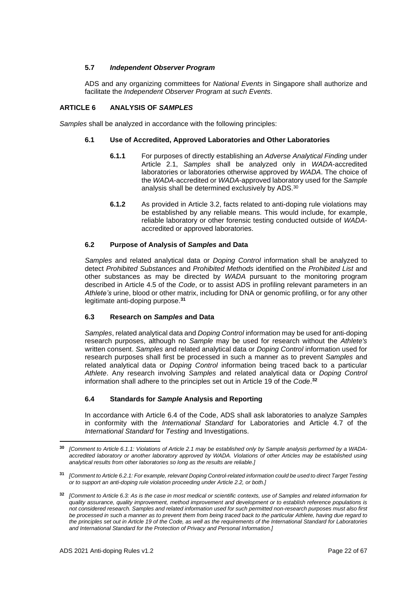# **5.7** *Independent Observer Program*

ADS and any organizing committees for *National Events* in Singapore shall authorize and facilitate the *Independent Observer Program* at *such Events*.

# <span id="page-21-0"></span>**ARTICLE 6 ANALYSIS OF** *SAMPLES*

*Samples* shall be analyzed in accordance with the following principles:

# **6.1 Use of Accredited, Approved Laboratories and Other Laboratories**

- **6.1.1** For purposes of directly establishing an *Adverse Analytical Finding* under Article 2.1, *Samples* shall be analyzed only in *WADA*-accredited laboratories or laboratories otherwise approved by *WADA*. The choice of the *WADA*-accredited or *WADA*-approved laboratory used for the *Sample* analysis shall be determined exclusively by ADS.<sup>30</sup>
- **6.1.2** As provided in Article 3.2, facts related to anti-doping rule violations may be established by any reliable means. This would include, for example, reliable laboratory or other forensic testing conducted outside of *WADA*accredited or approved laboratories.

# **6.2 Purpose of Analysis of** *Samples* **and Data**

*Samples* and related analytical data or *Doping Control* information shall be analyzed to detect *Prohibited Substances* and *Prohibited Methods* identified on the *Prohibited List* and other substances as may be directed by *WADA* pursuant to the monitoring program described in Article 4.5 of the *Code*, or to assist ADS in profiling relevant parameters in an *Athlete's* urine, blood or other matrix, including for DNA or genomic profiling, or for any other legitimate anti-doping purpose.**<sup>31</sup>**

# **6.3 Research on** *Samples* **and Data**

*Samples*, related analytical data and *Doping Control* information may be used for anti-doping research purposes, although no *Sample* may be used for research without the *Athlete's* written consent. *Samples* and related analytical data or *Doping Control* information used for research purposes shall first be processed in such a manner as to prevent *Samples* and related analytical data or *Doping Control* information being traced back to a particular *Athlete*. Any research involving *Samples* and related analytical data or *Doping Control* information shall adhere to the principles set out in Article 19 of the *Code*. **32**

# **6.4 Standards for** *Sample* **Analysis and Reporting**

In accordance with Article 6.4 of the Code, ADS shall ask laboratories to analyze *Samples* in conformity with the *International Standard* for Laboratories and Article 4.7 of the *International Standard* for *Testing* and Investigations.

**<sup>30</sup>** *[Comment to Article 6.1.1: Violations of Article 2.1 may be established only by Sample analysis performed by a WADAaccredited laboratory or another laboratory approved by WADA. Violations of other Articles may be established using analytical results from other laboratories so long as the results are reliable.]*

**<sup>31</sup>** *[Comment to Article 6.2.1: For example, relevant Doping Control-related information could be used to direct Target Testing or to support an anti-doping rule violation proceeding under Article 2.2, or both.]*

**<sup>32</sup>** *[Comment to Article 6.3: As is the case in most medical or scientific contexts, use of Samples and related information for quality assurance, quality improvement, method improvement and development or to establish reference populations is not considered research. Samples and related information used for such permitted non-research purposes must also first be processed in such a manner as to prevent them from being traced back to the particular Athlete, having due regard to the principles set out in Article 19 of the Code, as well as the requirements of the International Standard for Laboratories and International Standard for the Protection of Privacy and Personal Information.]*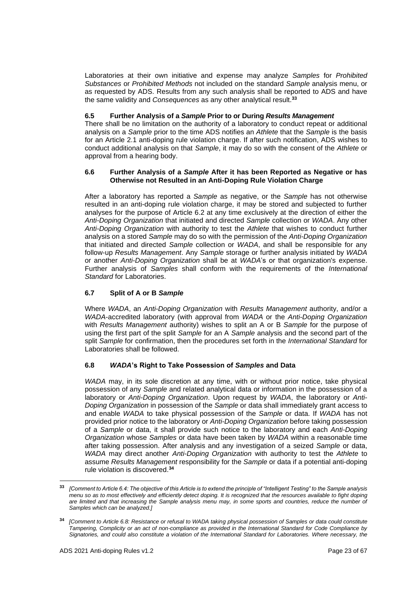Laboratories at their own initiative and expense may analyze *Samples* for *Prohibited Substances* or *Prohibited Methods* not included on the standard *Sample* analysis menu, or as requested by ADS. Results from any such analysis shall be reported to ADS and have the same validity and *Consequences* as any other analytical result.**<sup>33</sup>**

# **6.5 Further Analysis of a** *Sample* **Prior to or During** *Results Management*

There shall be no limitation on the authority of a laboratory to conduct repeat or additional analysis on a *Sample* prior to the time ADS notifies an *Athlete* that the *Sample* is the basis for an Article 2.1 anti-doping rule violation charge. If after such notification, ADS wishes to conduct additional analysis on that *Sample*, it may do so with the consent of the *Athlete* or approval from a hearing body.

## **6.6 Further Analysis of a** *Sample* **After it has been Reported as Negative or has Otherwise not Resulted in an Anti-Doping Rule Violation Charge**

After a laboratory has reported a *Sample* as negative, or the *Sample* has not otherwise resulted in an anti-doping rule violation charge, it may be stored and subjected to further analyses for the purpose of Article 6.2 at any time exclusively at the direction of either the *Anti-Doping Organization* that initiated and directed *Sample* collection or *WADA*. Any other *Anti-Doping Organization* with authority to test the *Athlete* that wishes to conduct further analysis on a stored *Sample* may do so with the permission of the *Anti-Doping Organization* that initiated and directed *Sample* collection or *WADA*, and shall be responsible for any follow-up *Results Management*. Any *Sample* storage or further analysis initiated by *WADA* or another *Anti-Doping Organization* shall be at *WADA*'s or that organization's expense. Further analysis of *Samples* shall conform with the requirements of the *International Standard* for Laboratories.

# **6.7 Split of A or B** *Sample*

Where *WADA*, an *Anti-Doping Organization* with *Results Management* authority, and/or a *WADA*-accredited laboratory (with approval from *WADA* or the *Anti-Doping Organization* with *Results Management* authority) wishes to split an A or B *Sample* for the purpose of using the first part of the split *Sample* for an A *Sample* analysis and the second part of the split *Sample* for confirmation, then the procedures set forth in the *International Standard* for Laboratories shall be followed.

# **6.8** *WADA***'s Right to Take Possession of** *Samples* **and Data**

*WADA* may, in its sole discretion at any time, with or without prior notice, take physical possession of any *Sample* and related analytical data or information in the possession of a laboratory or *Anti-Doping Organization*. Upon request by *WADA*, the laboratory or *Anti-Doping Organization* in possession of the *Sample* or data shall immediately grant access to and enable *WADA* to take physical possession of the *Sample* or data. If *WADA* has not provided prior notice to the laboratory or *Anti-Doping Organization* before taking possession of a *Sample* or data, it shall provide such notice to the laboratory and each *Anti-Doping Organization* whose *Samples* or data have been taken by *WADA* within a reasonable time after taking possession. After analysis and any investigation of a seized *Sample* or data, *WADA* may direct another *Anti-Doping Organization* with authority to test the *Athlete* to assume *Results Management* responsibility for the *Sample* or data if a potential anti-doping rule violation is discovered.**<sup>34</sup>**

**<sup>33</sup>** *[Comment to Article 6.4: The objective of this Article is to extend the principle of "Intelligent Testing" to the Sample analysis menu so as to most effectively and efficiently detect doping. It is recognized that the resources available to fight doping are limited and that increasing the Sample analysis menu may, in some sports and countries, reduce the number of Samples which can be analyzed.]*

**<sup>34</sup>** *[Comment to Article 6.8: Resistance or refusal to WADA taking physical possession of Samples or data could constitute Tampering, Complicity or an act of non-compliance as provided in the International Standard for Code Compliance by Signatories, and could also constitute a violation of the International Standard for Laboratories. Where necessary, the*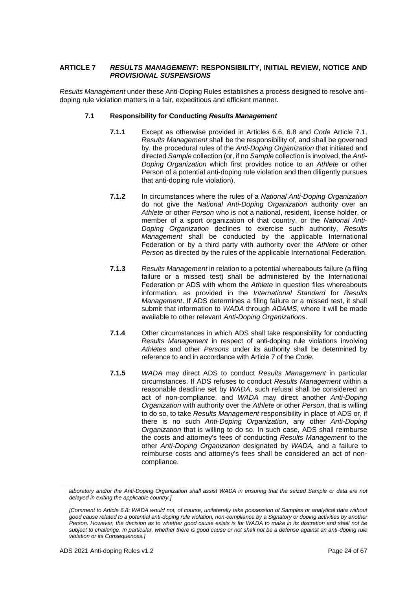# <span id="page-23-0"></span>**ARTICLE 7** *RESULTS MANAGEMENT***: RESPONSIBILITY, INITIAL REVIEW, NOTICE AND**  *PROVISIONAL SUSPENSIONS*

*Results Management* under these Anti-Doping Rules establishes a process designed to resolve antidoping rule violation matters in a fair, expeditious and efficient manner.

# **7.1 Responsibility for Conducting** *Results Management*

- **7.1.1** Except as otherwise provided in Articles 6.6, 6.8 and *Code* Article 7.1, *Results Management* shall be the responsibility of, and shall be governed by, the procedural rules of the *Anti-Doping Organization* that initiated and directed *Sample* collection (or, if no *Sample* collection is involved, the *Anti-Doping Organization* which first provides notice to an *Athlete* or other Person of a potential anti-doping rule violation and then diligently pursues that anti-doping rule violation).
- **7.1.2** In circumstances where the rules of a *National Anti-Doping Organization* do not give the *National Anti-Doping Organization* authority over an *Athlete* or other *Person* who is not a national, resident, license holder, or member of a sport organization of that country, or the *National Anti-Doping Organization* declines to exercise such authority, *Results Management* shall be conducted by the applicable International Federation or by a third party with authority over the *Athlete* or other *Person* as directed by the rules of the applicable International Federation.
- **7.1.3** *Results Management* in relation to a potential whereabouts failure (a filing failure or a missed test) shall be administered by the International Federation or ADS with whom the *Athlete* in question files whereabouts information, as provided in the *International Standard* for *Results Management*. If ADS determines a filing failure or a missed test, it shall submit that information to *WADA* through *ADAMS*, where it will be made available to other relevant *Anti-Doping Organizations*.
- **7.1.4** Other circumstances in which ADS shall take responsibility for conducting *Results Management* in respect of anti-doping rule violations involving *Athletes* and other *Persons* under its authority shall be determined by reference to and in accordance with Article 7 of the *Code.*
- **7.1.5** *WADA* may direct ADS to conduct *Results Management* in particular circumstances. If ADS refuses to conduct *Results Management* within a reasonable deadline set by WADA, such refusal shall be considered an act of non-compliance, and *WADA* may direct another *Anti-Doping Organization* with authority over the *Athlete* or other *Person*, that is willing to do so, to take *Results Management* responsibility in place of ADS or, if there is no such *Anti-Doping Organization*, any other *Anti-Doping Organization* that is willing to do so. In such case, ADS shall reimburse the costs and attorney's fees of conducting *Results Management* to the other *Anti-Doping Organization* designated by *WADA,* and a failure to reimburse costs and attorney's fees shall be considered an act of noncompliance.

*laboratory and/or the Anti-Doping Organization shall assist WADA in ensuring that the seized Sample or data are not delayed in exiting the applicable country.]*

*<sup>[</sup>Comment to Article 6.8: WADA would not, of course, unilaterally take possession of Samples or analytical data without good cause related to a potential anti-doping rule violation, non-compliance by a Signatory or doping activities by another Person. However, the decision as to whether good cause exists is for WADA to make in its discretion and shall not be subject to challenge. In particular, whether there is good cause or not shall not be a defense against an anti-doping rule violation or its Consequences.]*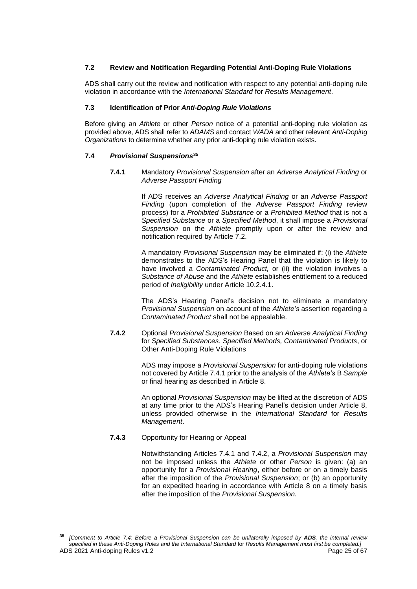# **7.2 Review and Notification Regarding Potential Anti-Doping Rule Violations**

ADS shall carry out the review and notification with respect to any potential anti-doping rule violation in accordance with the *International Standard* for *Results Management*.

# **7.3 Identification of Prior** *Anti-Doping Rule Violations*

Before giving an *Athlete* or other *Person* notice of a potential anti-doping rule violation as provided above, ADS shall refer to *ADAMS* and contact *WADA* and other relevant *Anti-Doping Organizations* to determine whether any prior anti-doping rule violation exists.

## **7.4** *Provisional Suspensions***<sup>35</sup>**

**7.4.1** Mandatory *Provisional Suspension* after an *Adverse Analytical Finding* or *Adverse Passport Finding*

> If ADS receives an *Adverse Analytical Finding* or an *Adverse Passport Finding* (upon completion of the *Adverse Passport Finding* review process) for a *Prohibited Substance* or a *Prohibited Method* that is not a *Specified Substance* or a *Specified Method*, it shall impose a *Provisional Suspension* on the *Athlete* promptly upon or after the review and notification required by Article 7.2.

> A mandatory *Provisional Suspension* may be eliminated if: (i) the *Athlete*  demonstrates to the ADS's Hearing Panel that the violation is likely to have involved a *Contaminated Product,* or (ii) the violation involves a *Substance of Abuse* and the *Athlete* establishes entitlement to a reduced period of *Ineligibility* under Article 10.2.4.1.

> The ADS's Hearing Panel's decision not to eliminate a mandatory *Provisional Suspension* on account of the *Athlete's* assertion regarding a *Contaminated Product* shall not be appealable.

**7.4.2** Optional *Provisional Suspension* Based on an *Adverse Analytical Finding*  for *Specified Substances*, *Specified Methods, Contaminated Products*, or Other Anti-Doping Rule Violations

> ADS may impose a *Provisional Suspension* for anti-doping rule violations not covered by Article 7.4.1 prior to the analysis of the *Athlete's* B *Sample* or final hearing as described in Article 8.

> An optional *Provisional Suspension* may be lifted at the discretion of ADS at any time prior to the ADS's Hearing Panel's decision under Article 8, unless provided otherwise in the *International Standard* for *Results Management*.

# **7.4.3** Opportunity for Hearing or Appeal

Notwithstanding Articles 7.4.1 and 7.4.2, a *Provisional Suspension* may not be imposed unless the *Athlete* or other *Person* is given: (a) an opportunity for a *Provisional Hearing*, either before or on a timely basis after the imposition of the *Provisional Suspension*; or (b) an opportunity for an expedited hearing in accordance with Article 8 on a timely basis after the imposition of the *Provisional Suspension.*

ADS 2021 Anti-doping Rules v1.2 **Page 25 of 67** Page 25 of 67 **<sup>35</sup>** *[Comment to Article 7.4: Before a Provisional Suspension can be unilaterally imposed by ADS, the internal review specified in these Anti-Doping Rules and the International Standard* for *Results Management must first be completed.]*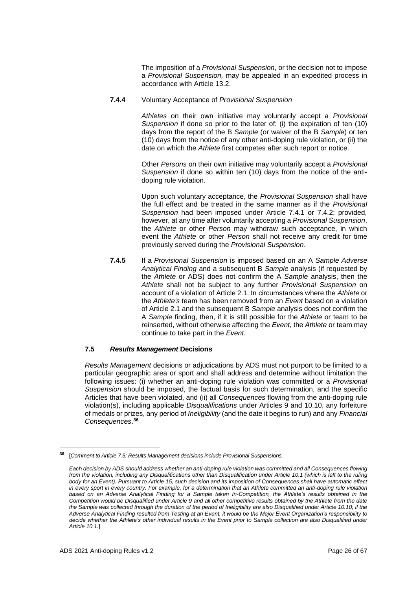The imposition of a *Provisional Suspension*, or the decision not to impose a *Provisional Suspension,* may be appealed in an expedited process in accordance with Article 13.2.

## **7.4.4** Voluntary Acceptance of *Provisional Suspension*

*Athletes* on their own initiative may voluntarily accept a *Provisional Suspension* if done so prior to the later of: (i) the expiration of ten (10) days from the report of the B *Sample* (or waiver of the B *Sample*) or ten (10) days from the notice of any other anti-doping rule violation, or (ii) the date on which the *Athlete* first competes after such report or notice.

Other *Persons* on their own initiative may voluntarily accept a *Provisional Suspension* if done so within ten (10) days from the notice of the antidoping rule violation.

Upon such voluntary acceptance, the *Provisional Suspension* shall have the full effect and be treated in the same manner as if the *Provisional Suspension* had been imposed under Article 7.4.1 or 7.4.2; provided, however, at any time after voluntarily accepting a *Provisional Suspension*, the *Athlete* or other *Person* may withdraw such acceptance, in which event the *Athlete* or other *Person* shall not receive any credit for time previously served during the *Provisional Suspension*.

**7.4.5** If a *Provisional Suspension* is imposed based on an A *Sample Adverse Analytical Finding* and a subsequent B *Sample* analysis (if requested by the *Athlete* or ADS) does not confirm the A *Sample* analysis, then the *Athlete* shall not be subject to any further *Provisional Suspension* on account of a violation of Article 2.1. In circumstances where the *Athlete* or the *Athlete's* team has been removed from an *Event* based on a violation of Article 2.1 and the subsequent B *Sample* analysis does not confirm the A *Sample* finding, then, if it is still possible for the *Athlete* or team to be reinserted, without otherwise affecting the *Event*, the *Athlete* or team may continue to take part in the *Event*.

# **7.5** *Results Management* **Decisions**

*Results Management* decisions or adjudications by ADS must not purport to be limited to a particular geographic area or sport and shall address and determine without limitation the following issues: (i) whether an anti-doping rule violation was committed or a *Provisional Suspension* should be imposed, the factual basis for such determination, and the specific Articles that have been violated, and (ii) all *Consequences* flowing from the anti-doping rule violation(s), including applicable *Disqualifications* under Articles 9 and 10.10, any forfeiture of medals or prizes, any period of *Ineligibility* (and the date it begins to run) and any *Financial Consequences*. **36**

**<sup>36</sup>** [*Comment to Article 7.5: Results Management decisions include Provisional Suspensions.*

*Each decision by ADS should address whether an anti-doping rule violation was committed and all Consequences flowing from the violation, including any Disqualifications other than Disqualification under Article 10.1 (which is left to the ruling body for an Event). Pursuant to Article 15, such decision and its imposition of Consequences shall have automatic effect*  in every sport in every country. For example, for a determination that an Athlete committed an anti-doping rule violation based on an Adverse Analytical Finding for a Sample taken In-Competition, the Athlete's results obtained in the *Competition would be Disqualified under Article 9 and all other competitive results obtained by the Athlete from the date the Sample was collected through the duration of the period of Ineligibility are also Disqualified under Article 10.10; if the Adverse Analytical Finding resulted from Testing at an Event, it would be the Major Event Organization's responsibility to*  decide whether the Athlete's other individual results in the Event prior to Sample collection are also Disqualified under *Article 10.1.*]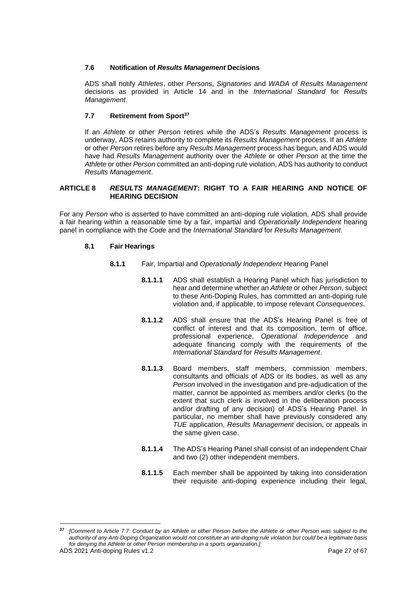# **7.6 Notification of** *Results Management* **Decisions**

ADS shall notify *Athletes*, other *Persons*, *Signatories* and *WADA* of *Results Management* decisions as provided in Article 14 and in the *International Standard* for *Results Management*.

# **7.7 Retirement from Sport<sup>37</sup>**

If an *Athlete* or other *Person* retires while the ADS's *Results Management* process is underway, ADS retains authority to complete its *Results Management* process. If an *Athlete*  or other *Person* retires before any *Results Management* process has begun, and ADS would have had *Results Management* authority over the *Athlete* or other *Person* at the time the *Athlete* or other *Person* committed an anti-doping rule violation, ADS has authority to conduct *Results Management*.

# <span id="page-26-0"></span>**ARTICLE 8** *RESULTS MANAGEMENT***: RIGHT TO A FAIR HEARING AND NOTICE OF HEARING DECISION**

For any *Person* who is asserted to have committed an anti-doping rule violation, ADS shall provide a fair hearing within a reasonable time by a fair, impartial and *Operationally Independent* hearing panel in compliance with the *Code* and the *International Standard* for *Results Management*.

# **8.1 Fair Hearings**

- **8.1.1** Fair, Impartial and *Operationally Independent* Hearing Panel
	- **8.1.1.1** ADS shall establish a Hearing Panel which has jurisdiction to hear and determine whether an *Athlete* or other *Person*, subject to these Anti-Doping Rules, has committed an anti-doping rule violation and, if applicable, to impose relevant *Consequences*.
	- **8.1.1.2** ADS shall ensure that the ADS's Hearing Panel is free of conflict of interest and that its composition, term of office, professional experience, *Operational Independence* and adequate financing comply with the requirements of the *International Standard* for *Results Management*.
	- **8.1.1.3** Board members, staff members, commission members, consultants and officials of ADS or its bodies, as well as any *Person* involved in the investigation and pre-adjudication of the matter, cannot be appointed as members and/or clerks (to the extent that such clerk is involved in the deliberation process and/or drafting of any decision) of ADS's Hearing Panel. In particular, no member shall have previously considered any *TUE* application, *Results Management* decision, or appeals in the same given case.
	- **8.1.1.4** The ADS's Hearing Panel shall consist of an independent Chair and two (2) other independent members.
	- **8.1.1.5** Each member shall be appointed by taking into consideration their requisite anti-doping experience including their legal,

**<sup>37</sup>** *[Comment to Article 7.7: Conduct by an Athlete or other Person before the Athlete or other Person was subject to the authority of any Anti-Doping Organization would not constitute an anti-doping rule violation but could be a legitimate basis for denying the Athlete or other Person membership in a sports organization.]*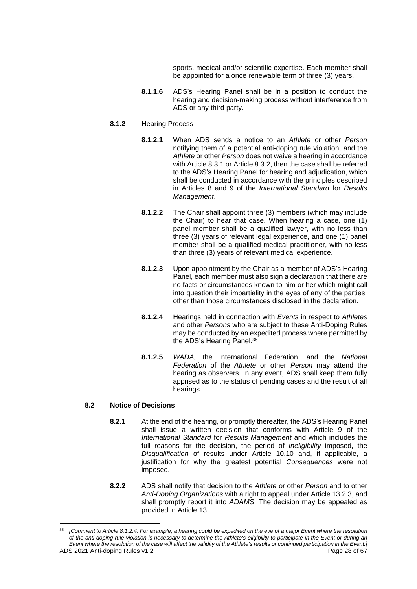sports, medical and/or scientific expertise. Each member shall be appointed for a once renewable term of three (3) years.

**8.1.1.6** ADS's Hearing Panel shall be in a position to conduct the hearing and decision-making process without interference from ADS or any third party.

## **8.1.2** Hearing Process

- **8.1.2.1** When ADS sends a notice to an *Athlete* or other *Person*  notifying them of a potential anti-doping rule violation, and the *Athlete* or other *Person* does not waive a hearing in accordance with Article 8.3.1 or Article 8.3.2, then the case shall be referred to the ADS's Hearing Panel for hearing and adjudication, which shall be conducted in accordance with the principles described in Articles 8 and 9 of the *International Standard* for *Results Management*.
- **8.1.2.2** The Chair shall appoint three (3) members (which may include the Chair) to hear that case. When hearing a case, one (1) panel member shall be a qualified lawyer, with no less than three (3) years of relevant legal experience, and one (1) panel member shall be a qualified medical practitioner, with no less than three (3) years of relevant medical experience.
- **8.1.2.3** Upon appointment by the Chair as a member of ADS's Hearing Panel, each member must also sign a declaration that there are no facts or circumstances known to him or her which might call into question their impartiality in the eyes of any of the parties, other than those circumstances disclosed in the declaration.
- **8.1.2.4** Hearings held in connection with *Events* in respect to *Athletes*  and other *Persons* who are subject to these Anti-Doping Rules may be conducted by an expedited process where permitted by the ADS's Hearing Panel.<sup>38</sup>
- **8.1.2.5** *WADA,* the International Federation, and the *National Federation* of the *Athlete* or other *Person* may attend the hearing as observers. In any event, ADS shall keep them fully apprised as to the status of pending cases and the result of all hearings.

# **8.2 Notice of Decisions**

- **8.2.1** At the end of the hearing, or promptly thereafter, the ADS's Hearing Panel shall issue a written decision that conforms with Article 9 of the *International Standard* for *Results Management* and which includes the full reasons for the decision, the period of *Ineligibility* imposed, the *Disqualification* of results under Article 10.10 and, if applicable, a justification for why the greatest potential *Consequences* were not imposed.
- **8.2.2** ADS shall notify that decision to the *Athlete* or other *Person* and to other *Anti-Doping Organizations* with a right to appeal under Article 13.2.3, and shall promptly report it into *ADAMS*. The decision may be appealed as provided in Article 13.

ADS 2021 Anti-doping Rules v1.2 Page 28 of 67 **<sup>38</sup>** *[Comment to Article 8.1.2.4: For example, a hearing could be expedited on the eve of a major Event where the resolution of the anti-doping rule violation is necessary to determine the Athlete's eligibility to participate in the Event or during an Event where the resolution of the case will affect the validity of the Athlete's results or continued participation in the Event.]*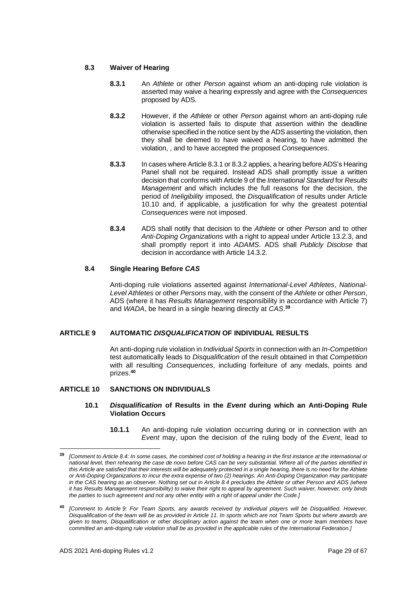# **8.3 Waiver of Hearing**

- **8.3.1** An *Athlete* or other *Person* against whom an anti-doping rule violation is asserted may waive a hearing expressly and agree with the *Consequences* proposed by ADS.
- **8.3.2** However, if the *Athlete* or other *Person* against whom an anti-doping rule violation is asserted fails to dispute that assertion within the deadline otherwise specified in the notice sent by the ADS asserting the violation, then they shall be deemed to have waived a hearing, to have admitted the violation, , and to have accepted the proposed *Consequences*.
- **8.3.3** In cases where Article 8.3.1 or 8.3.2 applies, a hearing before ADS's Hearing Panel shall not be required. Instead ADS shall promptly issue a written decision that conforms with Article 9 of the *International Standard* for *Results Management* and which includes the full reasons for the decision, the period of *Ineligibility* imposed, the *Disqualification* of results under Article 10.10 and, if applicable, a justification for why the greatest potential *Consequences* were not imposed.
- **8.3.4** ADS shall notify that decision to the *Athlete* or other *Person* and to other *Anti-Doping Organizations* with a right to appeal under Article 13.2.3, and shall promptly report it into *ADAMS*. ADS shall *Publicly Disclose* that decision in accordance with Article 14.3.2.

## **8.4 Single Hearing Before** *CAS*

Anti-doping rule violations asserted against *International-Level Athletes*, *National-Level Athletes* or other *Persons* may, with the consent of the *Athlete* or other *Person*, ADS (where it has *Results Management* responsibility in accordance with Article 7) and *WADA*, be heard in a single hearing directly at *CAS*. **39**

# <span id="page-28-0"></span>**ARTICLE 9 AUTOMATIC** *DISQUALIFICATION* **OF INDIVIDUAL RESULTS**

An anti-doping rule violation in *Individual Sports* in connection with an *In-Competition* test automatically leads to *Disqualification* of the result obtained in that *Competition* with all resulting *Consequences*, including forfeiture of any medals, points and prizes.**<sup>40</sup>**

## <span id="page-28-1"></span>**ARTICLE 10 SANCTIONS ON INDIVIDUALS**

## **10.1** *Disqualification* **of Results in the** *Event* **during which an Anti-Doping Rule Violation Occurs**

**10.1.1** An anti-doping rule violation occurring during or in connection with an *Event* may, upon the decision of the ruling body of the *Event*, lead to

**<sup>39</sup>** *[Comment to Article 8.4: In some cases, the combined cost of holding a hearing in the first instance at the international or national level, then rehearing the case de novo before CAS can be very substantial. Where all of the parties identified in this Article are satisfied that their interests will be adequately protected in a single hearing, there is no need for the Athlete or Anti-Doping Organizations to incur the extra expense of two (2) hearings. An Anti-Doping Organization may participate in the CAS hearing as an observer. Nothing set out in Article 8.4 precludes the Athlete or other Person and ADS (where it has Results Management responsibility) to waive their right to appeal by agreement. Such waiver, however, only binds the parties to such agreement and not any other entity with a right of appeal under the Code.]*

**<sup>40</sup>** *[Comment to Article 9: For Team Sports, any awards received by individual players will be Disqualified. However, Disqualification of the team will be as provided in Article 11. In sports which are not Team Sports but where awards are given to teams, Disqualification or other disciplinary action against the team when one or more team members have committed an anti-doping rule violation shall be as provided in the applicable rules of the International Federation.]*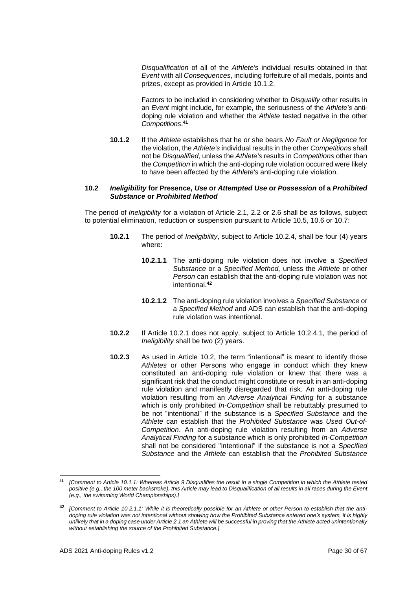*Disqualification* of all of the *Athlete's* individual results obtained in that *Event* with all *Consequences*, including forfeiture of all medals, points and prizes, except as provided in Article 10.1.2.

Factors to be included in considering whether to *Disqualify* other results in an *Event* might include, for example, the seriousness of the *Athlete's* antidoping rule violation and whether the *Athlete* tested negative in the other *Competitions*. **41**

**10.1.2** If the *Athlete* establishes that he or she bears *No Fault or Negligence* for the violation, the *Athlete's* individual results in the other *Competitions* shall not be *Disqualified,* unless the *Athlete's* results in *Competitions* other than the *Competition* in which the anti-doping rule violation occurred were likely to have been affected by the *Athlete's* anti-doping rule violation.

## **10.2** *Ineligibility* **for Presence,** *Use* **or** *Attempted Use* **or** *Possession* **of a** *Prohibited Substance* **or** *Prohibited Method*

The period of *Ineligibility* for a violation of Article 2.1, 2.2 or 2.6 shall be as follows, subject to potential elimination, reduction or suspension pursuant to Article 10.5, 10.6 or 10.7:

- **10.2.1** The period of *Ineligibility*, subject to Article 10.2.4, shall be four (4) years where:
	- **10.2.1.1** The anti-doping rule violation does not involve a *Specified Substance* or a *Specified Method,* unless the *Athlete* or other *Person* can establish that the anti-doping rule violation was not intentional.**<sup>42</sup>**
	- **10.2.1.2** The anti-doping rule violation involves a *Specified Substance* or a *Specified Method* and ADS can establish that the anti-doping rule violation was intentional.
- **10.2.2** If Article 10.2.1 does not apply, subject to Article 10.2.4.1, the period of *Ineligibility* shall be two (2) years.
- **10.2.3** As used in Article 10.2, the term "intentional" is meant to identify those *Athletes* or other Persons who engage in conduct which they knew constituted an anti-doping rule violation or knew that there was a significant risk that the conduct might constitute or result in an anti-doping rule violation and manifestly disregarded that risk. An anti-doping rule violation resulting from an *Adverse Analytical Finding* for a substance which is only prohibited *In-Competition* shall be rebuttably presumed to be not "intentional" if the substance is a *Specified Substance* and the *Athlete* can establish that the *Prohibited Substance* was *Used Out-of-Competition*. An anti-doping rule violation resulting from an *Adverse Analytical Finding* for a substance which is only prohibited *In-Competition* shall not be considered "intentional" if the substance is not a *Specified Substance* and the *Athlete* can establish that the *Prohibited Substance*

**<sup>41</sup>** *[Comment to Article 10.1.1: Whereas Article 9 Disqualifies the result in a single Competition in which the Athlete tested*  positive (e.g., the 100 meter backstroke), this Article may lead to Disqualification of all results in all races during the Event *(e.g., the swimming World Championships).]*

**<sup>42</sup>** *[Comment to Article 10.2.1.1: While it is theoretically possible for an Athlete or other Person to establish that the antidoping rule violation was not intentional without showing how the Prohibited Substance entered one's system, it is highly unlikely that in a doping case under Article 2.1 an Athlete will be successful in proving that the Athlete acted unintentionally without establishing the source of the Prohibited Substance.]*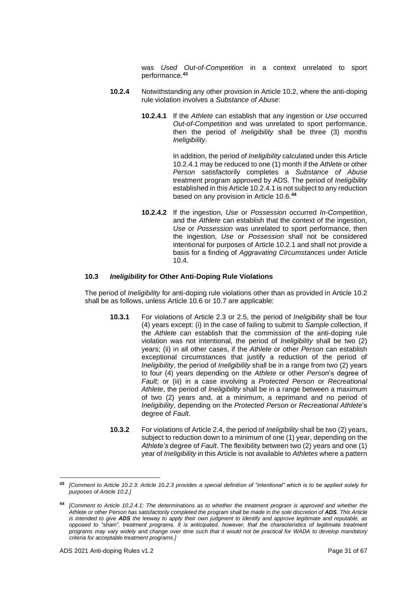was *Used Out-of-Competition* in a context unrelated to sport performance.**<sup>43</sup>**

- **10.2.4** Notwithstanding any other provision in Article 10.2, where the anti-doping rule violation involves a *Substance of Abuse*:
	- **10.2.4.1** If the *Athlete* can establish that any ingestion or *Use* occurred *Out-of-Competition* and was unrelated to sport performance, then the period of *Ineligibility* shall be three (3) months *Ineligibility*.

In addition, the period of *Ineligibility* calculated under this Article 10.2.4.1 may be reduced to one (1) month if the *Athlete* or other *Person* satisfactorily completes a *Substance of Abuse* treatment program approved by ADS. The period of *Ineligibility* established in this Article 10.2.4.1 is not subject to any reduction based on any provision in Article 10.6.**<sup>44</sup>**

**10.2.4.2** If the ingestion, *Use* or *Possession* occurred *In-Competition*, and the *Athlete* can establish that the context of the ingestion, *Use* or *Possession* was unrelated to sport performance, then the ingestion, *Use* or *Possession* shall not be considered intentional for purposes of Article 10.2.1 and shall not provide a basis for a finding of *Aggravating Circumstances* under Article 10.4.

## **10.3** *Ineligibility* **for Other Anti-Doping Rule Violations**

The period of *Ineligibility* for anti-doping rule violations other than as provided in Article 10.2 shall be as follows, unless Article 10.6 or 10.7 are applicable:

- **10.3.1** For violations of Article 2.3 or 2.5, the period of *Ineligibility* shall be four (4) years except: (i) in the case of failing to submit to *Sample* collection, if the *Athlete* can establish that the commission of the anti-doping rule violation was not intentional, the period of *Ineligibility* shall be two (2) years; (ii) in all other cases, if the *Athlete* or other *Person* can establish exceptional circumstances that justify a reduction of the period of *Ineligibility*, the period of *Ineligibility* shall be in a range from two (2) years to four (4) years depending on the *Athlete* or other *Person*'s degree of *Fault*; or (iii) in a case involving a *Protected Person* or *Recreational Athlete*, the period of *Ineligibility* shall be in a range between a maximum of two (2) years and, at a minimum, a reprimand and no period of *Ineligibility*, depending on the *Protected Person* or *Recreational Athlete*'s degree of *Fault*.
- **10.3.2** For violations of Article 2.4, the period of *Ineligibility* shall be two (2) years, subject to reduction down to a minimum of one (1) year, depending on the *Athlete's* degree of *Fault*. The flexibility between two (2) years and one (1) year of *Ineligibility* in this Article is not available to *Athletes* where a pattern

**<sup>43</sup>** *[Comment to Article 10.2.3: Article 10.2.3 provides a special definition of "intentional" which is to be applied solely for purposes of Article 10.2.]*

**<sup>44</sup>** *[Comment to Article 10.2.4.1: The determinations as to whether the treatment program is approved and whether the Athlete or other Person has satisfactorily completed the program shall be made in the sole discretion of ADS. This Article is intended to give ADS the leeway to apply their own judgment to identify and approve legitimate and reputable, as opposed to "sham", treatment programs. It is anticipated, however, that the characteristics of legitimate treatment programs may vary widely and change over time such that it would not be practical for WADA to develop mandatory criteria for acceptable treatment programs.]*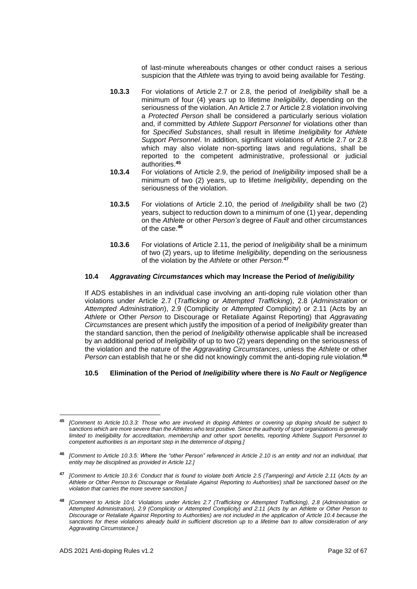of last-minute whereabouts changes or other conduct raises a serious suspicion that the *Athlete* was trying to avoid being available for *Testing*.

- **10.3.3** For violations of Article 2.7 or 2.8, the period of *Ineligibility* shall be a minimum of four (4) years up to lifetime *Ineligibility*, depending on the seriousness of the violation. An Article 2.7 or Article 2.8 violation involving a *Protected Person* shall be considered a particularly serious violation and, if committed by *Athlete Support Personnel* for violations other than for *Specified Substances*, shall result in lifetime *Ineligibility* for *Athlete Support Personnel*. In addition, significant violations of Article 2.7 or 2.8 which may also violate non-sporting laws and regulations, shall be reported to the competent administrative, professional or judicial authorities.**<sup>45</sup>**
- **10.3.4** For violations of Article 2.9, the period of *Ineligibility* imposed shall be a minimum of two (2) years, up to lifetime *Ineligibility*, depending on the seriousness of the violation.
- **10.3.5** For violations of Article 2.10, the period of *Ineligibility* shall be two (2) years, subject to reduction down to a minimum of one (1) year, depending on the *Athlete* or other *Person's* degree of *Fault* and other circumstances of the case.**<sup>46</sup>**
- **10.3.6** For violations of Article 2.11, the period of *Ineligibility* shall be a minimum of two (2) years, up to lifetime *Ineligibility*, depending on the seriousness of the violation by the *Athlete* or other *Person*. **47**

## **10.4** *Aggravating Circumstances* **which may Increase the Period of** *Ineligibility*

If ADS establishes in an individual case involving an anti-doping rule violation other than violations under Article 2.7 (*Trafficking* or *Attempted Trafficking*), 2.8 (*Administration* or *Attempted Administration*), 2.9 (Complicity or *Attempted* Complicity) or 2.11 (Acts by an *Athlete* or Other *Person* to Discourage or Retaliate Against Reporting) that *Aggravating Circumstances* are present which justify the imposition of a period of *Ineligibility* greater than the standard sanction, then the period of *Ineligibility* otherwise applicable shall be increased by an additional period of *Ineligibility* of up to two (2) years depending on the seriousness of the violation and the nature of the *Aggravating Circumstances*, unless the *Athlete* or other *Person* can establish that he or she did not knowingly commit the anti-doping rule violation. **48**

# **10.5 Elimination of the Period of** *Ineligibility* **where there is** *No Fault or Negligence*

**<sup>45</sup>** *[Comment to Article 10.3.3: Those who are involved in doping Athletes or covering up doping should be subject to sanctions which are more severe than the Athletes who test positive. Since the authority of sport organizations is generally limited to Ineligibility for accreditation, membership and other sport benefits, reporting Athlete Support Personnel to competent authorities is an important step in the deterrence of doping.]*

**<sup>46</sup>** *[Comment to Article 10.3.5: Where the "other Person" referenced in Article 2.10 is an entity and not an individual, that entity may be disciplined as provided in Article 12.]*

**<sup>47</sup>** *[Comment to Article 10.3.6: Conduct that is found to violate both Article 2.5 (Tampering) and Article 2.11* (*Acts by an Athlete or Other Person to Discourage or Retaliate Against Reporting to Authorities*) *shall be sanctioned based on the violation that carries the more severe sanction.]*

**<sup>48</sup>** *[Comment to Article 10.4: Violations under Articles 2.7 (Trafficking or Attempted Trafficking), 2.8 (Administration or Attempted Administration), 2.9 (Complicity or Attempted Complicity) and 2.11 (Acts by an Athlete or Other Person to Discourage or Retaliate Against Reporting to Authorities) are not included in the application of Article 10.4 because the*  sanctions for these violations already build in sufficient discretion up to a lifetime ban to allow consideration of any *Aggravating Circumstance.]*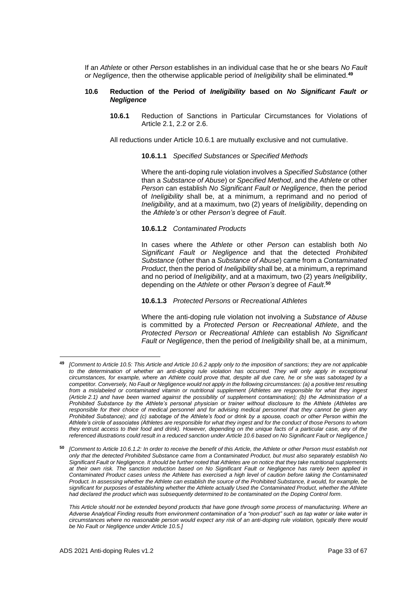If an *Athlete* or other *Person* establishes in an individual case that he or she bears *No Fault or Negligence*, then the otherwise applicable period of *Ineligibility* shall be eliminated.**<sup>49</sup>**

#### **10.6 Reduction of the Period of** *Ineligibility* **based on** *No Significant Fault or Negligence*

**10.6.1** Reduction of Sanctions in Particular Circumstances for Violations of Article 2.1, 2.2 or 2.6.

All reductions under Article 10.6.1 are mutually exclusive and not cumulative.

## **10.6.1.1** *Specified Substances* or *Specified Methods*

Where the anti-doping rule violation involves a *Specified Substance* (other than a *Substance of Abuse*) or *Specified Method*, and the *Athlete* or other *Person* can establish *No Significant Fault or Negligence*, then the period of *Ineligibility* shall be, at a minimum, a reprimand and no period of *Ineligibility*, and at a maximum, two (2) years of *Ineligibility*, depending on the *Athlete's* or other *Person's* degree of *Fault*.

## **10.6.1.2** *Contaminated Products*

In cases where the *Athlete* or other *Person* can establish both *No Significant Fault or Negligence* and that the detected *Prohibited Substance* (other than a *Substance of Abuse*) came from a *Contaminated Product*, then the period of *Ineligibility* shall be, at a minimum, a reprimand and no period of *Ineligibility*, and at a maximum, two (2) years *Ineligibility*, depending on the *Athlete* or other *Person's* degree of *Fault*. **50**

**10.6.1.3** *Protected Persons* or *Recreational Athletes*

Where the anti-doping rule violation not involving a *Substance of Abuse* is committed by a *Protected Person* or *Recreational Athlete*, and the *Protected Person* or *Recreational Athlete* can establish *No Significant Fault or Negligence*, then the period of *Ineligibility* shall be, at a minimum,

**<sup>49</sup>** *[Comment to Article 10.5: This Article and Article 10.6.2 apply only to the imposition of sanctions; they are not applicable to the determination of whether an anti-doping rule violation has occurred. They will only apply in exceptional circumstances, for example, where an Athlete could prove that, despite all due care, he or she was sabotaged by a competitor. Conversely, No Fault or Negligence would not apply in the following circumstances: (a) a positive test resulting from a mislabeled or contaminated vitamin or nutritional supplement (Athletes are responsible for what they ingest (Article 2.1) and have been warned against the possibility of supplement contamination); (b) the Administration of a Prohibited Substance by the Athlete's personal physician or trainer without disclosure to the Athlete (Athletes are responsible for their choice of medical personnel and for advising medical personnel that they cannot be given any Prohibited Substance); and (c) sabotage of the Athlete's food or drink by a spouse, coach or other Person within the Athlete's circle of associates (Athletes are responsible for what they ingest and for the conduct of those Persons to whom they entrust access to their food and drink). However, depending on the unique facts of a particular case, any of the referenced illustrations could result in a reduced sanction under Article 10.6 based on No Significant Fault or Negligence.]*

**<sup>50</sup>** *[Comment to Article 10.6.1.2: In order to receive the benefit of this Article, the Athlete or other Person must establish not only that the detected Prohibited Substance came from a Contaminated Product, but must also separately establish No Significant Fault or Negligence. It should be further noted that Athletes are on notice that they take nutritional supplements at their own risk. The sanction reduction based on No Significant Fault or Negligence has rarely been applied in Contaminated Product cases unless the Athlete has exercised a high level of caution before taking the Contaminated Product. In assessing whether the Athlete can establish the source of the Prohibited Substance, it would, for example, be significant for purposes of establishing whether the Athlete actually Used the Contaminated Product, whether the Athlete had declared the product which was subsequently determined to be contaminated on the Doping Control form.*

*This Article should not be extended beyond products that have gone through some process of manufacturing. Where an Adverse Analytical Finding results from environment contamination of a "non-product" such as tap water or lake water in circumstances where no reasonable person would expect any risk of an anti-doping rule violation, typically there would be No Fault or Negligence under Article 10.5.]*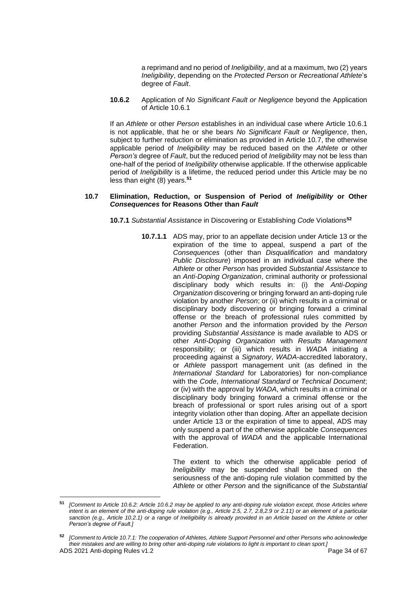a reprimand and no period of *Ineligibility*, and at a maximum, two (2) years *Ineligibility*, depending on the *Protected Person* or *Recreational Athlete*'s degree of *Fault*.

**10.6.2** Application of *No Significant Fault or Negligence* beyond the Application of Article 10.6.1

If an *Athlete* or other *Person* establishes in an individual case where Article 10.6.1 is not applicable, that he or she bears *No Significant Fault or Negligence*, then, subject to further reduction or elimination as provided in Article 10.7, the otherwise applicable period of *Ineligibility* may be reduced based on the *Athlete* or other *Person's* degree of *Fault*, but the reduced period of *Ineligibility* may not be less than one-half of the period of *Ineligibility* otherwise applicable. If the otherwise applicable period of *Ineligibility* is a lifetime, the reduced period under this Article may be no less than eight (8) years.**<sup>51</sup>**

#### **10.7 Elimination, Reduction, or Suspension of Period of** *Ineligibility* **or Other** *Consequences* **for Reasons Other than** *Fault*

**10.7.1** *Substantial Assistance* in Discovering or Establishing *Code* Violations**<sup>52</sup>**

**10.7.1.1** ADS may, prior to an appellate decision under Article 13 or the expiration of the time to appeal, suspend a part of the *Consequences* (other than *Disqualification* and mandatory *Public Disclosure*) imposed in an individual case where the *Athlete* or other *Person* has provided *Substantial Assistance* to an *Anti-Doping Organization*, criminal authority or professional disciplinary body which results in: (i) the *Anti-Doping Organization* discovering or bringing forward an anti-doping rule violation by another *Person*; or (ii) which results in a criminal or disciplinary body discovering or bringing forward a criminal offense or the breach of professional rules committed by another *Person* and the information provided by the *Person* providing *Substantial Assistance* is made available to ADS or other *Anti-Doping Organization* with *Results Management* responsibility; or (iii) which results in *WADA* initiating a proceeding against a *Signatory*, *WADA*-accredited laboratory, or *Athlete* passport management unit (as defined in the *International Standard* for Laboratories) for non-compliance with the *Code*, *International Standard* or *Technical Document*; or (iv) with the approval by *WADA*, which results in a criminal or disciplinary body bringing forward a criminal offense or the breach of professional or sport rules arising out of a sport integrity violation other than doping. After an appellate decision under Article 13 or the expiration of time to appeal, ADS may only suspend a part of the otherwise applicable *Consequences* with the approval of *WADA* and the applicable International Federation.

> The extent to which the otherwise applicable period of *Ineligibility* may be suspended shall be based on the seriousness of the anti-doping rule violation committed by the *Athlete* or other *Person* and the significance of the *Substantial*

**<sup>51</sup>** *[Comment to Article 10.6.2: Article 10.6.2 may be applied to any anti-doping rule violation except, those Articles where intent is an element of the anti-doping rule violation (e.g., Article 2.5, 2.7, 2.8,2.9 or 2.11) or an element of a particular*  sanction (e.g., Article 10.2.1) or a range of Ineligibility is already provided in an Article based on the Athlete or other *Person's degree of Fault.]*

ADS 2021 Anti-doping Rules v1.2 **Page 34 of 67** Page 34 of 67 **<sup>52</sup>** *[Comment to Article 10.7.1: The cooperation of Athletes, Athlete Support Personnel and other Persons who acknowledge their mistakes and are willing to bring other anti-doping rule violations to light is important to clean sport.]*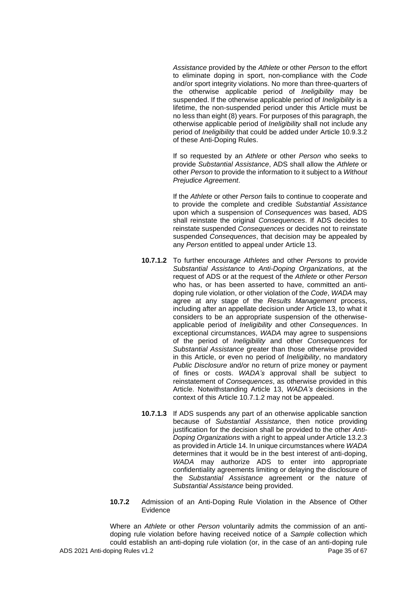*Assistance* provided by the *Athlete* or other *Person* to the effort to eliminate doping in sport, non-compliance with the *Code* and/or sport integrity violations. No more than three-quarters of the otherwise applicable period of *Ineligibility* may be suspended. If the otherwise applicable period of *Ineligibility* is a lifetime, the non-suspended period under this Article must be no less than eight (8) years. For purposes of this paragraph, the otherwise applicable period of *Ineligibility* shall not include any period of *Ineligibility* that could be added under Article 10.9.3.2 of these Anti-Doping Rules.

If so requested by an *Athlete* or other *Person* who seeks to provide *Substantial Assistance*, ADS shall allow the *Athlete* or other *Person* to provide the information to it subject to a *Without Prejudice Agreement*.

If the *Athlete* or other *Person* fails to continue to cooperate and to provide the complete and credible *Substantial Assistance* upon which a suspension of *Consequences* was based, ADS shall reinstate the original *Consequences*. If ADS decides to reinstate suspended *Consequences* or decides not to reinstate suspended *Consequences*, that decision may be appealed by any *Person* entitled to appeal under Article 13.

- **10.7.1.2** To further encourage *Athletes* and other *Persons* to provide *Substantial Assistance* to *Anti-Doping Organizations*, at the request of ADS or at the request of the *Athlete* or other *Person* who has, or has been asserted to have, committed an antidoping rule violation, or other violation of the *Code*, *WADA* may agree at any stage of the *Results Management* process, including after an appellate decision under Article 13, to what it considers to be an appropriate suspension of the otherwiseapplicable period of *Ineligibility* and other *Consequences*. In exceptional circumstances, *WADA* may agree to suspensions of the period of *Ineligibility* and other *Consequences* for *Substantial Assistance* greater than those otherwise provided in this Article, or even no period of *Ineligibility*, no mandatory *Public Disclosure* and/or no return of prize money or payment of fines or costs. *WADA's* approval shall be subject to reinstatement of *Consequences*, as otherwise provided in this Article. Notwithstanding Article 13, *WADA's* decisions in the context of this Article 10.7.1.2 may not be appealed.
- **10.7.1.3** If ADS suspends any part of an otherwise applicable sanction because of *Substantial Assistance*, then notice providing justification for the decision shall be provided to the other *Anti-Doping Organizations* with a right to appeal under Article 13.2.3 as provided in Article 14. In unique circumstances where *WADA* determines that it would be in the best interest of anti-doping, *WADA* may authorize ADS to enter into appropriate confidentiality agreements limiting or delaying the disclosure of the *Substantial Assistance* agreement or the nature of *Substantial Assistance* being provided.
- **10.7.2** Admission of an Anti-Doping Rule Violation in the Absence of Other Evidence

ADS 2021 Anti-doping Rules v1.2 Page 35 of 67 Where an *Athlete* or other *Person* voluntarily admits the commission of an antidoping rule violation before having received notice of a *Sample* collection which could establish an anti-doping rule violation (or, in the case of an anti-doping rule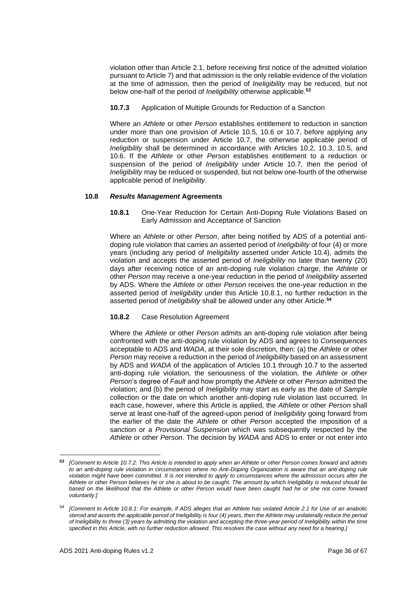violation other than Article 2.1, before receiving first notice of the admitted violation pursuant to Article 7) and that admission is the only reliable evidence of the violation at the time of admission, then the period of *Ineligibility* may be reduced, but not below one-half of the period of *Ineligibility* otherwise applicable.**<sup>53</sup>**

**10.7.3** Application of Multiple Grounds for Reduction of a Sanction

Where an *Athlete* or other *Person* establishes entitlement to reduction in sanction under more than one provision of Article 10.5, 10.6 or 10.7, before applying any reduction or suspension under Article 10.7, the otherwise applicable period of *Ineligibility* shall be determined in accordance with Articles 10.2, 10.3, 10.5, and 10.6. If the *Athlete* or other *Person* establishes entitlement to a reduction or suspension of the period of *Ineligibility* under Article 10.7, then the period of *Ineligibility* may be reduced or suspended, but not below one-fourth of the otherwise applicable period of *Ineligibility*.

## **10.8** *Results Management* **Agreements**

**10.8.1** One-Year Reduction for Certain Anti-Doping Rule Violations Based on Early Admission and Acceptance of Sanction

Where an *Athlete* or other *Person*, after being notified by ADS of a potential antidoping rule violation that carries an asserted period of *Ineligibility* of four (4) or more years (including any period of *Ineligibility* asserted under Article 10.4), admits the violation and accepts the asserted period of *Ineligibility* no later than twenty (20) days after receiving notice of an anti-doping rule violation charge, the *Athlete* or other *Person* may receive a one-year reduction in the period of *Ineligibility* asserted by ADS. Where the *Athlete* or other *Person* receives the one-year reduction in the asserted period of *Ineligibility* under this Article 10.8.1, no further reduction in the asserted period of *Ineligibility* shall be allowed under any other Article.**<sup>54</sup>**

# **10.8.2** Case Resolution Agreement

Where the *Athlete* or other *Person* admits an anti-doping rule violation after being confronted with the anti-doping rule violation by ADS and agrees to *Consequences* acceptable to ADS and *WADA*, at their sole discretion, then: (a) the *Athlete* or other *Person* may receive a reduction in the period of *Ineligibility* based on an assessment by ADS and *WADA* of the application of Articles 10.1 through 10.7 to the asserted anti-doping rule violation, the seriousness of the violation, the *Athlete* or other *Person*'s degree of *Fault* and how promptly the *Athlete* or other *Person* admitted the violation; and (b) the period of *Ineligibility* may start as early as the date of *Sample* collection or the date on which another anti-doping rule violation last occurred. In each case, however, where this Article is applied, the *Athlete* or other *Person* shall serve at least one-half of the agreed-upon period of *Ineligibility* going forward from the earlier of the date the *Athlete* or other *Person* accepted the imposition of a sanction or a *Provisional Suspension* which was subsequently respected by the *Athlete* or other *Person*. The decision by *WADA* and ADS to enter or not enter into

**<sup>53</sup>** *[Comment to Article 10.7.2: This Article is intended to apply when an Athlete or other Person comes forward and admits to an anti-doping rule violation in circumstances where no Anti-Doping Organization is aware that an anti-doping rule violation might have been committed. It is not intended to apply to circumstances where the admission occurs after the Athlete or other Person believes he or she is about to be caught. The amount by which Ineligibility is reduced should be*  based on the likelihood that the Athlete or other Person would have been caught had he or she not come forward *voluntarily.]*

<sup>54</sup> *[Comment to Article 10.8.1: For example, if ADS alleges that an Athlete has violated Article 2.1 for Use of an anabolic steroid and asserts the applicable period of Ineligibility is four (4) years, then the Athlete may unilaterally reduce the period of Ineligibility to three (3) years by admitting the violation and accepting the three-year period of Ineligibility within the time specified in this Article, with no further reduction allowed. This resolves the case without any need for a hearing.]*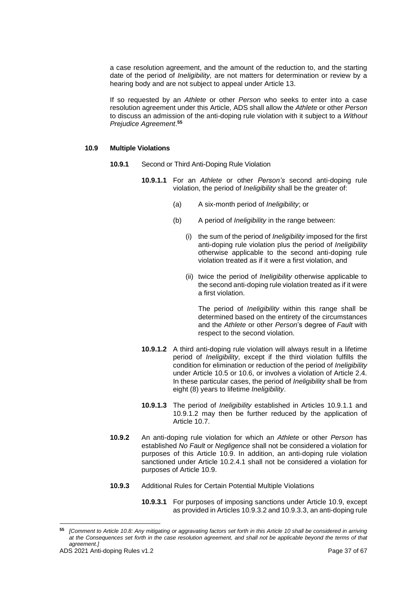a case resolution agreement, and the amount of the reduction to, and the starting date of the period of *Ineligibility,* are not matters for determination or review by a hearing body and are not subject to appeal under Article 13.

If so requested by an *Athlete* or other *Person* who seeks to enter into a case resolution agreement under this Article, ADS shall allow the *Athlete* or other *Person* to discuss an admission of the anti-doping rule violation with it subject to a *Without Prejudice Agreement*. **55**

#### **10.9 Multiple Violations**

- **10.9.1** Second or Third Anti-Doping Rule Violation
	- **10.9.1.1** For an *Athlete* or other *Person's* second anti-doping rule violation, the period of *Ineligibility* shall be the greater of:
		- (a) A six-month period of *Ineligibility*; or
		- (b) A period of *Ineligibility* in the range between:
			- (i) the sum of the period of *Ineligibility* imposed for the first anti-doping rule violation plus the period of *Ineligibility* otherwise applicable to the second anti-doping rule violation treated as if it were a first violation, and
			- (ii) twice the period of *Ineligibility* otherwise applicable to the second anti-doping rule violation treated as if it were a first violation.

The period of *Ineligibility* within this range shall be determined based on the entirety of the circumstances and the *Athlete* or other *Person*'s degree of *Fault* with respect to the second violation.

- **10.9.1.2** A third anti-doping rule violation will always result in a lifetime period of *Ineligibility*, except if the third violation fulfills the condition for elimination or reduction of the period of *Ineligibility* under Article 10.5 or 10.6, or involves a violation of Article 2.4. In these particular cases, the period of *Ineligibility* shall be from eight (8) years to lifetime *Ineligibility*.
- **10.9.1.3** The period of *Ineligibility* established in Articles 10.9.1.1 and 10.9.1.2 may then be further reduced by the application of Article 10.7.
- **10.9.2** An anti-doping rule violation for which an *Athlete* or other *Person* has established *No Fault* or *Negligence* shall not be considered a violation for purposes of this Article 10.9. In addition, an anti-doping rule violation sanctioned under Article 10.2.4.1 shall not be considered a violation for purposes of Article 10.9.
- **10.9.3** Additional Rules for Certain Potential Multiple Violations
	- **10.9.3.1** For purposes of imposing sanctions under Article 10.9, except as provided in Articles 10.9.3.2 and 10.9.3.3, an anti-doping rule

**<sup>55</sup>** *[Comment to Article 10.8: Any mitigating or aggravating factors set forth in this Article 10 shall be considered in arriving at the Consequences set forth in the case resolution agreement, and shall not be applicable beyond the terms of that agreement.]*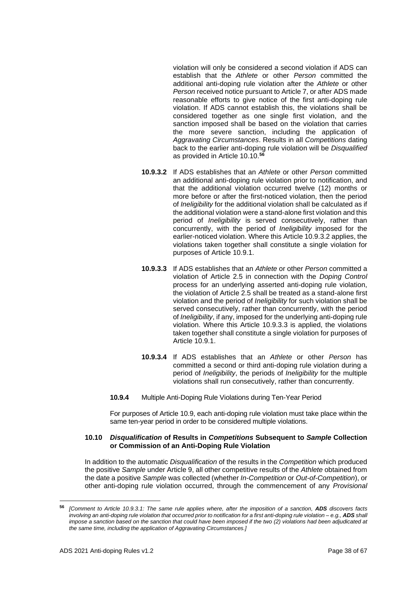violation will only be considered a second violation if ADS can establish that the *Athlete* or other *Person* committed the additional anti-doping rule violation after the *Athlete* or other *Person* received notice pursuant to Article 7, or after ADS made reasonable efforts to give notice of the first anti-doping rule violation. If ADS cannot establish this, the violations shall be considered together as one single first violation, and the sanction imposed shall be based on the violation that carries the more severe sanction, including the application of *Aggravating Circumstances*. Results in all *Competitions* dating back to the earlier anti-doping rule violation will be *Disqualified* as provided in Article 10.10.**<sup>56</sup>**

- **10.9.3.2** If ADS establishes that an *Athlete* or other *Person* committed an additional anti-doping rule violation prior to notification, and that the additional violation occurred twelve (12) months or more before or after the first-noticed violation, then the period of *Ineligibility* for the additional violation shall be calculated as if the additional violation were a stand-alone first violation and this period of *Ineligibility* is served consecutively, rather than concurrently, with the period of *Ineligibility* imposed for the earlier-noticed violation. Where this Article 10.9.3.2 applies, the violations taken together shall constitute a single violation for purposes of Article 10.9.1.
- **10.9.3.3** If ADS establishes that an *Athlete* or other *Person* committed a violation of Article 2.5 in connection with the *Doping Control* process for an underlying asserted anti-doping rule violation, the violation of Article 2.5 shall be treated as a stand-alone first violation and the period of *Ineligibility* for such violation shall be served consecutively, rather than concurrently, with the period of *Ineligibility*, if any, imposed for the underlying anti-doping rule violation. Where this Article 10.9.3.3 is applied, the violations taken together shall constitute a single violation for purposes of Article 10.9.1.
- **10.9.3.4** If ADS establishes that an *Athlete* or other *Person* has committed a second or third anti-doping rule violation during a period of *Ineligibility*, the periods of *Ineligibility* for the multiple violations shall run consecutively, rather than concurrently.
- **10.9.4** Multiple Anti-Doping Rule Violations during Ten-Year Period

For purposes of Article 10.9, each anti-doping rule violation must take place within the same ten-year period in order to be considered multiple violations.

## **10.10** *Disqualification* **of Results in** *Competitions* **Subsequent to** *Sample* **Collection or Commission of an Anti-Doping Rule Violation**

In addition to the automatic *Disqualification* of the results in the *Competition* which produced the positive *Sample* under Article 9, all other competitive results of the *Athlete* obtained from the date a positive *Sample* was collected (whether *In-Competition* or *Out-of-Competition*), or other anti-doping rule violation occurred, through the commencement of any *Provisional* 

**<sup>56</sup>** *[Comment to Article 10.9.3.1: The same rule applies where, after the imposition of a sanction, ADS discovers facts involving an anti-doping rule violation that occurred prior to notification for a first anti-doping rule violation – e.g., ADS shall impose a sanction based on the sanction that could have been imposed if the two (2) violations had been adjudicated at the same time, including the application of Aggravating Circumstances.]*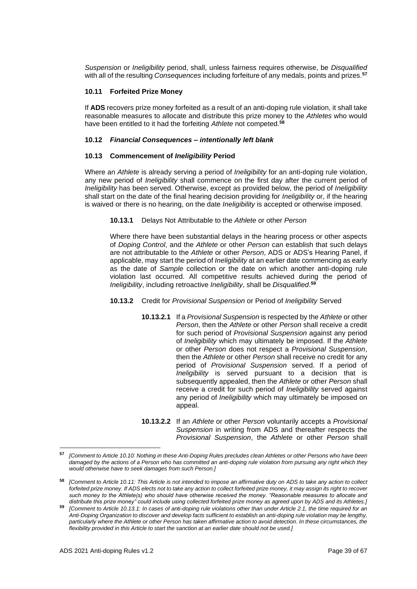*Suspension* or *Ineligibility* period, shall, unless fairness requires otherwise, be *Disqualified* with all of the resulting *Consequences* including forfeiture of any medals, points and prizes.**<sup>57</sup>**

# **10.11 Forfeited Prize Money**

If **ADS** recovers prize money forfeited as a result of an anti-doping rule violation, it shall take reasonable measures to allocate and distribute this prize money to the *Athletes* who would have been entitled to it had the forfeiting *Athlete* not competed.**<sup>58</sup>**

## **10.12** *Financial Consequences – intentionally left blank*

## **10.13 Commencement of** *Ineligibility* **Period**

Where an *Athlete* is already serving a period of *Ineligibility* for an anti-doping rule violation, any new period of *Ineligibility* shall commence on the first day after the current period of *Ineligibility* has been served. Otherwise, except as provided below, the period of *Ineligibility* shall start on the date of the final hearing decision providing for *Ineligibility* or, if the hearing is waived or there is no hearing, on the date *Ineligibility* is accepted or otherwise imposed.

**10.13.1** Delays Not Attributable to the *Athlete* or other *Person*

Where there have been substantial delays in the hearing process or other aspects of *Doping Control*, and the *Athlete* or other *Person* can establish that such delays are not attributable to the *Athlete* or other *Person*, ADS or ADS's Hearing Panel, if applicable, may start the period of *Ineligibility* at an earlier date commencing as early as the date of *Sample* collection or the date on which another anti-doping rule violation last occurred. All competitive results achieved during the period of *Ineligibility*, including retroactive *Ineligibility*, shall be *Disqualified*. **59**

# **10.13.2** Credit for *Provisional Suspension* or Period of *Ineligibility* Served

- **10.13.2.1** If a *Provisional Suspension* is respected by the *Athlete* or other *Person*, then the *Athlete* or other *Person* shall receive a credit for such period of *Provisional Suspension* against any period of *Ineligibility* which may ultimately be imposed. If the *Athlete* or other *Person* does not respect a *Provisional Suspension*, then the *Athlete* or other *Person* shall receive no credit for any period of *Provisional Suspension* served. If a period of *Ineligibility* is served pursuant to a decision that is subsequently appealed, then the *Athlete* or other *Person* shall receive a credit for such period of *Ineligibility* served against any period of *Ineligibility* which may ultimately be imposed on appeal.
- **10.13.2.2** If an *Athlete* or other *Person* voluntarily accepts a *Provisional Suspension* in writing from ADS and thereafter respects the *Provisional Suspension*, the *Athlete* or other *Person* shall

**<sup>57</sup>** *[Comment to Article 10.10: Nothing in these Anti-Doping Rules precludes clean Athletes or other Persons who have been damaged by the actions of a Person who has committed an anti-doping rule violation from pursuing any right which they would otherwise have to seek damages from such Person.]*

**<sup>58</sup>** *[Comment to Article 10.11: This Article is not intended to impose an affirmative duty on ADS to take any action to collect forfeited prize money. If ADS elects not to take any action to collect forfeited prize money, it may assign its right to recover such money to the Athlete(s) who should have otherwise received the money. "Reasonable measures to allocate and distribute this prize money" could include using collected forfeited prize money as agreed upon by ADS and its Athletes.]*

**<sup>59</sup>** *[Comment to Article 10.13.1: In cases of anti-doping rule violations other than under Article 2.1, the time required for an Anti-Doping Organization to discover and develop facts sufficient to establish an anti-doping rule violation may be lengthy, particularly where the Athlete or other Person has taken affirmative action to avoid detection. In these circumstances, the flexibility provided in this Article to start the sanction at an earlier date should not be used.]*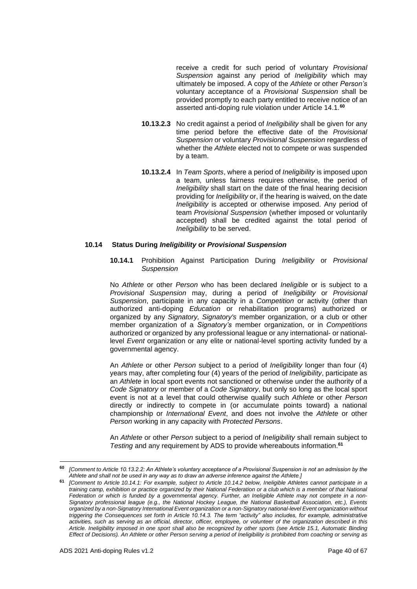receive a credit for such period of voluntary *Provisional Suspension* against any period of *Ineligibility* which may ultimately be imposed. A copy of the *Athlete* or other *Person's* voluntary acceptance of a *Provisional Suspension* shall be provided promptly to each party entitled to receive notice of an asserted anti-doping rule violation under Article 14.1.**<sup>60</sup>**

- **10.13.2.3** No credit against a period of *Ineligibility* shall be given for any time period before the effective date of the *Provisional Suspension* or voluntary *Provisional Suspension* regardless of whether the *Athlete* elected not to compete or was suspended by a team.
- **10.13.2.4** In *Team Sports*, where a period of *Ineligibility* is imposed upon a team, unless fairness requires otherwise, the period of *Ineligibility* shall start on the date of the final hearing decision providing for *Ineligibility* or, if the hearing is waived, on the date *Ineligibility* is accepted or otherwise imposed. Any period of team *Provisional Suspension* (whether imposed or voluntarily accepted) shall be credited against the total period of *Ineligibility* to be served.

## **10.14 Status During** *Ineligibility* **or** *Provisional Suspension*

**10.14.1** Prohibition Against Participation During *Ineligibility* or *Provisional Suspension*

No *Athlete* or other *Person* who has been declared *Ineligible* or is subject to a *Provisional Suspension* may, during a period of *Ineligibility* or *Provisional Suspension*, participate in any capacity in a *Competition* or activity (other than authorized anti-doping *Education* or rehabilitation programs) authorized or organized by any *Signatory, Signatory's* member organization, or a club or other member organization of a *Signatory's* member organization, or in *Competitions* authorized or organized by any professional league or any international- or nationallevel *Event* organization or any elite or national-level sporting activity funded by a governmental agency.

An *Athlete* or other *Person* subject to a period of *Ineligibility* longer than four (4) years may, after completing four (4) years of the period of *Ineligibility*, participate as an *Athlete* in local sport events not sanctioned or otherwise under the authority of a *Code Signatory* or member of a *Code Signatory*, but only so long as the local sport event is not at a level that could otherwise qualify such *Athlete* or other *Person* directly or indirectly to compete in (or accumulate points toward) a national championship or *International Event*, and does not involve the *Athlete* or other *Person* working in any capacity with *Protected Persons*.

An *Athlete* or other *Person* subject to a period of *Ineligibility* shall remain subject to *Testing* and any requirement by ADS to provide whereabouts information. **61**

**<sup>60</sup>** *[Comment to Article 10.13.2.2: An Athlete's voluntary acceptance of a Provisional Suspension is not an admission by the Athlete and shall not be used in any way as to draw an adverse inference against the Athlete.]*

**<sup>61</sup>** *[Comment to Article 10.14.1: For example, subject to Article 10.14.2 below, Ineligible Athletes cannot participate in a training camp, exhibition or practice organized by their National Federation or a club which is a member of that National Federation or which is funded by a governmental agency. Further, an Ineligible Athlete may not compete in a non-Signatory professional league (e.g., the National Hockey League, the National Basketball Association, etc.), Events organized by a non-Signatory International Event organization or a non-Signatory national-level Event organization without triggering the Consequences set forth in Article 10.14.3. The term "activity" also includes, for example, administrative activities, such as serving as an official, director, officer, employee, or volunteer of the organization described in this Article. Ineligibility imposed in one sport shall also be recognized by other sports (see Article 15.1, Automatic Binding Effect of Decisions). An Athlete or other Person serving a period of Ineligibility is prohibited from coaching or serving as*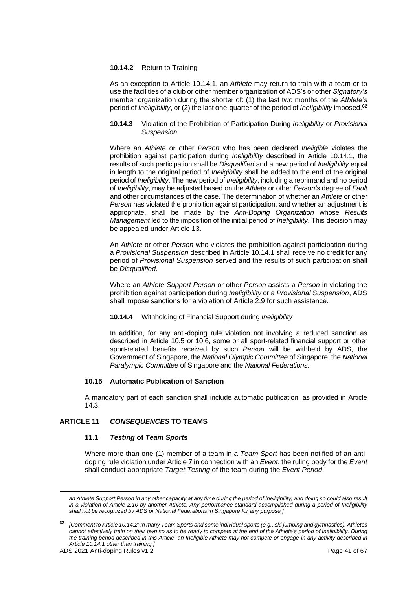## **10.14.2** Return to Training

As an exception to Article 10.14.1, an *Athlete* may return to train with a team or to use the facilities of a club or other member organization of ADS's or other *Signatory's* member organization during the shorter of: (1) the last two months of the *Athlete's* period of *Ineligibility*, or (2) the last one-quarter of the period of *Ineligibility* imposed.**<sup>62</sup>**

## **10.14.3** Violation of the Prohibition of Participation During *Ineligibility* or *Provisional Suspension*

Where an *Athlete* or other *Person* who has been declared *Ineligible* violates the prohibition against participation during *Ineligibility* described in Article 10.14.1, the results of such participation shall be *Disqualified* and a new period of *Ineligibility* equal in length to the original period of *Ineligibility* shall be added to the end of the original period of *Ineligibility*. The new period of *Ineligibility*, including a reprimand and no period of *Ineligibility*, may be adjusted based on the *Athlete* or other *Person's* degree of *Fault* and other circumstances of the case. The determination of whether an *Athlete* or other *Person* has violated the prohibition against participation, and whether an adjustment is appropriate, shall be made by the *Anti-Doping Organization* whose *Results Management* led to the imposition of the initial period of *Ineligibility*. This decision may be appealed under Article 13.

An *Athlete* or other *Person* who violates the prohibition against participation during a *Provisional Suspension* described in Article 10.14.1 shall receive no credit for any period of *Provisional Suspension* served and the results of such participation shall be *Disqualified*.

Where an *Athlete Support Person* or other *Person* assists a *Person* in violating the prohibition against participation during *Ineligibility* or a *Provisional Suspension*, ADS shall impose sanctions for a violation of Article 2.9 for such assistance.

# **10.14.4** Withholding of Financial Support during *Ineligibility*

In addition, for any anti-doping rule violation not involving a reduced sanction as described in Article 10.5 or 10.6, some or all sport-related financial support or other sport-related benefits received by such *Person* will be withheld by ADS, the Government of Singapore, the *National Olympic Committee* of Singapore, the *National Paralympic Committee* of Singapore and the *National Federations*.

## **10.15 Automatic Publication of Sanction**

A mandatory part of each sanction shall include automatic publication, as provided in Article 14.3.

# <span id="page-40-0"></span>**ARTICLE 11** *CONSEQUENCES* **TO TEAMS**

## **11.1** *Testing* **of** *Team Sport***s**

Where more than one (1) member of a team in a *Team Sport* has been notified of an antidoping rule violation under Article 7 in connection with an *Event*, the ruling body for the *Event* shall conduct appropriate *Target Testing* of the team during the *Event Period*.

an Athlete Support Person in any other capacity at any time during the period of Ineligibility, and doing so could also result *in a violation of Article 2.10 by another Athlete. Any performance standard accomplished during a period of Ineligibility shall not be recognized by ADS or National Federations in Singapore for any purpose.]*

**<sup>62</sup>** *[Comment to Article 10.14.2: In many Team Sports and some individual sports (e.g., ski jumping and gymnastics), Athletes cannot effectively train on their own so as to be ready to compete at the end of the Athlete's period of Ineligibility. During the training period described in this Article, an Ineligible Athlete may not compete or engage in any activity described in Article 10.14.1 other than training.]*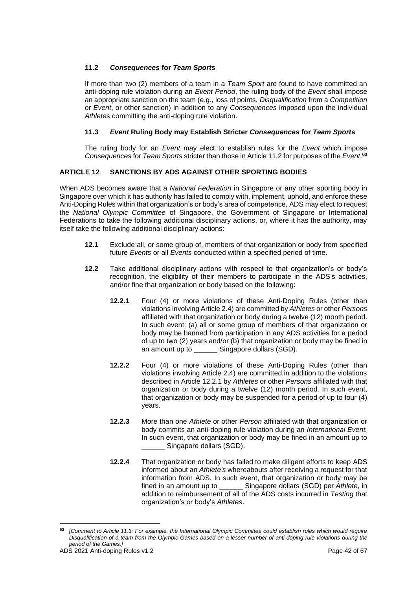# **11.2** *Consequences* **for** *Team Sport***s**

If more than two (2) members of a team in a *Team Sport* are found to have committed an anti-doping rule violation during an *Event Period*, the ruling body of the *Event* shall impose an appropriate sanction on the team (e.g., loss of points, *Disqualification* from a *Competition* or *Event*, or other sanction) in addition to any *Consequences* imposed upon the individual *Athlete*s committing the anti-doping rule violation.

# **11.3** *Event* **Ruling Body may Establish Stricter** *Consequences* **for** *Team Sport***s**

The ruling body for an *Event* may elect to establish rules for the *Event* which impose *Consequences* for *Team Sports* stricter than those in Article 11.2 for purposes of the *Event*. **63**

# <span id="page-41-0"></span>**ARTICLE 12 SANCTIONS BY ADS AGAINST OTHER SPORTING BODIES**

When ADS becomes aware that a *National Federation* in Singapore or any other sporting body in Singapore over which it has authority has failed to comply with, implement, uphold, and enforce these Anti-Doping Rules within that organization's or body's area of competence, ADS may elect to request the *National Olympic Committee* of Singapore, the Government of Singapore or International Federations to take the following additional disciplinary actions, or, where it has the authority, may itself take the following additional disciplinary actions:

- **12.1** Exclude all, or some group of, members of that organization or body from specified future *Events* or all *Events* conducted within a specified period of time.
- **12.2** Take additional disciplinary actions with respect to that organization's or body's recognition, the eligibility of their members to participate in the ADS's activities, and/or fine that organization or body based on the following:
	- **12.2.1** Four (4) or more violations of these Anti-Doping Rules (other than violations involving Article 2.4) are committed by *Athletes* or other *Persons* affiliated with that organization or body during a twelve (12) month period. In such event: (a) all or some group of members of that organization or body may be banned from participation in any ADS activities for a period of up to two (2) years and/or (b) that organization or body may be fined in an amount up to **Singapore dollars (SGD).**
	- **12.2.2** Four (4) or more violations of these Anti-Doping Rules (other than violations involving Article 2.4) are committed in addition to the violations described in Article 12.2.1 by *Athletes* or other *Persons* affiliated with that organization or body during a twelve (12) month period. In such event, that organization or body may be suspended for a period of up to four (4) years.
	- **12.2.3** More than one *Athlete* or other *Person* affiliated with that organization or body commits an anti-doping rule violation during an *International Event.* In such event, that organization or body may be fined in an amount up to Singapore dollars (SGD).
	- **12.2.4** That organization or body has failed to make diligent efforts to keep ADS informed about an *Athlete's* whereabouts after receiving a request for that information from ADS. In such event, that organization or body may be fined in an amount up to \_\_\_\_\_\_ Singapore dollars (SGD) per *Athlete*, in addition to reimbursement of all of the ADS costs incurred in *Testing* that organization's or body's *Athletes*.

**<sup>63</sup>** *[Comment to Article 11.3: For example, the International Olympic Committee could establish rules which would require Disqualification of a team from the Olympic Games based on a lesser number of anti-doping rule violations during the period of the Games.]*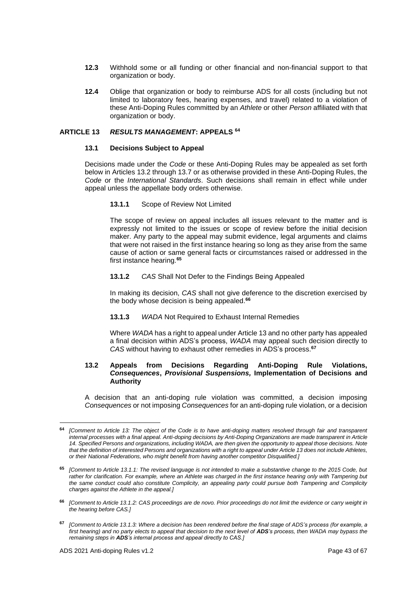- **12.3** Withhold some or all funding or other financial and non-financial support to that organization or body.
- **12.4** Oblige that organization or body to reimburse ADS for all costs (including but not limited to laboratory fees, hearing expenses, and travel) related to a violation of these Anti-Doping Rules committed by an *Athlete* or other *Person* affiliated with that organization or body.

## <span id="page-42-0"></span>**ARTICLE 13** *RESULTS MANAGEMENT***: APPEALS <sup>64</sup>**

## **13.1 Decisions Subject to Appeal**

Decisions made under the *Code* or these Anti-Doping Rules may be appealed as set forth below in Articles 13.2 through 13.7 or as otherwise provided in these Anti-Doping Rules, the *Code* or the *International Standards*. Such decisions shall remain in effect while under appeal unless the appellate body orders otherwise.

**13.1.1** Scope of Review Not Limited

The scope of review on appeal includes all issues relevant to the matter and is expressly not limited to the issues or scope of review before the initial decision maker. Any party to the appeal may submit evidence, legal arguments and claims that were not raised in the first instance hearing so long as they arise from the same cause of action or same general facts or circumstances raised or addressed in the first instance hearing.**<sup>65</sup>**

## **13.1.2** *CAS* Shall Not Defer to the Findings Being Appealed

In making its decision, *CAS* shall not give deference to the discretion exercised by the body whose decision is being appealed.**<sup>66</sup>**

**13.1.3** *WADA* Not Required to Exhaust Internal Remedies

Where *WADA* has a right to appeal under Article 13 and no other party has appealed a final decision within ADS's process, *WADA* may appeal such decision directly to *CAS* without having to exhaust other remedies in ADS's process.**<sup>67</sup>**

## **13.2 Appeals from Decisions Regarding Anti-Doping Rule Violations,**  *Consequences***,** *Provisional Suspensions,* **Implementation of Decisions and Authority**

A decision that an anti-doping rule violation was committed, a decision imposing *Consequences* or not imposing *Consequences* for an anti-doping rule violation, or a decision

**<sup>64</sup>** *[Comment to Article 13: The object of the Code is to have anti-doping matters resolved through fair and transparent internal processes with a final appeal. Anti-doping decisions by Anti-Doping Organizations are made transparent in Article 14. Specified Persons and organizations, including WADA, are then given the opportunity to appeal those decisions. Note that the definition of interested Persons and organizations with a right to appeal under Article 13 does not include Athletes, or their National Federations, who might benefit from having another competitor Disqualified.]*

**<sup>65</sup>** *[Comment to Article 13.1.1: The revised language is not intended to make a substantive change to the 2015 Code, but*  rather for clarification. For example, where an Athlete was charged in the first instance hearing only with Tampering but *the same conduct could also constitute Complicity, an appealing party could pursue both Tampering and Complicity charges against the Athlete in the appeal.]*

**<sup>66</sup>** *[Comment to Article 13.1.2: CAS proceedings are de novo. Prior proceedings do not limit the evidence or carry weight in the hearing before CAS.]*

**<sup>67</sup>** *[Comment to Article 13.1.3: Where a decision has been rendered before the final stage of ADS's process (for example, a first hearing) and no party elects to appeal that decision to the next level of ADS's process, then WADA may bypass the remaining steps in ADS's internal process and appeal directly to CAS.]*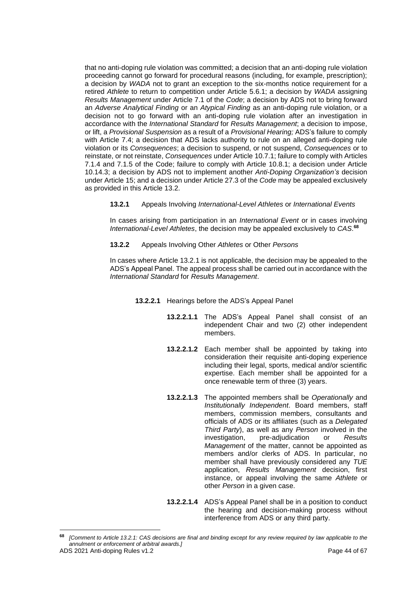that no anti-doping rule violation was committed; a decision that an anti-doping rule violation proceeding cannot go forward for procedural reasons (including, for example, prescription); a decision by *WADA* not to grant an exception to the six-months notice requirement for a retired *Athlete* to return to competition under Article 5.6.1; a decision by *WADA* assigning *Results Management* under Article 7.1 of the *Code*; a decision by ADS not to bring forward an *Adverse Analytical Finding* or an *Atypical Finding* as an anti-doping rule violation, or a decision not to go forward with an anti-doping rule violation after an investigation in accordance with the *International Standard* for *Results Management*; a decision to impose, or lift, a *Provisional Suspension* as a result of a *Provisional Hearing;* ADS's failure to comply with Article 7.4; a decision that ADS lacks authority to rule on an alleged anti-doping rule violation or its *Consequences*; a decision to suspend, or not suspend, *Consequences* or to reinstate, or not reinstate, *Consequences* under Article 10.7.1; failure to comply with Articles 7.1.4 and 7.1.5 of the Code; failure to comply with Article 10.8.1; a decision under Article 10.14.3; a decision by ADS not to implement another *Anti-Doping Organization's* decision under Article 15; and a decision under Article 27.3 of the *Code* may be appealed exclusively as provided in this Article 13.2.

**13.2.1** Appeals Involving *International-Level Athletes* or *International Events*

In cases arising from participation in an *International Event* or in cases involving *International-Level Athletes*, the decision may be appealed exclusively to *CAS*. **68**

**13.2.2** Appeals Involving Other *Athletes* or Other *Persons*

In cases where Article 13.2.1 is not applicable, the decision may be appealed to the ADS's Appeal Panel. The appeal process shall be carried out in accordance with the *International Standard* for *Results Management*.

- **13.2.2.1** Hearings before the ADS's Appeal Panel
	- **13.2.2.1.1** The ADS's Appeal Panel shall consist of an independent Chair and two (2) other independent members.
	- **13.2.2.1.2** Each member shall be appointed by taking into consideration their requisite anti-doping experience including their legal, sports, medical and/or scientific expertise. Each member shall be appointed for a once renewable term of three (3) years.
	- **13.2.2.1.3** The appointed members shall be *Operationally* and *Institutionally Independent*. Board members, staff members, commission members, consultants and officials of ADS or its affiliates (such as a *Delegated Third Party*), as well as any *Person* involved in the investigation, pre-adjudication or *Results Management* of the matter, cannot be appointed as members and/or clerks of ADS. In particular, no member shall have previously considered any *TUE* application, *Results Management* decision, first instance, or appeal involving the same *Athlete* or other *Person* in a given case.
	- **13.2.2.1.4** ADS's Appeal Panel shall be in a position to conduct the hearing and decision-making process without interference from ADS or any third party.

ADS 2021 Anti-doping Rules v1.2 **Page 44 of 67 <sup>68</sup>** *[Comment to Article 13.2.1: CAS decisions are final and binding except for any review required by law applicable to the annulment or enforcement of arbitral awards.]*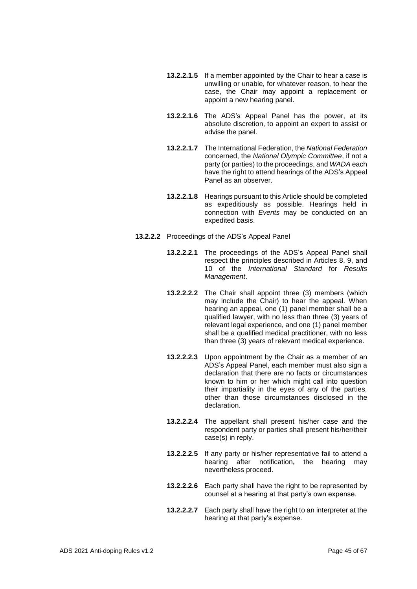- **13.2.2.1.5** If a member appointed by the Chair to hear a case is unwilling or unable, for whatever reason, to hear the case, the Chair may appoint a replacement or appoint a new hearing panel.
- **13.2.2.1.6** The ADS's Appeal Panel has the power, at its absolute discretion, to appoint an expert to assist or advise the panel.
- **13.2.2.1.7** The International Federation, the *National Federation* concerned, the *National Olympic Committee*, if not a party (or parties) to the proceedings, and *WADA* each have the right to attend hearings of the ADS's Appeal Panel as an observer.
- **13.2.2.1.8** Hearings pursuant to this Article should be completed as expeditiously as possible. Hearings held in connection with *Events* may be conducted on an expedited basis.
- **13.2.2.2** Proceedings of the ADS's Appeal Panel
	- **13.2.2.2.1** The proceedings of the ADS's Appeal Panel shall respect the principles described in Articles 8, 9, and 10 of the *International Standard* for *Results Management*.
	- **13.2.2.2.2** The Chair shall appoint three (3) members (which may include the Chair) to hear the appeal. When hearing an appeal, one (1) panel member shall be a qualified lawyer, with no less than three (3) years of relevant legal experience, and one (1) panel member shall be a qualified medical practitioner, with no less than three (3) years of relevant medical experience.
	- **13.2.2.2.3** Upon appointment by the Chair as a member of an ADS's Appeal Panel, each member must also sign a declaration that there are no facts or circumstances known to him or her which might call into question their impartiality in the eyes of any of the parties, other than those circumstances disclosed in the declaration.
	- **13.2.2.2.4** The appellant shall present his/her case and the respondent party or parties shall present his/her/their case(s) in reply.
	- **13.2.2.2.5** If any party or his/her representative fail to attend a hearing after notification, the hearing may nevertheless proceed.
	- **13.2.2.2.6** Each party shall have the right to be represented by counsel at a hearing at that party's own expense.
	- **13.2.2.2.7** Each party shall have the right to an interpreter at the hearing at that party's expense.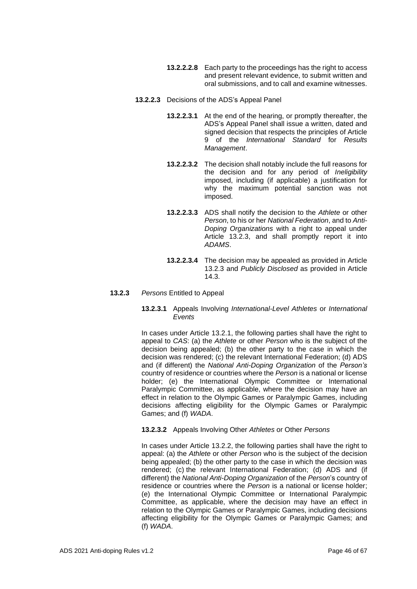- **13.2.2.2.8** Each party to the proceedings has the right to access and present relevant evidence, to submit written and oral submissions, and to call and examine witnesses.
- **13.2.2.3** Decisions of the ADS's Appeal Panel
	- **13.2.2.3.1** At the end of the hearing, or promptly thereafter, the ADS's Appeal Panel shall issue a written, dated and signed decision that respects the principles of Article 9 of the *International Standard* for *Results Management*.
	- **13.2.2.3.2** The decision shall notably include the full reasons for the decision and for any period of *Ineligibility*  imposed, including (if applicable) a justification for why the maximum potential sanction was not imposed.
	- **13.2.2.3.3** ADS shall notify the decision to the *Athlete* or other *Person*, to his or her *National Federation*, and to *Anti-Doping Organizations* with a right to appeal under Article 13.2.3, and shall promptly report it into *ADAMS*.
	- **13.2.2.3.4** The decision may be appealed as provided in Article 13.2.3 and *Publicly Disclosed* as provided in Article 14.3.

#### **13.2.3** *Persons* Entitled to Appeal

## **13.2.3.1** Appeals Involving *International-Level Athletes* or *International Events*

In cases under Article 13.2.1, the following parties shall have the right to appeal to *CAS*: (a) the *Athlete* or other *Person* who is the subject of the decision being appealed: (b) the other party to the case in which the decision was rendered; (c) the relevant International Federation; (d) ADS and (if different) the *National Anti-Doping Organization* of the *Person's* country of residence or countries where the *Person* is a national or license holder; (e) the International Olympic Committee or International Paralympic Committee, as applicable, where the decision may have an effect in relation to the Olympic Games or Paralympic Games, including decisions affecting eligibility for the Olympic Games or Paralympic Games; and (f) *WADA*.

## **13.2.3.2** Appeals Involving Other *Athletes* or Other *Persons*

In cases under Article 13.2.2, the following parties shall have the right to appeal: (a) the *Athlete* or other *Person* who is the subject of the decision being appealed; (b) the other party to the case in which the decision was rendered; (c) the relevant International Federation; (d) ADS and (if different) the *National Anti-Doping Organization* of the *Person*'s country of residence or countries where the *Person* is a national or license holder; (e) the International Olympic Committee or International Paralympic Committee, as applicable, where the decision may have an effect in relation to the Olympic Games or Paralympic Games, including decisions affecting eligibility for the Olympic Games or Paralympic Games; and (f) *WADA*.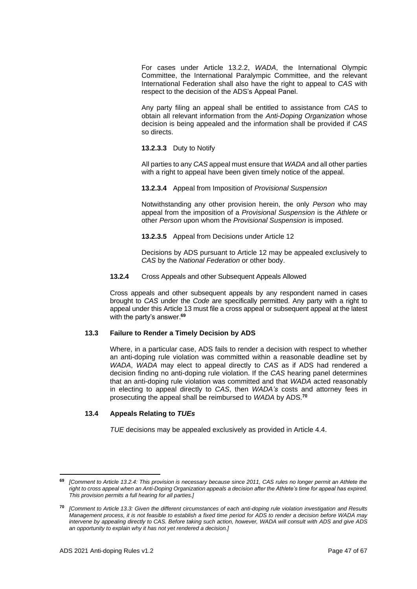For cases under Article 13.2.2, *WADA*, the International Olympic Committee, the International Paralympic Committee, and the relevant International Federation shall also have the right to appeal to *CAS* with respect to the decision of the ADS's Appeal Panel.

Any party filing an appeal shall be entitled to assistance from *CAS* to obtain all relevant information from the *Anti-Doping Organization* whose decision is being appealed and the information shall be provided if *CAS*  so directs.

## **13.2.3.3** Duty to Notify

All parties to any *CAS* appeal must ensure that *WADA* and all other parties with a right to appeal have been given timely notice of the appeal.

# **13.2.3.4** Appeal from Imposition of *Provisional Suspension*

Notwithstanding any other provision herein, the only *Person* who may appeal from the imposition of a *Provisional Suspension* is the *Athlete* or other *Person* upon whom the *Provisional Suspension* is imposed.

**13.2.3.5** Appeal from Decisions under Article 12

Decisions by ADS pursuant to Article 12 may be appealed exclusively to *CAS* by the *National Federation* or other body.

## **13.2.4** Cross Appeals and other Subsequent Appeals Allowed

Cross appeals and other subsequent appeals by any respondent named in cases brought to *CAS* under the *Code* are specifically permitted. Any party with a right to appeal under this Article 13 must file a cross appeal or subsequent appeal at the latest with the party's answer.**<sup>69</sup>**

# **13.3 Failure to Render a Timely Decision by ADS**

Where, in a particular case, ADS fails to render a decision with respect to whether an anti-doping rule violation was committed within a reasonable deadline set by *WADA*, *WADA* may elect to appeal directly to *CAS* as if ADS had rendered a decision finding no anti-doping rule violation. If the *CAS* hearing panel determines that an anti-doping rule violation was committed and that *WADA* acted reasonably in electing to appeal directly to *CAS*, then *WADA's* costs and attorney fees in prosecuting the appeal shall be reimbursed to *WADA* by ADS. **70**

# **13.4 Appeals Relating to** *TUEs*

*TUE* decisions may be appealed exclusively as provided in Article 4.4.

**<sup>69</sup>** *[Comment to Article 13.2.4: This provision is necessary because since 2011, CAS rules no longer permit an Athlete the right to cross appeal when an Anti-Doping Organization appeals a decision after the Athlete's time for appeal has expired. This provision permits a full hearing for all parties.]*

**<sup>70</sup>** *[Comment to Article 13.3: Given the different circumstances of each anti-doping rule violation investigation and Results Management process, it is not feasible to establish a fixed time period for ADS to render a decision before WADA may intervene by appealing directly to CAS. Before taking such action, however, WADA will consult with ADS and give ADS an opportunity to explain why it has not yet rendered a decision.]*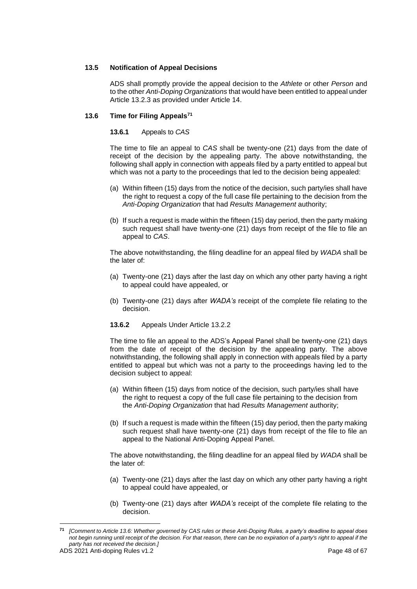# **13.5 Notification of Appeal Decisions**

ADS shall promptly provide the appeal decision to the *Athlete* or other *Person* and to the other *Anti-Doping Organizations* that would have been entitled to appeal under Article 13.2.3 as provided under Article 14.

# **13.6 Time for Filing Appeals<sup>71</sup>**

## **13.6.1** Appeals to *CAS*

The time to file an appeal to *CAS* shall be twenty-one (21) days from the date of receipt of the decision by the appealing party. The above notwithstanding, the following shall apply in connection with appeals filed by a party entitled to appeal but which was not a party to the proceedings that led to the decision being appealed:

- (a) Within fifteen (15) days from the notice of the decision, such party/ies shall have the right to request a copy of the full case file pertaining to the decision from the *Anti-Doping Organization* that had *Results Management* authority;
- (b) If such a request is made within the fifteen (15) day period, then the party making such request shall have twenty-one (21) days from receipt of the file to file an appeal to *CAS*.

The above notwithstanding, the filing deadline for an appeal filed by *WADA* shall be the later of:

- (a) Twenty-one (21) days after the last day on which any other party having a right to appeal could have appealed, or
- (b) Twenty-one (21) days after *WADA's* receipt of the complete file relating to the decision.
- **13.6.2** Appeals Under Article 13.2.2

The time to file an appeal to the ADS's Appeal Panel shall be twenty-one (21) days from the date of receipt of the decision by the appealing party. The above notwithstanding, the following shall apply in connection with appeals filed by a party entitled to appeal but which was not a party to the proceedings having led to the decision subject to appeal:

- (a) Within fifteen (15) days from notice of the decision, such party/ies shall have the right to request a copy of the full case file pertaining to the decision from the *Anti-Doping Organization* that had *Results Management* authority;
- (b) If such a request is made within the fifteen (15) day period, then the party making such request shall have twenty-one (21) days from receipt of the file to file an appeal to the National Anti-Doping Appeal Panel.

The above notwithstanding, the filing deadline for an appeal filed by *WADA* shall be the later of:

- (a) Twenty-one (21) days after the last day on which any other party having a right to appeal could have appealed, or
- (b) Twenty-one (21) days after *WADA's* receipt of the complete file relating to the decision.

**<sup>71</sup>** *[Comment to Article 13.6: Whether governed by CAS rules or these Anti-Doping Rules, a party's deadline to appeal does not begin running until receipt of the decision. For that reason, there can be no expiration of a party's right to appeal if the party has not received the decision.]*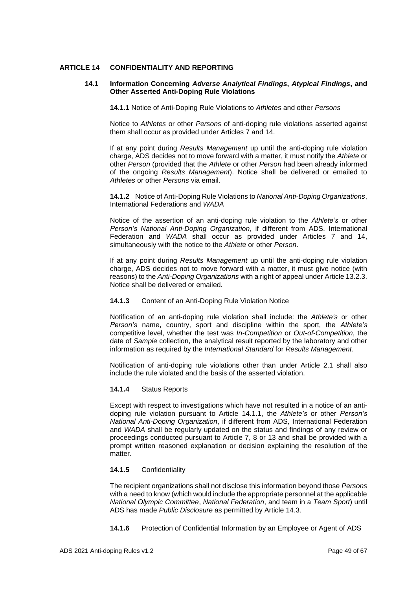## <span id="page-48-0"></span>**ARTICLE 14 CONFIDENTIALITY AND REPORTING**

#### **14.1 Information Concerning** *Adverse Analytical Findings***,** *Atypical Findings***, and Other Asserted Anti-Doping Rule Violations**

**14.1.1** Notice of Anti-Doping Rule Violations to *Athletes* and other *Persons*

Notice to *Athletes* or other *Persons* of anti-doping rule violations asserted against them shall occur as provided under Articles 7 and 14.

If at any point during *Results Management* up until the anti-doping rule violation charge, ADS decides not to move forward with a matter, it must notify the *Athlete* or other *Person* (provided that the *Athlete* or other *Person* had been already informed of the ongoing *Results Management*). Notice shall be delivered or emailed to *Athletes* or other *Persons* via email.

**14.1.2** Notice of Anti-Doping Rule Violations to *National Anti-Doping Organizations*, International Federations and *WADA*

Notice of the assertion of an anti-doping rule violation to the *Athlete's* or other *Person's National Anti-Doping Organization*, if different from ADS, International Federation and *WADA* shall occur as provided under Articles 7 and 14, simultaneously with the notice to the *Athlete* or other *Person*.

If at any point during *Results Management* up until the anti-doping rule violation charge, ADS decides not to move forward with a matter, it must give notice (with reasons) to the *Anti-Doping Organizations* with a right of appeal under Article 13.2.3. Notice shall be delivered or emailed.

#### **14.1.3** Content of an Anti-Doping Rule Violation Notice

Notification of an anti-doping rule violation shall include: the *Athlete's* or other *Person's* name, country, sport and discipline within the sport, the *Athlete's*  competitive level, whether the test was *In-Competition* or *Out-of-Competition*, the date of *Sample* collection, the analytical result reported by the laboratory and other information as required by the *International Standard* for *Results Management.*

Notification of anti-doping rule violations other than under Article 2.1 shall also include the rule violated and the basis of the asserted violation.

# **14.1.4** Status Reports

Except with respect to investigations which have not resulted in a notice of an antidoping rule violation pursuant to Article 14.1.1, the *Athlete's* or other *Person's National Anti-Doping Organization*, if different from ADS, International Federation and *WADA* shall be regularly updated on the status and findings of any review or proceedings conducted pursuant to Article 7, 8 or 13 and shall be provided with a prompt written reasoned explanation or decision explaining the resolution of the matter.

## **14.1.5** Confidentiality

The recipient organizations shall not disclose this information beyond those *Persons* with a need to know (which would include the appropriate personnel at the applicable *National Olympic Committee*, *National Federation*, and team in a *Team Sport*) until ADS has made *Public Disclosure* as permitted by Article 14.3.

**14.1.6** Protection of Confidential Information by an Employee or Agent of ADS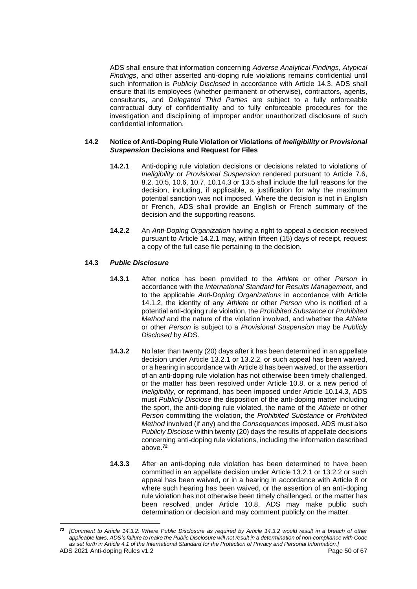ADS shall ensure that information concerning *Adverse Analytical Findings*, *Atypical Findings*, and other asserted anti-doping rule violations remains confidential until such information is *Publicly Disclosed* in accordance with Article 14.3. ADS shall ensure that its employees (whether permanent or otherwise), contractors, agents, consultants, and *Delegated Third Parties* are subject to a fully enforceable contractual duty of confidentiality and to fully enforceable procedures for the investigation and disciplining of improper and/or unauthorized disclosure of such confidential information.

## **14.2 Notice of Anti-Doping Rule Violation or Violations of** *Ineligibility* **or** *Provisional Suspension* **Decisions and Request for Files**

- **14.2.1** Anti-doping rule violation decisions or decisions related to violations of *Ineligibility* or *Provisional Suspension* rendered pursuant to Article 7.6, 8.2, 10.5, 10.6, 10.7, 10.14.3 or 13.5 shall include the full reasons for the decision, including, if applicable, a justification for why the maximum potential sanction was not imposed. Where the decision is not in English or French, ADS shall provide an English or French summary of the decision and the supporting reasons.
- **14.2.2** An *Anti-Doping Organization* having a right to appeal a decision received pursuant to Article 14.2.1 may, within fifteen (15) days of receipt, request a copy of the full case file pertaining to the decision.

# **14.3** *Public Disclosure*

- **14.3.1** After notice has been provided to the *Athlete* or other *Person* in accordance with the *International Standard* for *Results Management*, and to the applicable *Anti-Doping Organizations* in accordance with Article 14.1.2, the identity of any *Athlete* or other *Person* who is notified of a potential anti-doping rule violation, the *Prohibited Substance* or *Prohibited Method* and the nature of the violation involved, and whether the *Athlete* or other *Person* is subject to a *Provisional Suspension* may be *Publicly Disclosed* by ADS.
- **14.3.2** No later than twenty (20) days after it has been determined in an appellate decision under Article 13.2.1 or 13.2.2, or such appeal has been waived, or a hearing in accordance with Article 8 has been waived, or the assertion of an anti-doping rule violation has not otherwise been timely challenged, or the matter has been resolved under Article 10.8, or a new period of *Ineligibility*, or reprimand, has been imposed under Article 10.14.3, ADS must *Publicly Disclose* the disposition of the anti-doping matter including the sport, the anti-doping rule violated, the name of the *Athlete* or other *Person* committing the violation, the *Prohibited Substance* or *Prohibited Method* involved (if any) and the *Consequences* imposed. ADS must also *Publicly Disclose* within twenty (20) days the results of appellate decisions concerning anti-doping rule violations, including the information described above.**<sup>72</sup>**
- **14.3.3** After an anti-doping rule violation has been determined to have been committed in an appellate decision under Article 13.2.1 or 13.2.2 or such appeal has been waived, or in a hearing in accordance with Article 8 or where such hearing has been waived, or the assertion of an anti-doping rule violation has not otherwise been timely challenged, or the matter has been resolved under Article 10.8, ADS may make public such determination or decision and may comment publicly on the matter.

ADS 2021 Anti-doping Rules v1.2 **Page 50 of 67** Page 50 of 67 **<sup>72</sup>** *[Comment to Article 14.3.2: Where Public Disclosure as required by Article 14.3.2 would result in a breach of other applicable laws, ADS's failure to make the Public Disclosure will not result in a determination of non-compliance with Code as set forth in Article 4.1 of the International Standard for the Protection of Privacy and Personal Information.]*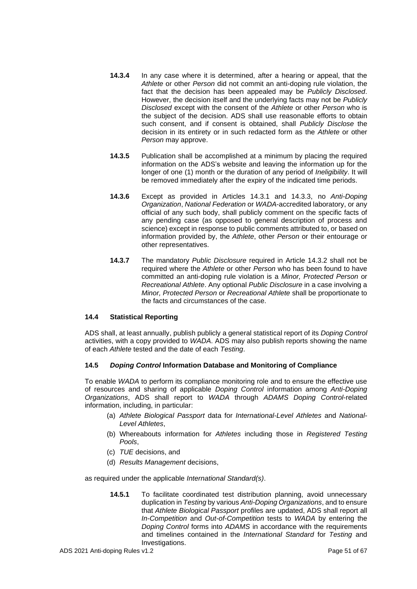- **14.3.4** In any case where it is determined, after a hearing or appeal, that the *Athlete* or other *Person* did not commit an anti-doping rule violation, the fact that the decision has been appealed may be *Publicly Disclosed*. However, the decision itself and the underlying facts may not be *Publicly Disclosed* except with the consent of the *Athlete* or other *Person* who is the subject of the decision. ADS shall use reasonable efforts to obtain such consent, and if consent is obtained, shall *Publicly Disclose* the decision in its entirety or in such redacted form as the *Athlete* or other *Person* may approve.
- **14.3.5** Publication shall be accomplished at a minimum by placing the required information on the ADS's website and leaving the information up for the longer of one (1) month or the duration of any period of *Ineligibility*. It will be removed immediately after the expiry of the indicated time periods.
- **14.3.6** Except as provided in Articles 14.3.1 and 14.3.3, no *Anti-Doping Organization*, *National Federation* or *WADA*-accredited laboratory, or any official of any such body, shall publicly comment on the specific facts of any pending case (as opposed to general description of process and science) except in response to public comments attributed to, or based on information provided by, the *Athlete*, other *Person* or their entourage or other representatives.
- **14.3.7** The mandatory *Public Disclosure* required in Article 14.3.2 shall not be required where the *Athlete* or other *Person* who has been found to have committed an anti-doping rule violation is a *Minor, Protected Person* or *Recreational Athlete*. Any optional *Public Disclosure* in a case involving a *Minor, Protected Person* or *Recreational Athlete* shall be proportionate to the facts and circumstances of the case.

# **14.4 Statistical Reporting**

ADS shall, at least annually, publish publicly a general statistical report of its *Doping Control* activities, with a copy provided to *WADA*. ADS may also publish reports showing the name of each *Athlete* tested and the date of each *Testing*.

# **14.5** *Doping Control* **Information Database and Monitoring of Compliance**

To enable *WADA* to perform its compliance monitoring role and to ensure the effective use of resources and sharing of applicable *Doping Control* information among *Anti-Doping Organizations*, ADS shall report to *WADA* through *ADAMS Doping Control*-related information, including, in particular:

- (a) *Athlete Biological Passport* data for *International-Level Athletes* and *National-Level Athletes*,
- (b) Whereabouts information for *Athletes* including those in *Registered Testing Pools*,
- (c) *TUE* decisions, and
- (d) *Results Management* decisions,

as required under the applicable *International Standard(s)*.

**14.5.1** To facilitate coordinated test distribution planning, avoid unnecessary duplication in *Testing* by various *Anti-Doping Organizations*, and to ensure that *Athlete Biological Passport* profiles are updated, ADS shall report all *In-Competition* and *Out-of-Competition* tests to *WADA* by entering the *Doping Control* forms into *ADAMS* in accordance with the requirements and timelines contained in the *International Standard* for *Testing* and Investigations.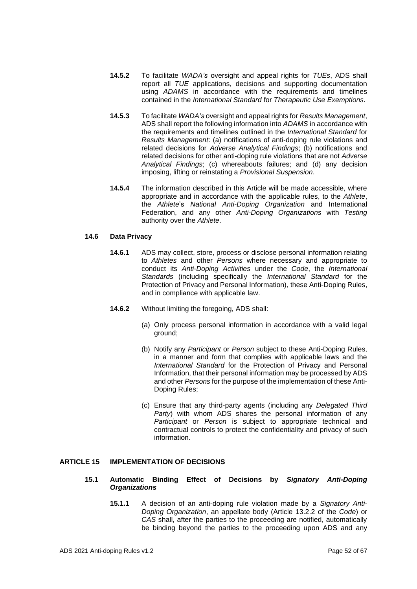- **14.5.2** To facilitate *WADA's* oversight and appeal rights for *TUEs*, ADS shall report all *TUE* applications, decisions and supporting documentation using *ADAMS* in accordance with the requirements and timelines contained in the *International Standard* for *Therapeutic Use Exemptions*.
- **14.5.3** To facilitate *WADA's* oversight and appeal rights for *Results Management*, ADS shall report the following information into *ADAMS* in accordance with the requirements and timelines outlined in the *International Standard* for *Results Management*: (a) notifications of anti-doping rule violations and related decisions for *Adverse Analytical Findings*; (b) notifications and related decisions for other anti-doping rule violations that are not *Adverse Analytical Findings*; (c) whereabouts failures; and (d) any decision imposing, lifting or reinstating a *Provisional Suspension*.
- **14.5.4** The information described in this Article will be made accessible, where appropriate and in accordance with the applicable rules, to the *Athlete*, the *Athlete*'s *National Anti-Doping Organization* and International Federation, and any other *Anti-Doping Organizations* with *Testing* authority over the *Athlete*.

# **14.6 Data Privacy**

- **14.6.1** ADS may collect, store, process or disclose personal information relating to *Athletes* and other *Persons* where necessary and appropriate to conduct its *Anti-Doping Activities* under the *Code*, the *International Standards* (including specifically the *International Standard* for the Protection of Privacy and Personal Information), these Anti-Doping Rules, and in compliance with applicable law.
- **14.6.2** Without limiting the foregoing, ADS shall:
	- (a) Only process personal information in accordance with a valid legal ground;
	- (b) Notify any *Participant* or *Person* subject to these Anti-Doping Rules, in a manner and form that complies with applicable laws and the *International Standard* for the Protection of Privacy and Personal Information, that their personal information may be processed by ADS and other *Persons* for the purpose of the implementation of these Anti-Doping Rules;
	- (c) Ensure that any third-party agents (including any *Delegated Third Party*) with whom ADS shares the personal information of any *Participant* or *Person* is subject to appropriate technical and contractual controls to protect the confidentiality and privacy of such information.

# <span id="page-51-0"></span>**ARTICLE 15 IMPLEMENTATION OF DECISIONS**

- **15.1 Automatic Binding Effect of Decisions by** *Signatory Anti-Doping Organizations*
	- **15.1.1** A decision of an anti-doping rule violation made by a *Signatory Anti-Doping Organization*, an appellate body (Article 13.2.2 of the *Code*) or *CAS* shall, after the parties to the proceeding are notified, automatically be binding beyond the parties to the proceeding upon ADS and any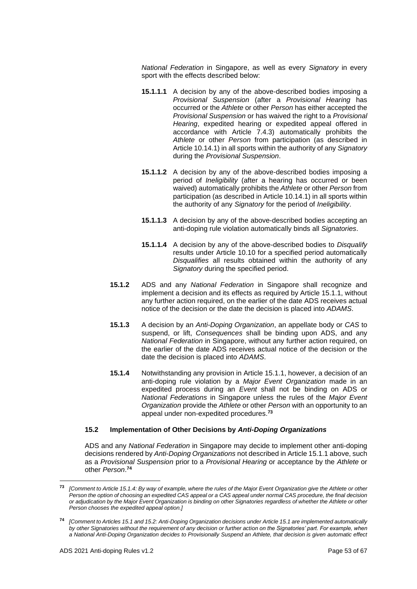*National Federation* in Singapore, as well as every *Signatory* in every sport with the effects described below:

- **15.1.1.1** A decision by any of the above-described bodies imposing a *Provisional Suspension* (after a *Provisional Hearing* has occurred or the *Athlete* or other *Person* has either accepted the *Provisional Suspension* or has waived the right to a *Provisional Hearing*, expedited hearing or expedited appeal offered in accordance with Article 7.4.3) automatically prohibits the *Athlete* or other *Person* from participation (as described in Article 10.14.1) in all sports within the authority of any *Signatory* during the *Provisional Suspension*.
- **15.1.1.2** A decision by any of the above-described bodies imposing a period of *Ineligibility* (after a hearing has occurred or been waived) automatically prohibits the *Athlete* or other *Person* from participation (as described in Article 10.14.1) in all sports within the authority of any *Signatory* for the period of *Ineligibility*.
- **15.1.1.3** A decision by any of the above-described bodies accepting an anti-doping rule violation automatically binds all *Signatories*.
- **15.1.1.4** A decision by any of the above-described bodies to *Disqualify* results under Article 10.10 for a specified period automatically *Disqualifies* all results obtained within the authority of any *Signatory* during the specified period.
- **15.1.2** ADS and any *National Federation* in Singapore shall recognize and implement a decision and its effects as required by Article 15.1.1, without any further action required, on the earlier of the date ADS receives actual notice of the decision or the date the decision is placed into *ADAMS*.
- **15.1.3** A decision by an *Anti-Doping Organization*, an appellate body or *CAS* to suspend, or lift, *Consequences* shall be binding upon ADS, and any *National Federation* in Singapore, without any further action required, on the earlier of the date ADS receives actual notice of the decision or the date the decision is placed into *ADAMS*.
- **15.1.4** Notwithstanding any provision in Article 15.1.1, however, a decision of an anti-doping rule violation by a *Major Event Organization* made in an expedited process during an *Event* shall not be binding on ADS or *National Federations* in Singapore unless the rules of the *Major Event Organization* provide the *Athlete* or other *Person* with an opportunity to an appeal under non-expedited procedures.**<sup>73</sup>**

## **15.2 Implementation of Other Decisions by** *Anti-Doping Organizations*

ADS and any *National Federation* in Singapore may decide to implement other anti-doping decisions rendered by *Anti-Doping Organizations* not described in Article 15.1.1 above, such as a *Provisional Suspension* prior to a *Provisional Hearing* or acceptance by the *Athlete* or other *Person*. **74**

**<sup>73</sup>** *[Comment to Article 15.1.4: By way of example, where the rules of the Major Event Organization give the Athlete or other Person the option of choosing an expedited CAS appeal or a CAS appeal under normal CAS procedure, the final decision or adjudication by the Major Event Organization is binding on other Signatories regardless of whether the Athlete or other Person chooses the expedited appeal option.]*

**<sup>74</sup>** *[Comment to Articles 15.1 and 15.2: Anti-Doping Organization decisions under Article 15.1 are implemented automatically by other Signatories without the requirement of any decision or further action on the Signatories' part. For example, when a National Anti-Doping Organization decides to Provisionally Suspend an Athlete, that decision is given automatic effect*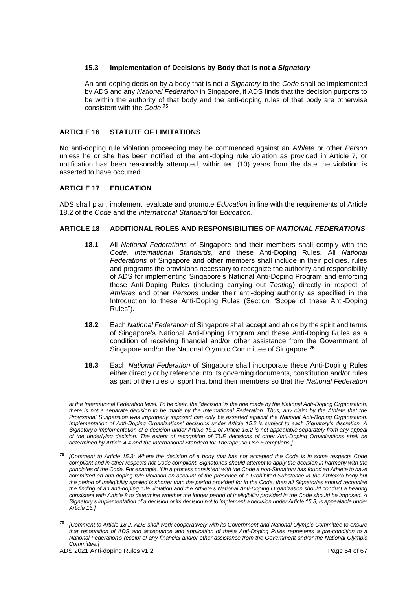# **15.3 Implementation of Decisions by Body that is not a** *Signatory*

An anti-doping decision by a body that is not a *Signatory* to the *Code* shall be implemented by ADS and any *National Federation* in Singapore, if ADS finds that the decision purports to be within the authority of that body and the anti-doping rules of that body are otherwise consistent with the *Code*. **75**

# <span id="page-53-0"></span>**ARTICLE 16 STATUTE OF LIMITATIONS**

No anti-doping rule violation proceeding may be commenced against an *Athlete* or other *Person* unless he or she has been notified of the anti-doping rule violation as provided in Article 7, or notification has been reasonably attempted, within ten (10) years from the date the violation is asserted to have occurred.

## <span id="page-53-1"></span>**ARTICLE 17 EDUCATION**

ADS shall plan, implement, evaluate and promote *Education* in line with the requirements of Article 18.2 of the *Code* and the *International Standard* for *Education*.

## <span id="page-53-2"></span>**ARTICLE 18 ADDITIONAL ROLES AND RESPONSIBILITIES OF** *NATIONAL FEDERATIONS*

- **18.1** All *National Federations* of Singapore and their members shall comply with the *Code, International Standards*, and these Anti-Doping Rules. All *National Federations* of Singapore and other members shall include in their policies, rules and programs the provisions necessary to recognize the authority and responsibility of ADS for implementing Singapore's National Anti-Doping Program and enforcing these Anti-Doping Rules (including carrying out *Testing*) directly in respect of *Athletes* and other *Persons* under their anti-doping authority as specified in the Introduction to these Anti-Doping Rules (Section "Scope of these Anti-Doping Rules").
- **18.2** Each *National Federation* of Singapore shall accept and abide by the spirit and terms of Singapore's National Anti-Doping Program and these Anti-Doping Rules as a condition of receiving financial and/or other assistance from the Government of Singapore and/or the National Olympic Committee of Singapore. **76**
- **18.3** Each *National Federation* of Singapore shall incorporate these Anti-Doping Rules either directly or by reference into its governing documents, constitution and/or rules as part of the rules of sport that bind their members so that the *National Federation*

*at the International Federation level. To be clear, the "decision" is the one made by the National Anti-Doping Organization, there is not a separate decision to be made by the International Federation. Thus, any claim by the Athlete that the Provisional Suspension was improperly imposed can only be asserted against the National Anti-Doping Organization. Implementation of Anti-Doping Organizations' decisions under Article 15.2 is subject to each Signatory's discretion. A Signatory's implementation of a decision under Article 15.1 or Article 15.2 is not appealable separately from any appeal of the underlying decision. The extent of recognition of TUE decisions of other Anti-Doping Organizations shall be determined by Article 4.4 and the International Standard for Therapeutic Use Exemptions.]*

**<sup>75</sup>** *[Comment to Article 15.3: Where the decision of a body that has not accepted the Code is in some respects Code*  compliant and in other respects not Code compliant, Signatories should attempt to apply the decision in harmony with the *principles of the Code. For example, if in a process consistent with the Code a non-Signatory has found an Athlete to have committed an anti-doping rule violation on account of the presence of a Prohibited Substance in the Athlete's body but the period of Ineligibility applied is shorter than the period provided for in the Code, then all Signatories should recognize the finding of an anti-doping rule violation and the Athlete's National Anti-Doping Organization should conduct a hearing consistent with Article 8 to determine whether the longer period of Ineligibility provided in the Code should be imposed. A Signatory's implementation of a decision or its decision not to implement a decision under Article 15.3, is appealable under Article 13.]*

**<sup>76</sup>** *[Comment to Article 18.2: ADS shall work cooperatively with its Government and National Olympic Committee to ensure that recognition of ADS and acceptance and application of these Anti-Doping Rules represents a pre-condition to a National Federation's receipt of any financial and/or other assistance from the Government and/or the National Olympic Committee.]*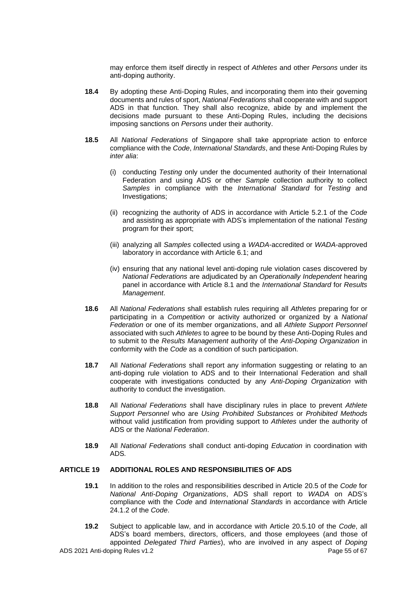may enforce them itself directly in respect of *Athletes* and other *Persons* under its anti-doping authority.

- **18.4** By adopting these Anti-Doping Rules, and incorporating them into their governing documents and rules of sport, *National Federations* shall cooperate with and support ADS in that function*.* They shall also recognize, abide by and implement the decisions made pursuant to these Anti-Doping Rules, including the decisions imposing sanctions on *Persons* under their authority.
- **18.5** All *National Federations* of Singapore shall take appropriate action to enforce compliance with the *Code*, *International Standards*, and these Anti-Doping Rules by *inter alia*:
	- (i) conducting *Testing* only under the documented authority of their International Federation and using ADS or other *Sample* collection authority to collect *Samples* in compliance with the *International Standard* for *Testing* and Investigations;
	- (ii) recognizing the authority of ADS in accordance with Article 5.2.1 of the *Code*  and assisting as appropriate with ADS's implementation of the national *Testing*  program for their sport;
	- (iii) analyzing all *Samples* collected using a *WADA*-accredited or *WADA*-approved laboratory in accordance with Article 6.1; and
	- (iv) ensuring that any national level anti-doping rule violation cases discovered by *National Federations* are adjudicated by an *Operationally Independent* hearing panel in accordance with Article 8.1 and the *International Standard* for *Results Management*.
- **18.6** All *National Federations* shall establish rules requiring all *Athletes* preparing for or participating in a *Competition* or activity authorized or organized by a *National Federation* or one of its member organizations, and all *Athlete Support Personnel* associated with such *Athletes* to agree to be bound by these Anti-Doping Rules and to submit to the *Results Management* authority of the *Anti-Doping Organization* in conformity with the *Code* as a condition of such participation.
- **18.7** All *National Federations* shall report any information suggesting or relating to an anti-doping rule violation to ADS and to their International Federation and shall cooperate with investigations conducted by any *Anti-Doping Organization* with authority to conduct the investigation.
- **18.8** All *National Federations* shall have disciplinary rules in place to prevent *Athlete Support Personnel* who are *Using Prohibited Substances* or *Prohibited Methods* without valid justification from providing support to Athletes under the authority of ADS or the *National Federation*.
- **18.9** All *National Federations* shall conduct anti-doping *Education* in coordination with ADS*.*

## <span id="page-54-0"></span>**ARTICLE 19 ADDITIONAL ROLES AND RESPONSIBILITIES OF ADS**

- **19.1** In addition to the roles and responsibilities described in Article 20.5 of the *Code* for *National Anti-Doping Organizations*, ADS shall report to *WADA* on ADS's compliance with the *Code* and *International Standards* in accordance with Article 24.1.2 of the *Code*.
- ADS 2021 Anti-doping Rules v1.2 Page 55 of 67 **19.2** Subject to applicable law, and in accordance with Article 20.5.10 of the *Code*, all ADS's board members, directors, officers, and those employees (and those of appointed *Delegated Third Parties*), who are involved in any aspect of *Doping*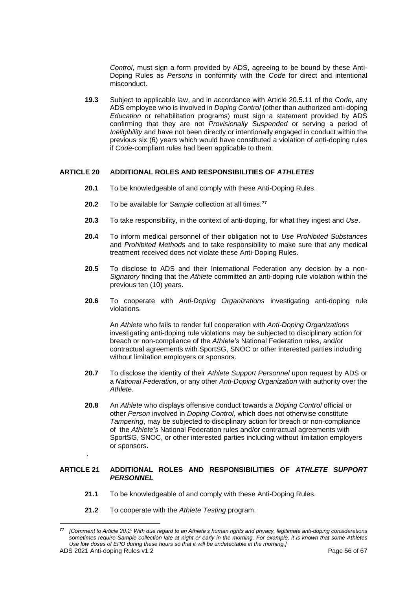*Control*, must sign a form provided by ADS, agreeing to be bound by these Anti-Doping Rules as *Persons* in conformity with the *Code* for direct and intentional misconduct.

**19.3** Subject to applicable law, and in accordance with Article 20.5.11 of the *Code*, any ADS employee who is involved in *Doping Control* (other than authorized anti-doping *Education* or rehabilitation programs) must sign a statement provided by ADS confirming that they are not *Provisionally Suspended* or serving a period of *Ineligibility* and have not been directly or intentionally engaged in conduct within the previous six (6) years which would have constituted a violation of anti-doping rules if *Code*-compliant rules had been applicable to them.

## <span id="page-55-0"></span>**ARTICLE 20 ADDITIONAL ROLES AND RESPONSIBILITIES OF** *ATHLETES*

- **20.1** To be knowledgeable of and comply with these Anti-Doping Rules.
- **20.2** To be available for *Sample* collection at all times.**<sup>77</sup>**
- **20.3** To take responsibility, in the context of anti-doping, for what they ingest and *Use*.
- **20.4** To inform medical personnel of their obligation not to *Use Prohibited Substances* and *Prohibited Methods* and to take responsibility to make sure that any medical treatment received does not violate these Anti-Doping Rules.
- **20.5** To disclose to ADS and their International Federation any decision by a non-*Signatory* finding that the *Athlete* committed an anti-doping rule violation within the previous ten (10) years.
- **20.6** To cooperate with *Anti-Doping Organizations* investigating anti-doping rule violations.

An *Athlete* who fails to render full cooperation with *Anti-Doping Organizations* investigating anti-doping rule violations may be subjected to disciplinary action for breach or non-compliance of the *Athlete's* National Federation rules, and/or contractual agreements with SportSG, SNOC or other interested parties including without limitation employers or sponsors.

- **20.7** To disclose the identity of their *Athlete Support Personnel* upon request by ADS or a *National Federation*, or any other *Anti-Doping Organization* with authority over the *Athlete*.
- **20.8** An *Athlete* who displays offensive conduct towards a *Doping Control* official or other *Person* involved in *Doping Control*, which does not otherwise constitute *Tampering*, may be subjected to disciplinary action for breach or non-compliance of the *Athlete's* National Federation rules and/or contractual agreements with SportSG, SNOC, or other interested parties including without limitation employers or sponsors.

# <span id="page-55-1"></span>**ARTICLE 21 ADDITIONAL ROLES AND RESPONSIBILITIES OF** *ATHLETE SUPPORT PERSONNEL*

- **21.1** To be knowledgeable of and comply with these Anti-Doping Rules.
- **21.2** To cooperate with the *Athlete Testing* program.

.

**<sup>77</sup>** *[Comment to Article 20.2: With due regard to an Athlete's human rights and privacy, legitimate anti-doping considerations sometimes require Sample collection late at night or early in the morning. For example, it is known that some Athletes Use low doses of EPO during these hours so that it will be undetectable in the morning.]*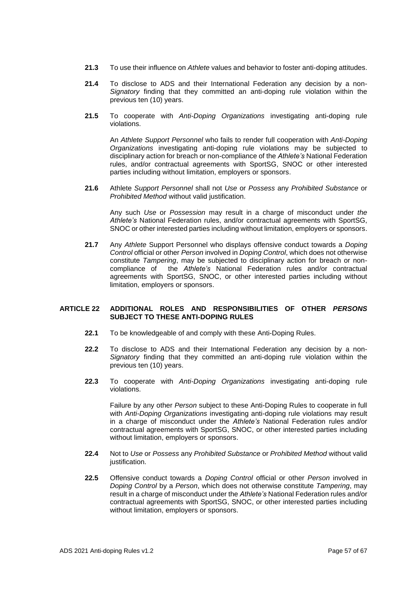- **21.3** To use their influence on *Athlete* values and behavior to foster anti-doping attitudes.
- **21.4** To disclose to ADS and their International Federation any decision by a non-*Signatory* finding that they committed an anti-doping rule violation within the previous ten (10) years.
- **21.5** To cooperate with *Anti-Doping Organizations* investigating anti-doping rule violations.

An *Athlete Support Personnel* who fails to render full cooperation with *Anti-Doping Organizations* investigating anti-doping rule violations may be subjected to disciplinary action for breach or non-compliance of the *Athlete's* National Federation rules, and/or contractual agreements with SportSG, SNOC or other interested parties including without limitation, employers or sponsors.

**21.6** Athlete *Support Personnel* shall not *Use* or *Possess* any *Prohibited Substance* or *Prohibited Method* without valid justification.

Any such *Use* or *Possession* may result in a charge of misconduct under *the Athlete's* National Federation rules, and/or contractual agreements with SportSG, SNOC or other interested parties including without limitation, employers or sponsors.

**21.7** Any *Athlete* Support Personnel who displays offensive conduct towards a *Doping Control* official or other *Person* involved in *Doping Control*, which does not otherwise constitute *Tampering*, may be subjected to disciplinary action for breach or noncompliance of the *Athlete's* National Federation rules and/or contractual agreements with SportSG, SNOC, or other interested parties including without limitation, employers or sponsors.

## <span id="page-56-0"></span>**ARTICLE 22 ADDITIONAL ROLES AND RESPONSIBILITIES OF OTHER** *PERSONS* **SUBJECT TO THESE ANTI-DOPING RULES**

- **22.1** To be knowledgeable of and comply with these Anti-Doping Rules.
- **22.2** To disclose to ADS and their International Federation any decision by a non-*Signatory* finding that they committed an anti-doping rule violation within the previous ten (10) years.
- **22.3** To cooperate with *Anti-Doping Organizations* investigating anti-doping rule violations.

Failure by any other *Person* subject to these Anti-Doping Rules to cooperate in full with *Anti-Doping Organizations* investigating anti-doping rule violations may result in a charge of misconduct under the *Athlete's* National Federation rules and/or contractual agreements with SportSG, SNOC, or other interested parties including without limitation, employers or sponsors.

- **22.4** Not to *Use* or *Possess* any *Prohibited Substance* or *Prohibited Method* without valid justification.
- **22.5** Offensive conduct towards a *Doping Control* official or other *Person* involved in *Doping Control* by a *Person*, which does not otherwise constitute *Tampering*, may result in a charge of misconduct under the *Athlete's* National Federation rules and/or contractual agreements with SportSG, SNOC, or other interested parties including without limitation, employers or sponsors.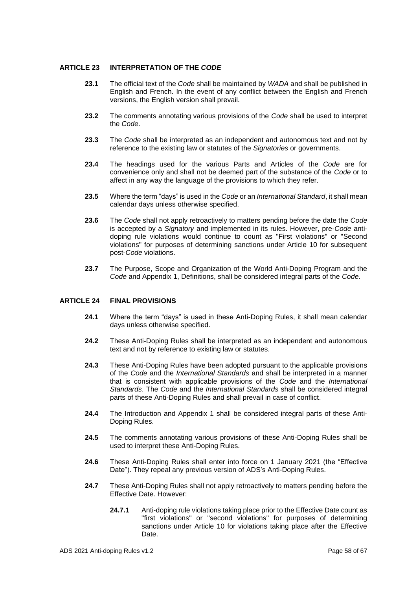## <span id="page-57-0"></span>**ARTICLE 23 INTERPRETATION OF THE** *CODE*

- **23.1** The official text of the *Code* shall be maintained by *WADA* and shall be published in English and French. In the event of any conflict between the English and French versions, the English version shall prevail.
- **23.2** The comments annotating various provisions of the *Code* shall be used to interpret the *Code*.
- **23.3** The *Code* shall be interpreted as an independent and autonomous text and not by reference to the existing law or statutes of the *Signatories* or governments.
- **23.4** The headings used for the various Parts and Articles of the *Code* are for convenience only and shall not be deemed part of the substance of the *Code* or to affect in any way the language of the provisions to which they refer.
- **23.5** Where the term "days" is used in the *Code* or an *International Standard*, it shall mean calendar days unless otherwise specified.
- **23.6** The *Code* shall not apply retroactively to matters pending before the date the *Code* is accepted by a *Signatory* and implemented in its rules. However, pre-*Code* antidoping rule violations would continue to count as "First violations" or "Second violations" for purposes of determining sanctions under Article 10 for subsequent post-*Code* violations.
- **23.7** The Purpose, Scope and Organization of the World Anti-Doping Program and the *Code* and Appendix 1, Definitions, shall be considered integral parts of the *Code*.

## <span id="page-57-1"></span>**ARTICLE 24 FINAL PROVISIONS**

- **24.1** Where the term "days" is used in these Anti-Doping Rules, it shall mean calendar days unless otherwise specified.
- **24.2** These Anti-Doping Rules shall be interpreted as an independent and autonomous text and not by reference to existing law or statutes.
- **24.3** These Anti-Doping Rules have been adopted pursuant to the applicable provisions of the *Code* and the *International Standards* and shall be interpreted in a manner that is consistent with applicable provisions of the *Code* and the *International Standards*. The *Code* and the *International Standards* shall be considered integral parts of these Anti-Doping Rules and shall prevail in case of conflict.
- **24.4** The Introduction and Appendix 1 shall be considered integral parts of these Anti-Doping Rules.
- **24.5** The comments annotating various provisions of these Anti-Doping Rules shall be used to interpret these Anti-Doping Rules.
- **24.6** These Anti-Doping Rules shall enter into force on 1 January 2021 (the "Effective Date"). They repeal any previous version of ADS's Anti-Doping Rules.
- **24.7** These Anti-Doping Rules shall not apply retroactively to matters pending before the Effective Date. However:
	- **24.7.1** Anti-doping rule violations taking place prior to the Effective Date count as "first violations" or "second violations" for purposes of determining sanctions under Article 10 for violations taking place after the Effective Date.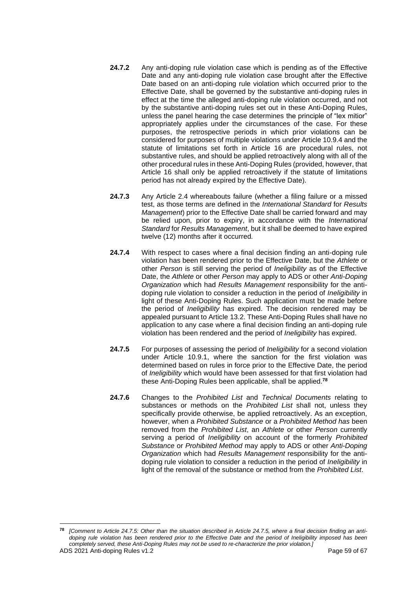- **24.7.2** Any anti-doping rule violation case which is pending as of the Effective Date and any anti-doping rule violation case brought after the Effective Date based on an anti-doping rule violation which occurred prior to the Effective Date, shall be governed by the substantive anti-doping rules in effect at the time the alleged anti-doping rule violation occurred, and not by the substantive anti-doping rules set out in these Anti-Doping Rules, unless the panel hearing the case determines the principle of "lex mitior" appropriately applies under the circumstances of the case. For these purposes, the retrospective periods in which prior violations can be considered for purposes of multiple violations under Article 10.9.4 and the statute of limitations set forth in Article 16 are procedural rules, not substantive rules, and should be applied retroactively along with all of the other procedural rules in these Anti-Doping Rules (provided, however, that Article 16 shall only be applied retroactively if the statute of limitations period has not already expired by the Effective Date).
- **24.7.3** Any Article 2.4 whereabouts failure (whether a filing failure or a missed test, as those terms are defined in the *International Standard* for *Results Management*) prior to the Effective Date shall be carried forward and may be relied upon, prior to expiry, in accordance with the *International Standard* for *Results Management*, but it shall be deemed to have expired twelve (12) months after it occurred*.*
- **24.7.4** With respect to cases where a final decision finding an anti-doping rule violation has been rendered prior to the Effective Date, but the *Athlete* or other *Person* is still serving the period of *Ineligibility* as of the Effective Date, the *Athlete* or other *Person* may apply to ADS or other *Anti-Doping Organization* which had *Results Management* responsibility for the antidoping rule violation to consider a reduction in the period of *Ineligibility* in light of these Anti-Doping Rules. Such application must be made before the period of *Ineligibility* has expired. The decision rendered may be appealed pursuant to Article 13.2. These Anti-Doping Rules shall have no application to any case where a final decision finding an anti-doping rule violation has been rendered and the period of *Ineligibility* has expired.
- **24.7.5** For purposes of assessing the period of *Ineligibility* for a second violation under Article 10.9.1, where the sanction for the first violation was determined based on rules in force prior to the Effective Date, the period of *Ineligibility* which would have been assessed for that first violation had these Anti-Doping Rules been applicable, shall be applied.**<sup>78</sup>**
- **24.7.6** Changes to the *Prohibited List* and *Technical Documents* relating to substances or methods on the *Prohibited List* shall not, unless they specifically provide otherwise, be applied retroactively. As an exception, however, when a *Prohibited Substance* or a *Prohibited Method has* been removed from the *Prohibited List*, an *Athlete* or other *Person* currently serving a period of *Ineligibility* on account of the formerly *Prohibited Substance* or *Prohibited Method* may apply to ADS or other *Anti-Doping Organization* which had *Results Management* responsibility for the antidoping rule violation to consider a reduction in the period of *Ineligibility* in light of the removal of the substance or method from the *Prohibited List*.

ADS 2021 Anti-doping Rules v1.2 **Page 59 of 67** Page 59 of 67 **<sup>78</sup>** *[Comment to Article 24.7.5: Other than the situation described in Article 24.7.5, where a final decision finding an antidoping rule violation has been rendered prior to the Effective Date and the period of Ineligibility imposed has been completely served, these Anti-Doping Rules may not be used to re-characterize the prior violation.]*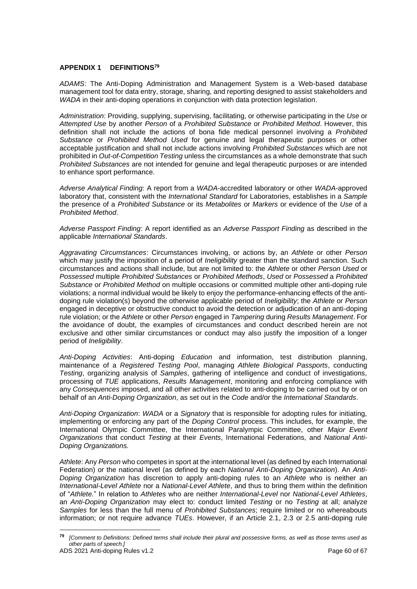## <span id="page-59-0"></span>**APPENDIX 1 DEFINITIONS<sup>79</sup>**

*ADAMS*: The Anti-Doping Administration and Management System is a Web-based database management tool for data entry, storage, sharing, and reporting designed to assist stakeholders and *WADA* in their anti-doping operations in conjunction with data protection legislation.

*Administration*: Providing, supplying, supervising, facilitating, or otherwise participating in the *Use* or *Attempted Use* by another *Person* of a *Prohibited Substance* or *Prohibited Method*. However, this definition shall not include the actions of bona fide medical personnel involving a *Prohibited Substance* or *Prohibited Method Used* for genuine and legal therapeutic purposes or other acceptable justification and shall not include actions involving *Prohibited Substances* which are not prohibited in *Out-of-Competition Testing* unless the circumstances as a whole demonstrate that such *Prohibited Substances* are not intended for genuine and legal therapeutic purposes or are intended to enhance sport performance.

*Adverse Analytical Finding*: A report from a *WADA*-accredited laboratory or other *WADA*-approved laboratory that, consistent with the *International Standard* for Laboratories, establishes in a *Sample*  the presence of a *Prohibited Substance* or its *Metabolites* or *Markers* or evidence of the *Use* of a *Prohibited Method*.

*Adverse Passport Finding*: A report identified as an *Adverse Passport Finding* as described in the applicable *International Standards*.

*Aggravating Circumstances*: Circumstances involving, or actions by, an *Athlete* or other *Person* which may justify the imposition of a period of *Ineligibility* greater than the standard sanction. Such circumstances and actions shall include, but are not limited to: the *Athlete* or other *Person Used* or *Possessed* multiple *Prohibited Substances* or *Prohibited Methods*, *Used* or *Possessed* a *Prohibited Substance* or *Prohibited Method* on multiple occasions or committed multiple other anti-doping rule violations; a normal individual would be likely to enjoy the performance-enhancing effects of the antidoping rule violation(s) beyond the otherwise applicable period of *Ineligibility*; the *Athlete* or *Person* engaged in deceptive or obstructive conduct to avoid the detection or adjudication of an anti-doping rule violation; or the *Athlete* or other *Person* engaged in *Tampering* during *Results Management*. For the avoidance of doubt, the examples of circumstances and conduct described herein are not exclusive and other similar circumstances or conduct may also justify the imposition of a longer period of *Ineligibility*.

*Anti-Doping Activities*: Anti-doping *Education* and information, test distribution planning, maintenance of a *Registered Testing Pool*, managing *Athlete Biological Passports*, conducting *Testing*, organizing analysis of *Samples*, gathering of intelligence and conduct of investigations, processing of *TUE* applications, *Results Management*, monitoring and enforcing compliance with any *Consequences* imposed, and all other activities related to anti-doping to be carried out by or on behalf of an *Anti-Doping Organization*, as set out in the *Code* and/or the *International Standards*.

*Anti-Doping Organization*: *WADA* or a *Signatory* that is responsible for adopting rules for initiating, implementing or enforcing any part of the *Doping Control* process. This includes, for example, the International Olympic Committee, the International Paralympic Committee, other *Major Event Organizations* that conduct *Testing* at their *Events*, International Federations, and *National Anti-Doping Organizations.*

*Athlete*: Any *Person* who competes in sport at the international level (as defined by each International Federation) or the national level (as defined by each *National Anti-Doping Organization*). An *Anti-Doping Organization* has discretion to apply anti-doping rules to an *Athlete* who is neither an *International-Level Athlete* nor a *National-Level Athlete*, and thus to bring them within the definition of "*Athlete.*" In relation to *Athletes* who are neither *International-Level* nor *National-Level Athletes*, an *Anti-Doping Organization* may elect to: conduct limited *Testing* or no *Testing* at all; analyze *Samples* for less than the full menu of *Prohibited Substances*; require limited or no whereabouts information; or not require advance *TUEs*. However, if an Article 2.1, 2.3 or 2.5 anti-doping rule

**<sup>79</sup>** *[Comment to Definitions: Defined terms shall include their plural and possessive forms, as well as those terms used as other parts of speech.]*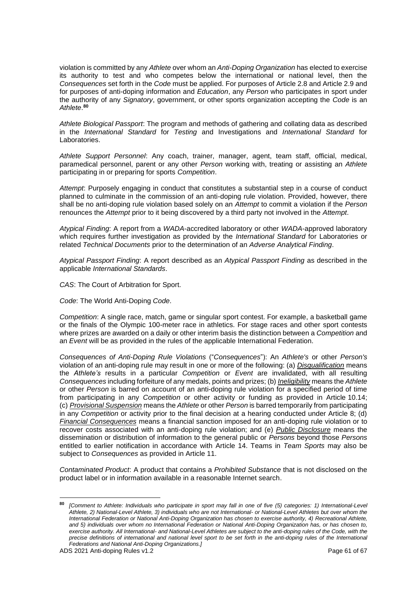violation is committed by any *Athlete* over whom an *Anti-Doping Organization* has elected to exercise its authority to test and who competes below the international or national level, then the *Consequences* set forth in the *Code* must be applied. For purposes of Article 2.8 and Article 2.9 and for purposes of anti-doping information and *Education*, any *Person* who participates in sport under the authority of any *Signatory*, government, or other sports organization accepting the *Code* is an *Athlete*. **80**

*Athlete Biological Passport*: The program and methods of gathering and collating data as described in the *International Standard* for *Testing* and Investigations and *International Standard* for Laboratories.

*Athlete Support Personnel*: Any coach, trainer, manager, agent, team staff, official, medical, paramedical personnel, parent or any other *Person* working with, treating or assisting an *Athlete* participating in or preparing for sports *Competition*.

*Attempt*: Purposely engaging in conduct that constitutes a substantial step in a course of conduct planned to culminate in the commission of an anti-doping rule violation. Provided, however, there shall be no anti-doping rule violation based solely on an *Attempt* to commit a violation if the *Person* renounces the *Attempt* prior to it being discovered by a third party not involved in the *Attempt*.

*Atypical Finding*: A report from a *WADA*-accredited laboratory or other *WADA*-approved laboratory which requires further investigation as provided by the *International Standard* for Laboratories or related *Technical Documents* prior to the determination of an *Adverse Analytical Finding*.

*Atypical Passport Finding*: A report described as an *Atypical Passport Finding* as described in the applicable *International Standards*.

*CAS*: The Court of Arbitration for Sport.

*Code*: The World Anti-Doping *Code*.

*Competition*: A single race, match, game or singular sport contest. For example, a basketball game or the finals of the Olympic 100-meter race in athletics. For stage races and other sport contests where prizes are awarded on a daily or other interim basis the distinction between a *Competition* and an *Event* will be as provided in the rules of the applicable International Federation.

*Consequences of Anti-Doping Rule Violations* ("*Consequences*"): An *Athlete's* or other *Person's* violation of an anti-doping rule may result in one or more of the following: (a) *Disqualification* means the *Athlete's* results in a particular *Competition* or *Event* are invalidated, with all resulting *Consequences* including forfeiture of any medals, points and prizes; (b) *Ineligibility* means the *Athlete* or other *Person* is barred on account of an anti-doping rule violation for a specified period of time from participating in any *Competition* or other activity or funding as provided in Article 10.14; (c) *Provisional Suspension* means the *Athlete* or other *Person* is barred temporarily from participating in any *Competition* or activity prior to the final decision at a hearing conducted under Article 8; (d) *Financial Consequences* means a financial sanction imposed for an anti-doping rule violation or to recover costs associated with an anti-doping rule violation; and (e) *Public Disclosure* means the dissemination or distribution of information to the general public or *Persons* beyond those *Persons*  entitled to earlier notification in accordance with Article 14. Teams in *Team Sports* may also be subject to *Consequences* as provided in Article 11.

*Contaminated Product*: A product that contains a *Prohibited Substance* that is not disclosed on the product label or in information available in a reasonable Internet search.

**<sup>80</sup>** *[Comment to Athlete: Individuals who participate in sport may fall in one of five (5) categories: 1) International-Level Athlete, 2) National-Level Athlete, 3) individuals who are not International- or National-Level Athletes but over whom the International Federation or National Anti-Doping Organization has chosen to exercise authority, 4) Recreational Athlete, and 5) individuals over whom no International Federation or National Anti-Doping Organization has, or has chosen to, exercise authority. All International- and National-Level Athletes are subject to the anti-doping rules of the Code, with the precise definitions of international and national level sport to be set forth in the anti-doping rules of the International Federations and National Anti-Doping Organizations.]*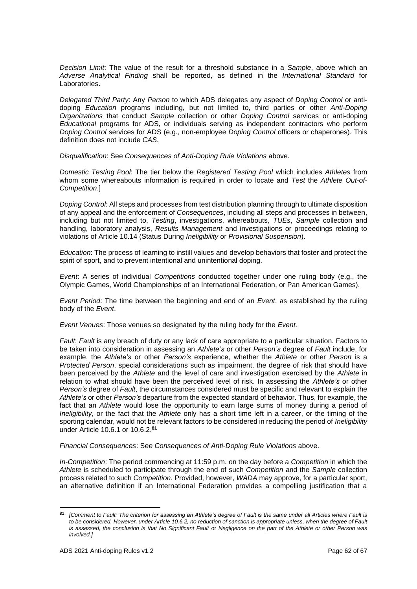*Decision Limit*: The value of the result for a threshold substance in a *Sample*, above which an *Adverse Analytical Finding* shall be reported, as defined in the *International Standard* for Laboratories.

*Delegated Third Party*: Any *Person* to which ADS delegates any aspect of *Doping Control* or antidoping *Education* programs including, but not limited to, third parties or other *Anti-Doping Organizations* that conduct *Sample* collection or other *Doping Control* services or anti-doping *Educational* programs for ADS, or individuals serving as independent contractors who perform *Doping Control* services for ADS (e.g., non-employee *Doping Control* officers or chaperones). This definition does not include *CAS*.

*Disqualification*: See *Consequences of Anti-Doping Rule Violations* above.

*Domestic Testing Pool*: The tier below the *Registered Testing Pool* which includes *Athletes* from whom some whereabouts information is required in order to locate and *Test* the *Athlete Out-of-Competition*.]

*Doping Control*: All steps and processes from test distribution planning through to ultimate disposition of any appeal and the enforcement of *Consequences*, including all steps and processes in between, including but not limited to, *Testing*, investigations, whereabouts, *TUEs*, *Sample* collection and handling, laboratory analysis, *Results Management* and investigations or proceedings relating to violations of Article 10.14 (Status During *Ineligibility* or *Provisional Suspension*).

*Education*: The process of learning to instill values and develop behaviors that foster and protect the spirit of sport, and to prevent intentional and unintentional doping.

*Event*: A series of individual *Competitions* conducted together under one ruling body (e.g., the Olympic Games, World Championships of an International Federation, or Pan American Games).

*Event Period*: The time between the beginning and end of an *Event*, as established by the ruling body of the *Event*.

*Event Venues*: Those venues so designated by the ruling body for the *Event.*

*Fault*: *Fault* is any breach of duty or any lack of care appropriate to a particular situation. Factors to be taken into consideration in assessing an *Athlete's* or other *Person's* degree of *Fault* include, for example, the *Athlete's* or other *Person's* experience, whether the *Athlete* or other *Person* is a *Protected Person*, special considerations such as impairment, the degree of risk that should have been perceived by the *Athlete* and the level of care and investigation exercised by the *Athlete* in relation to what should have been the perceived level of risk. In assessing the *Athlete's* or other *Person's* degree of *Fault*, the circumstances considered must be specific and relevant to explain the *Athlete's* or other *Person's* departure from the expected standard of behavior. Thus, for example, the fact that an *Athlete* would lose the opportunity to earn large sums of money during a period of *Ineligibility*, or the fact that the *Athlete* only has a short time left in a career, or the timing of the sporting calendar, would not be relevant factors to be considered in reducing the period of *Ineligibility* under Article 10.6.1 or 10.6.2.**<sup>81</sup>**

*Financial Consequences*: See *Consequences of Anti-Doping Rule Violations* above.

*In-Competition*: The period commencing at 11:59 p.m. on the day before a *Competition* in which the *Athlete* is scheduled to participate through the end of such *Competition* and the *Sample* collection process related to such *Competition*. Provided, however, *WADA* may approve, for a particular sport, an alternative definition if an International Federation provides a compelling justification that a

**<sup>81</sup>** *[Comment to Fault: The criterion for assessing an Athlete's degree of Fault is the same under all Articles where Fault is to be considered. However, under Article 10.6.2, no reduction of sanction is appropriate unless, when the degree of Fault is assessed, the conclusion is that No Significant Fault or Negligence on the part of the Athlete or other Person was involved.]*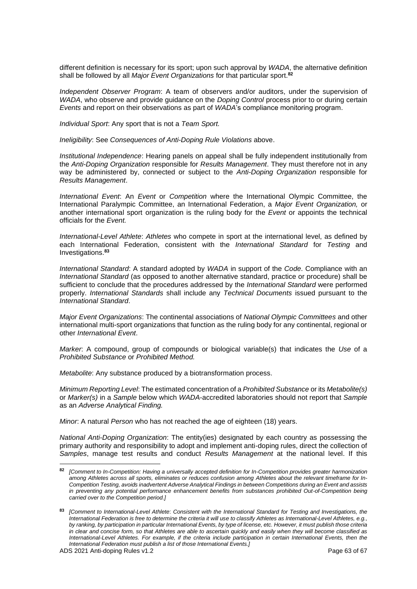different definition is necessary for its sport; upon such approval by *WADA*, the alternative definition shall be followed by all *Major Event Organizations* for that particular sport.**<sup>82</sup>**

*Independent Observer Program*: A team of observers and/or auditors, under the supervision of *WADA*, who observe and provide guidance on the *Doping Control* process prior to or during certain *Events* and report on their observations as part of *WADA*'s compliance monitoring program.

*Individual Sport*: Any sport that is not a *Team Sport.*

*Ineligibility*: See *Consequences of Anti-Doping Rule Violations* above.

*Institutional Independence*: Hearing panels on appeal shall be fully independent institutionally from the *Anti-Doping Organization* responsible for *Results Management*. They must therefore not in any way be administered by, connected or subject to the *Anti-Doping Organization* responsible for *Results Management*.

*International Event*: An *Event* or *Competition* where the International Olympic Committee, the International Paralympic Committee, an International Federation, a *Major Event Organization,* or another international sport organization is the ruling body for the *Event* or appoints the technical officials for the *Event.*

*International-Level Athlete*: *Athletes* who compete in sport at the international level, as defined by each International Federation, consistent with the *International Standard* for *Testing* and Investigations.**<sup>83</sup>**

*International Standard*: A standard adopted by *WADA* in support of the *Code*. Compliance with an *International Standard* (as opposed to another alternative standard, practice or procedure) shall be sufficient to conclude that the procedures addressed by the *International Standard* were performed properly. *International Standards* shall include any *Technical Documents* issued pursuant to the *International Standard*.

*Major Event Organizations*: The continental associations of *National Olympic Committees* and other international multi-sport organizations that function as the ruling body for any continental, regional or other *International Event*.

*Marker*: A compound, group of compounds or biological variable(s) that indicates the *Use* of a *Prohibited Substance* or *Prohibited Method.*

*Metabolite*: Any substance produced by a biotransformation process.

*Minimum Reporting Level*: The estimated concentration of a *Prohibited Substance* or its *Metabolite(s)* or *Marker(s)* in a *Sample* below which *WADA*-accredited laboratories should not report that *Sample* as an *Adverse Analytical Finding.*

*Minor*: A natural *Person* who has not reached the age of eighteen (18) years.

*National Anti-Doping Organization*: The entity(ies) designated by each country as possessing the primary authority and responsibility to adopt and implement anti-doping rules, direct the collection of *Samples*, manage test results and conduct *Results Management* at the national level. If this

**<sup>82</sup>** *[Comment to In-Competition: Having a universally accepted definition for In-Competition provides greater harmonization among Athletes across all sports, eliminates or reduces confusion among Athletes about the relevant timeframe for In-Competition Testing, avoids inadvertent Adverse Analytical Findings in between Competitions during an Event and assists in preventing any potential performance enhancement benefits from substances prohibited Out-of-Competition being carried over to the Competition period.]* 

**<sup>83</sup>** *[Comment to International-Level Athlete*: *Consistent with the International Standard for Testing and Investigations, the International Federation is free to determine the criteria it will use to classify Athletes as International-Level Athletes, e.g., by ranking, by participation in particular International Events, by type of license, etc. However, it must publish those criteria in clear and concise form, so that Athletes are able to ascertain quickly and easily when they will become classified as International-Level Athletes. For example, if the criteria include participation in certain International Events, then the International Federation must publish a list of those International Events.]*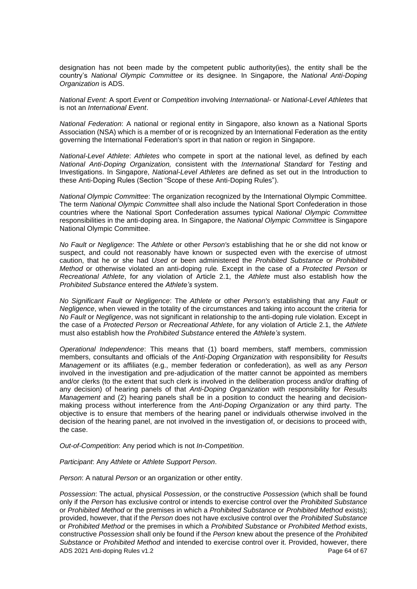designation has not been made by the competent public authority(ies), the entity shall be the country's *National Olympic Committee* or its designee. In Singapore, the *National Anti-Doping Organization* is ADS.

*National Event*: A sport *Event* or *Competition* involving *International-* or *National-Level Athletes* that is not an *International Event*.

*National Federation*: A national or regional entity in Singapore, also known as a National Sports Association (NSA) which is a member of or is recognized by an International Federation as the entity governing the International Federation's sport in that nation or region in Singapore.

*National-Level Athlete*: *Athletes* who compete in sport at the national level, as defined by each *National Anti-Doping Organization,* consistent with the *International Standard* for *Testing* and Investigations. In Singapore, *National-Level Athletes* are defined as set out in the Introduction to these Anti-Doping Rules (Section "Scope of these Anti-Doping Rules").

*National Olympic Committee*: The organization recognized by the International Olympic Committee. The term *National Olympic Committee* shall also include the National Sport Confederation in those countries where the National Sport Confederation assumes typical *National Olympic Committee* responsibilities in the anti-doping area. In Singapore, the *National Olympic Committee* is Singapore National Olympic Committee.

*No Fault or Negligence*: The *Athlete* or other *Person's* establishing that he or she did not know or suspect, and could not reasonably have known or suspected even with the exercise of utmost caution, that he or she had *Used* or been administered the *Prohibited Substance* or *Prohibited Method* or otherwise violated an anti-doping rule*.* Except in the case of a *Protected Person* or *Recreational Athlete*, for any violation of Article 2.1, the *Athlete* must also establish how the *Prohibited Substance* entered the *Athlete's* system.

*No Significant Fault or Negligence*: The *Athlete* or other *Person's* establishing that any *Fault* or *Negligence*, when viewed in the totality of the circumstances and taking into account the criteria for *No Fault* or *Negligence*, was not significant in relationship to the anti-doping rule violation. Except in the case of a *Protected Person* or *Recreational Athlete*, for any violation of Article 2.1, the *Athlete* must also establish how the *Prohibited Substance* entered the *Athlete's* system.

*Operational Independence*: This means that (1) board members, staff members, commission members, consultants and officials of the *Anti-Doping Organization* with responsibility for *Results Management* or its affiliates (e.g., member federation or confederation), as well as any *Person* involved in the investigation and pre-adjudication of the matter cannot be appointed as members and/or clerks (to the extent that such clerk is involved in the deliberation process and/or drafting of any decision) of hearing panels of that *Anti-Doping Organization* with responsibility for *Results Management* and (2) hearing panels shall be in a position to conduct the hearing and decisionmaking process without interference from the *Anti-Doping Organization* or any third party. The objective is to ensure that members of the hearing panel or individuals otherwise involved in the decision of the hearing panel, are not involved in the investigation of, or decisions to proceed with, the case.

*Out-of-Competition*: Any period which is not *In-Competition*.

*Participant*: Any *Athlete* or *Athlete Support Person*.

*Person*: A natural *Person* or an organization or other entity.

ADS 2021 Anti-doping Rules v1.2 Page 64 of 67 *Possession*: The actual, physical *Possession*, or the constructive *Possession* (which shall be found only if the *Person* has exclusive control or intends to exercise control over the *Prohibited Substance* or *Prohibited Method* or the premises in which a *Prohibited Substance* or *Prohibited Method* exists); provided, however, that if the *Person* does not have exclusive control over the *Prohibited Substance*  or *Prohibited Method* or the premises in which a *Prohibited Substance* or *Prohibited Method* exists, constructive *Possession* shall only be found if the *Person* knew about the presence of the *Prohibited Substance* or *Prohibited Method* and intended to exercise control over it. Provided, however, there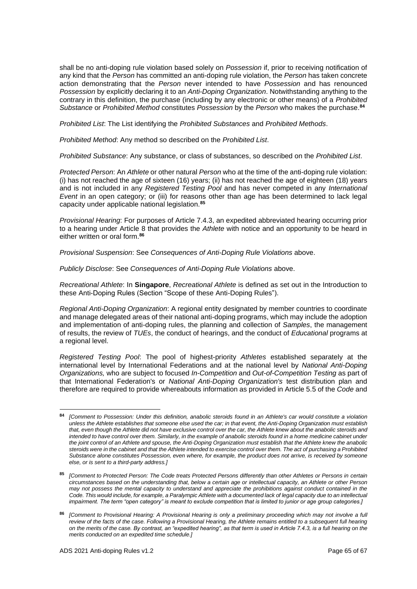shall be no anti-doping rule violation based solely on *Possession* if, prior to receiving notification of any kind that the *Person* has committed an anti-doping rule violation, the *Person* has taken concrete action demonstrating that the *Person* never intended to have *Possession* and has renounced *Possession* by explicitly declaring it to an *Anti-Doping Organization*. Notwithstanding anything to the contrary in this definition, the purchase (including by any electronic or other means) of a *Prohibited Substance* or *Prohibited Method* constitutes *Possession* by the *Person* who makes the purchase.**<sup>84</sup>**

*Prohibited List*: The List identifying the *Prohibited Substances* and *Prohibited Methods*.

*Prohibited Method*: Any method so described on the *Prohibited List*.

*Prohibited Substance*: Any substance, or class of substances, so described on the *Prohibited List*.

*Protected Person*: An *Athlete* or other natural *Person* who at the time of the anti-doping rule violation: (i) has not reached the age of sixteen (16) years; (ii) has not reached the age of eighteen (18) years and is not included in any *Registered Testing Pool* and has never competed in any *International Event* in an open category; or (iii) for reasons other than age has been determined to lack legal capacity under applicable national legislation.**<sup>85</sup>**

*Provisional Hearing*: For purposes of Article 7.4.3, an expedited abbreviated hearing occurring prior to a hearing under Article 8 that provides the *Athlete* with notice and an opportunity to be heard in either written or oral form.**<sup>86</sup>**

*Provisional Suspension*: See *Consequences of Anti-Doping Rule Violations* above.

*Publicly Disclose*: See *Consequences of Anti-Doping Rule Violations* above.

*Recreational Athlete*: In **Singapore**, *Recreational Athlete* is defined as set out in the Introduction to these Anti-Doping Rules (Section "Scope of these Anti-Doping Rules").

*Regional Anti-Doping Organization*: A regional entity designated by member countries to coordinate and manage delegated areas of their national anti-doping programs, which may include the adoption and implementation of anti-doping rules, the planning and collection of *Samples*, the management of results, the review of *TUEs*, the conduct of hearings, and the conduct of *Educational* programs at a regional level.

*Registered Testing Pool*: The pool of highest-priority *Athletes* established separately at the international level by International Federations and at the national level by *National Anti-Doping Organizations,* who are subject to focused *In-Competition* and *Out-of-Competition Testing* as part of that International Federation's or *National Anti-Doping Organization's* test distribution plan and therefore are required to provide whereabouts information as provided in Article 5.5 of the *Code* and

**<sup>84</sup>** *[Comment to Possession: Under this definition, anabolic steroids found in an Athlete's car would constitute a violation unless the Athlete establishes that someone else used the car; in that event, the Anti-Doping Organization must establish*  that, even though the Athlete did not have exclusive control over the car, the Athlete knew about the anabolic steroids and intended to have control over them. Similarly, in the example of anabolic steroids found in a home medicine cabinet under *the joint control of an Athlete and spouse, the Anti-Doping Organization must establish that the Athlete knew the anabolic steroids were in the cabinet and that the Athlete intended to exercise control over them. The act of purchasing a Prohibited Substance alone constitutes Possession, even where, for example, the product does not arrive, is received by someone else, or is sent to a third-party address.]*

**<sup>85</sup>** *[Comment to Protected Person: The Code treats Protected Persons differently than other Athletes or Persons in certain circumstances based on the understanding that, below a certain age or intellectual capacity, an Athlete or other Person may not possess the mental capacity to understand and appreciate the prohibitions against conduct contained in the Code. This would include, for example, a Paralympic Athlete with a documented lack of legal capacity due to an intellectual impairment. The term "open category" is meant to exclude competition that is limited to junior or age group categories.]*

**<sup>86</sup>** *[Comment to Provisional Hearing: A Provisional Hearing is only a preliminary proceeding which may not involve a full review of the facts of the case. Following a Provisional Hearing, the Athlete remains entitled to a subsequent full hearing on the merits of the case. By contrast, an "expedited hearing", as that term is used in Article 7.4.3, is a full hearing on the merits conducted on an expedited time schedule.]*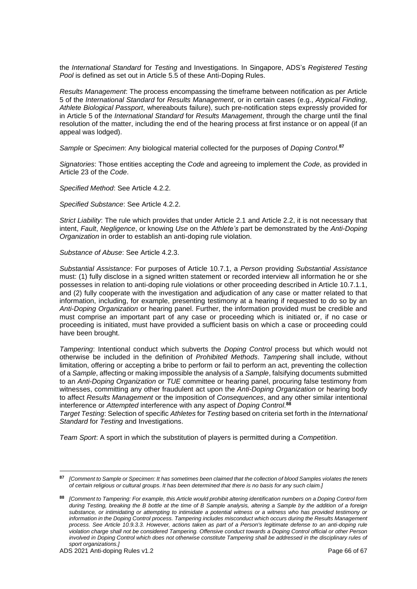the *International Standard* for *Testing* and Investigations. In Singapore, ADS's *Registered Testing Pool* is defined as set out in Article 5.5 of these Anti-Doping Rules.

*Results Management*: The process encompassing the timeframe between notification as per Article 5 of the *International Standard* for *Results Management*, or in certain cases (e.g., *Atypical Finding*, *Athlete Biological Passport*, whereabouts failure), such pre-notification steps expressly provided for in Article 5 of the *International Standard* for *Results Management*, through the charge until the final resolution of the matter, including the end of the hearing process at first instance or on appeal (if an appeal was lodged).

*Sample* or *Specimen*: Any biological material collected for the purposes of *Doping Control*. **87**

*Signatories*: Those entities accepting the *Code* and agreeing to implement the *Code*, as provided in Article 23 of the *Code*.

*Specified Method*: See Article 4.2.2.

*Specified Substance*: See Article 4.2.2.

*Strict Liability*: The rule which provides that under Article 2.1 and Article 2.2, it is not necessary that intent, *Fault*, *Negligence*, or knowing *Use* on the *Athlete's* part be demonstrated by the *Anti-Doping Organization* in order to establish an anti-doping rule violation.

*Substance of Abuse*: See Article 4.2.3.

*Substantial Assistance*: For purposes of Article 10.7.1, a *Person* providing *Substantial Assistance* must: (1) fully disclose in a signed written statement or recorded interview all information he or she possesses in relation to anti-doping rule violations or other proceeding described in Article 10.7.1.1, and (2) fully cooperate with the investigation and adjudication of any case or matter related to that information, including, for example, presenting testimony at a hearing if requested to do so by an *Anti-Doping Organization* or hearing panel. Further, the information provided must be credible and must comprise an important part of any case or proceeding which is initiated or, if no case or proceeding is initiated, must have provided a sufficient basis on which a case or proceeding could have been brought.

*Tampering*: Intentional conduct which subverts the *Doping Control* process but which would not otherwise be included in the definition of *Prohibited Methods*. *Tampering* shall include, without limitation, offering or accepting a bribe to perform or fail to perform an act, preventing the collection of a *Sample*, affecting or making impossible the analysis of a *Sample*, falsifying documents submitted to an *Anti-Doping Organization* or *TUE* committee or hearing panel, procuring false testimony from witnesses, committing any other fraudulent act upon the *Anti-Doping Organization* or hearing body to affect *Results Management* or the imposition of *Consequences*, and any other similar intentional interference or *Attempted* interference with any aspect of *Doping Control*. **88**

*Target Testing*: Selection of specific *Athletes* for *Testing* based on criteria set forth in the *International Standard* for *Testing* and Investigations.

*Team Sport*: A sport in which the substitution of players is permitted during a *Competition*.

**<sup>87</sup>** *[Comment to Sample or Specimen: It has sometimes been claimed that the collection of blood Samples violates the tenets of certain religious or cultural groups. It has been determined that there is no basis for any such claim.]*

**<sup>88</sup>** *[Comment to Tampering: For example, this Article would prohibit altering identification numbers on a Doping Control form during Testing, breaking the B bottle at the time of B Sample analysis, altering a Sample by the addition of a foreign substance, or intimidating or attempting to intimidate a potential witness or a witness who has provided testimony or information in the Doping Control process. Tampering includes misconduct which occurs during the Results Management process. See Article 10.9.3.3. However, actions taken as part of a Person's legitimate defense to an anti-doping rule violation charge shall not be considered Tampering. Offensive conduct towards a Doping Control official or other Person*  involved in Doping Control which does not otherwise constitute Tampering shall be addressed in the disciplinary rules of *sport organizations.]*